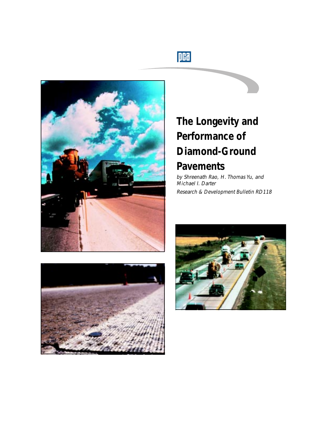# **DCa**



# **The Longevity and Performance of Diamond-Ground Pavements**

by Shreenath Rao, H. Thomas Yu, and Michael I. Darter Research & Development Bulletin RD118



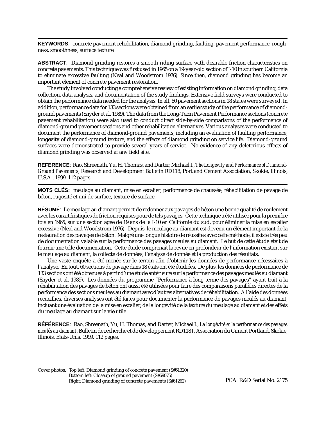**KEYWORDS**: concrete pavement rehabilitation, diamond grinding, faulting, pavement performance, roughness, smoothness, surface texture

**ABSTRACT**: Diamond grinding restores a smooth riding surface with desirable friction characteristics on concrete pavements. This technique was first used in 1965 on a 19-year-old section of I-10 in southern California to eliminate excessive faulting (Neal and Woodstrom 1976). Since then, diamond grinding has become an important element of concrete pavement restoration.

The study involved conducting a comprehensive review of existing information on diamond grinding, data collection, data analysis, and documentation of the study findings. Extensive field surveys were conducted to obtain the performance data needed for the analysis. In all, 60 pavement sections in 18 states were surveyed. In addition, performance data for 133 sections were obtained from an earlier study of the performance of diamondground pavements (Snyder et al. 1989). The data from the Long-Term Pavement Performance sections (concrete pavement rehabilitation) were also used to conduct direct side-by-side comparisons of the performance of diamond-ground pavement sections and other rehabilitation alternatives. Various analyses were conducted to document the performance of diamond-ground pavements, including an evaluation of faulting performance, longevity of diamond-ground texture, and the effects of diamond grinding on service life. Diamond-ground surfaces were demonstrated to provide several years of service. No evidence of any deleterious effects of diamond grinding was observed at any field site.

**REFERENCE**: Rao, Shreenath, Yu, H. Thomas, and Darter, Michael I., *The Longevity and Performance of Diamond-Ground Pavements*, Research and Development Bulletin RD118, Portland Cement Association, Skokie, Illinois, U.S.A., 1999, 112 pages.

**MOTS CLÉS:** meulage au diamant, mise en escalier, performance de chaussée, réhabilitation de pavage de béton, rugosité et uni de surface, texture de surface.

**RÉSUMÉ**: Le meulage au diamant permet de redonner aux pavages de béton une bonne qualité de roulement avec les caractéristiques de friction requises pour de tels pavages. Cette technique a été utilisée pour la première fois en 1965, sur une section âgée de 19 ans de la I-10 en Californie du sud, pour éliminer la mise en escalier excessive (Neal and Woodstrom 1976). Depuis, le meulage au diamant est devenu un élément important de la restauration des pavages de béton. Malgré une longue histoire de réussites avec cette méthode, il existe très peu de documentation valable sur la performance des pavages meulés au diamant. Le but de cette étude était de fournir une telle documentation. Cette étude comprenait la revue en profondeur de l'information existant sur le meulage au diamant, la collecte de données, l'analyse de donnée et la production des résultats.

Une vaste enquête a été menée sur le terrain afin d'obtenir les données de performance nécessaires à l'analyse. En tout, 60 sections de pavage dans 18 états ont été étudiées. De plus, les données de performance de 133 sections ont été obtenues à partir d'une étude antérieure sur la performance des pavages meulés au diamant (Snyder et al. 1989). Les données du programme "Performance à long terme des pavages" ayant trait à la réhabilitation des pavages de béton ont aussi été utilisées pour faire des comparaisons parallèles directes de la performance des sections meulées au diamant avec d'autres alternatives de réhabilitation. A l'aide des données recueillies, diverses analyses ont été faites pour documenter la performance de pavages meulés au diamant, incluant une évaluation de la mise en escalier, de la longévité de la texture du meulage au diamant et des effets du meulage au diamant sur la vie utile.

**RÉFÉRENCE**: Rao, Shreenath, Yu, H. Thomas, and Darter, Michael I., *La longévité et la performance des pavages meulés au diamant*, Bulletin de recherche et de développement RD118T, Association du Ciment Portland, Skokie, Illinois, Etats-Unis, 1999, 112 pages.

Cover photos: Top left: Diamond grinding of concrete pavement (S#61320) Bottom left: Closeup of ground pavement (S#69075) Right: Diamond grinding of concrete pavements (S#61262)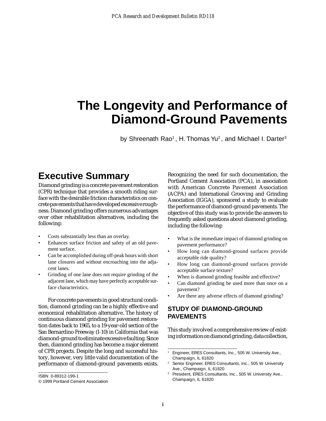# **The Longevity and Performance of Diamond-Ground Pavements**

by Shreenath Rao<sup>1</sup>, H. Thomas Yu<sup>2</sup>, and Michael I. Darter<sup>3</sup>

### **Executive Summary**

Diamond grinding is a concrete pavement restoration (CPR) technique that provides a smooth riding surface with the desirable friction characteristics on concrete pavements that have developed excessive roughness. Diamond grinding offers numerous advantages over other rehabilitation alternatives, including the following:

- Costs substantially less than an overlay.
- Enhances surface friction and safety of an old pavement surface.
- Can be accomplished during off-peak hours with short lane closures and without encroaching into the adjacent lanes.
- Grinding of one lane does not require grinding of the adjacent lane, which may have perfectly acceptable surface characteristics.

For concrete pavements in good structural condition, diamond grinding can be a highly effective and economical rehabilitation alternative. The history of continuous diamond grinding for pavement restoration dates back to 1965, to a 19-year-old section of the San Bernardino Freeway (I-10) in California that was diamond-ground to eliminate excessive faulting. Since then, diamond grinding has become a major element of CPR projects. Despite the long and successful history, however, very little valid documentation of the performance of diamond-ground pavements exists.

ISBN 0-89312-199-1

Recognizing the need for such documentation, the Portland Cement Association (PCA), in association with American Concrete Pavement Association (ACPA) and International Grooving and Grinding Association (IGGA), sponsored a study to evaluate the performance of diamond-ground pavements. The objective of this study was to provide the answers to frequently asked questions about diamond grinding, including the following:

- What is the immediate impact of diamond grinding on pavement performance?
- How long can diamond-ground surfaces provide acceptable ride quality?
- How long can diamond-ground surfaces provide acceptable surface texture?
- When is diamond grinding feasible and effective?
- Can diamond grinding be used more than once on a pavement?
- Are there any adverse effects of diamond grinding?

#### **STUDY OF DIAMOND-GROUND PAVEMENTS**

This study involved a comprehensive review of existing information on diamond grinding, data collection,

<sup>© 1999</sup> Portland Cement Association

<sup>1</sup> Engineer, ERES Consultants, Inc., 505 W. University Ave., Champaign, IL 61820

Senior Engineer, ERES Consultants, Inc., 505 W. University Ave., Champaign, IL 61820

<sup>&</sup>lt;sup>3</sup> President, ERES Consultants, Inc., 505 W. University Ave., Champaign, IL 61820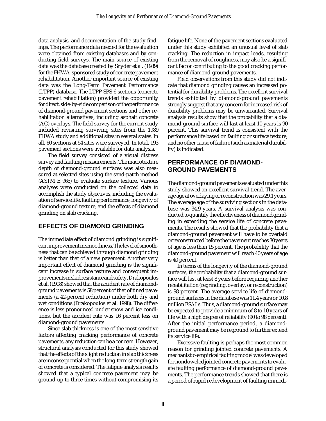data analysis, and documentation of the study findings. The performance data needed for the evaluation were obtained from existing databases and by conducting field surveys. The main source of existing data was the database created by Snyder et al. (1989) for the FHWA-sponsored study of concrete pavement rehabilitation. Another important source of existing data was the Long-Term Pavement Performance (LTPP) database. The LTPP SPS-6 sections (concrete pavement rehabilitation) provided the opportunity for direct, side-by-side comparison of the performance of diamond-ground pavement sections and other rehabilitation alternatives, including asphalt concrete (AC) overlays. The field survey for the current study included revisiting surviving sites from the 1989 FHWA study and additional sites in several states. In all, 60 sections at 54 sites were surveyed. In total, 193 pavement sections were available for data analysis.

The field survey consisted of a visual distress survey and faulting measurements. The macrotexture depth of diamond-ground surfaces was also measured at selected sites using the sand-patch method (ASTM E 965) to evaluate surface texture. Various analyses were conducted on the collected data to accomplish the study objectives, including the evaluation of service life, faulting performance, longevity of diamond-ground texture, and the effects of diamond grinding on slab cracking.

#### **EFFECTS OF DIAMOND GRINDING**

The immediate effect of diamond grinding is significant improvement in smoothness. The level of smoothness that can be achieved through diamond grinding is better than that of a new pavement. Another very important effect of diamond grinding is the significant increase in surface texture and consequent improvements in skid resistance and safety. Drakopoulos et al. (1998) showed that the accident rate of diamondground pavements is 58 percent of that of tined pavements (a 42-percent reduction) under both dry and wet conditions (Drakopoulos et al. 1998). The difference is less pronounced under snow and ice conditions, but the accident rate was 16 percent less on diamond-ground pavements.

Since slab thickness is one of the most sensitive factors affecting cracking performance of concrete pavements, any reduction can be a concern. However, structural analysis conducted for this study showed that the effects of the slight reduction in slab thickness are inconsequential when the long-term strength gain of concrete is considered. The fatigue analysis results showed that a typical concrete pavement may be ground up to three times without compromising its fatigue life. None of the pavement sections evaluated under this study exhibited an unusual level of slab cracking. The reduction in impact loads, resulting from the removal of roughness, may also be a significant factor contributing to the good cracking performance of diamond-ground pavements.

Field observations from this study did not indicate that diamond grinding causes an increased potential for durability problems. The excellent survival trends exhibited by diamond-ground pavements strongly suggest that any concern for increased risk of durability problems may be unwarranted. Survival analysis results show that the probability that a diamond-ground surface will last at least 10 years is 90 percent. This survival trend is consistent with the performance life based on faulting or surface texture, and no other cause of failure (such as material durability) is indicated.

#### **PERFORMANCE OF DIAMOND-GROUND PAVEMENTS**

The diamond-ground pavements evaluated under this study showed an excellent survival trend. The average age at overlaying or reconstruction was 29.1 years. The average age of the surviving sections in the database was 34.9 years. A survival analysis was conducted to quantify the effectiveness of diamond grinding in extending the service life of concrete pavements. The results showed that the probability that a diamond-ground pavement will have to be overlaid or reconstructed before the pavement reaches 30 years of age is less than 15 percent. The probability that the diamond-ground pavement will reach 40 years of age is 40 percent.

In terms of the longevity of the diamond-ground surfaces, the probability that a diamond-ground surface will last at least 8 years before requiring another rehabilitation (regrinding, overlay, or reconstruction) is 98 percent. The average service life of diamondground surfaces in the database was 11.4 years or 10.8 million ESALs. Thus, a diamond-ground surface may be expected to provide a minimum of 8 to 10 years of life with a high degree of reliability (90 to 98 percent). After the initial performance period, a diamondground pavement may be reground to further extend its service life.

Excessive faulting is perhaps the most common reason for grinding jointed concrete pavements. A mechanistic-empirical faulting model was developed for nondoweled jointed concrete pavements to evaluate faulting performance of diamond-ground pavements. The performance trends showed that there is a period of rapid redevelopment of faulting immedi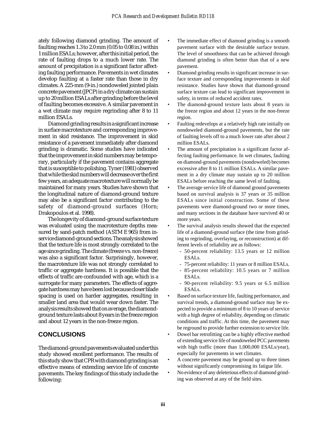ately following diamond grinding. The amount of faulting reaches 1.3 to 2.0 mm (0.05 to 0.08 in.) within 1 million ESALs; however, after this initial period, the rate of faulting drops to a much lower rate. The amount of precipitation is a significant factor affecting faulting performance. Pavements in wet climates develop faulting at a faster rate than those in dry climates. A 225-mm (9-in.) nondoweled jointed plain concrete pavement (JPCP) in a dry climate can sustain up to 20 million ESALs after grinding before the level of faulting becomes excessive. A similar pavement in a wet climate may require regrinding after 8 to 11 million ESALs.

Diamond grinding results in a significant increase in surface macrotexture and corresponding improvement in skid resistance. The improvement in skid resistance of a pavement immediately after diamond grinding is dramatic. Some studies have indicated that the improvement in skid numbers may be temporary, particularly if the pavement contains aggregate that is susceptible to polishing. Tyner (1981) observed that while the skid numbers will decrease over the first few years, an adequate macrotexture will normally be maintained for many years. Studies have shown that the longitudinal nature of diamond-ground texture may also be a significant factor contributing to the safety of diamond-ground surfaces (Horn; Drakopoulos et al. 1998).

The longevity of diamond-ground surface texture was evaluated using the macrotexture depths measured by sand-patch method (ASTM E 965) from inservice diamond-ground sections. The analysis showed that the texture life is most strongly correlated to the age since grinding. The climate (freeze vs. non-freeze) was also a significant factor. Surprisingly, however, the macrotexture life was not strongly correlated to traffic or aggregate hardness. It is possible that the effects of traffic are confounded with age, which is a surrogate for many parameters. The effects of aggregate hardness may have been lost because closer blade spacing is used on harder aggregates, resulting in smaller land area that would wear down faster. The analysis results showed that on average, the diamondground texture lasts about 8 years in the freeze region and about 12 years in the non-freeze region.

#### **CONCLUSIONS**

The diamond-ground pavements evaluated under this study showed excellent performance. The results of this study show that CPR with diamond grinding is an effective means of extending service life of concrete pavements. The key findings of this study include the following:

- The immediate effect of diamond grinding is a smooth pavement surface with the desirable surface texture. The level of smoothness that can be achieved through diamond grinding is often better than that of a new pavement.
- Diamond grinding results in significant increase in surface texture and corresponding improvements in skid resistance. Studies have shown that diamond-ground surface texture can lead to significant improvement in safety, in terms of reduced accident rates.
- The diamond-ground texture lasts about 8 years in the freeze region and about 12 years in the non-freeze region.
- Faulting redevelops at a relatively high rate initially on nondoweled diamond-ground pavements, but the rate of faulting levels off to a much lower rate after about 2 million ESALs.
- The amount of precipitation is a significant factor affecting faulting performance. In wet climates, faulting on diamond-ground pavements (nondoweled) becomes excessive after 8 to 11 million ESALs. A similar pavement in a dry climate may sustain up to 20 million ESALs before reaching the same level of faulting.
- The average service life of diamond ground pavements based on survival analysis is 37 years or 35 million ESALs since initial construction. Some of these pavements were diamond-ground two or more times, and many sections in the database have survived 40 or more years.
- The survival analysis results showed that the expected life of a diamond-ground surface (the time from grinding to regrinding, overlaying, or reconstruction) at different levels of reliability are as follows:
	- 50-percent reliability: 13.5 years or 12 million ESALs.
	- 75-percent reliability: 11 years or 8 million ESALs.
	- 85-percent reliability: 10.5 years or 7 million ESALs.
	- 90-percent reliability: 9.5 years or 6.5 million ESALs.
- Based on surface texture life, faulting performance, and survival trends, a diamond-ground surface may be expected to provide a minimum of 8 to 10 years of service with a high degree of reliability, depending on climatic conditions and traffic. At this time, the pavement may be reground to provide further extension to service life.
- Dowel bar retrofitting can be a highly effective method of extending service life of nondoweled PCC pavements with high traffic (more than 1,000,000 ESALs/year), especially for pavements in wet climates.
- A concrete pavement may be ground up to three times without significantly compromising its fatigue life.
- No evidence of any deleterious effects of diamond grinding was observed at any of the field sites.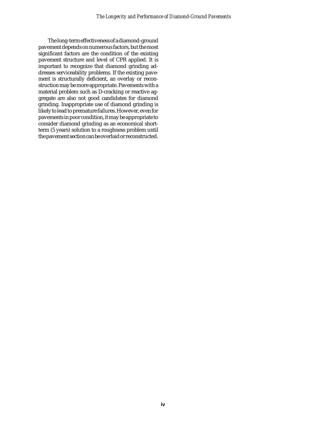The long-term effectiveness of a diamond-ground pavement depends on numerous factors, but the most significant factors are the condition of the existing pavement structure and level of CPR applied. It is important to recognize that diamond grinding addresses serviceability problems. If the existing pavement is structurally deficient, an overlay or reconstruction may be more appropriate. Pavements with a material problem such as D-cracking or reactive aggregate are also not good candidates for diamond grinding. Inappropriate use of diamond grinding is likely to lead to premature failures. However, even for pavements in poor condition, it may be appropriate to consider diamond grinding as an economical shortterm (5 years) solution to a roughness problem until the pavement section can be overlaid or reconstructed.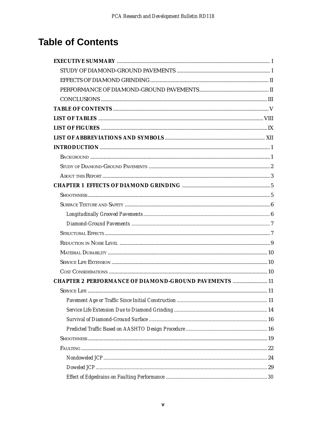## **Table of Contents**

| <b>CHAPTER 2 PERFORMANCE OF DIAMOND-GROUND PAVEMENTS  11</b> |  |
|--------------------------------------------------------------|--|
|                                                              |  |
|                                                              |  |
|                                                              |  |
|                                                              |  |
|                                                              |  |
|                                                              |  |
|                                                              |  |
|                                                              |  |
|                                                              |  |
|                                                              |  |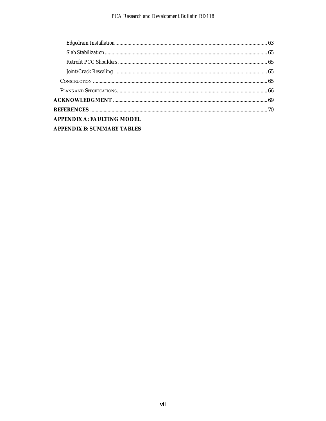| <b>APPENDIX A: FAULTING MODEL</b> |  |
|-----------------------------------|--|
| <b>APPENDIX B: SUMMARY TABLES</b> |  |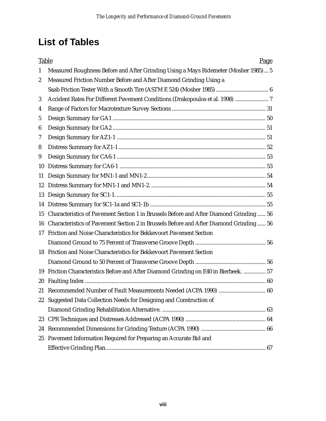## **List of Tables**

|                  | <b>Table</b>                                                                           | <u>Page</u> |  |
|------------------|----------------------------------------------------------------------------------------|-------------|--|
| $\mathbf{1}$     | Measured Roughness Before and After Grinding Using a Mays Ridemeter (Mosher 1985)  5   |             |  |
| $\boldsymbol{2}$ | Measured Friction Number Before and After Diamond Grinding Using a                     |             |  |
|                  |                                                                                        |             |  |
| 3                | Accident Rates For Different Pavement Conditions (Drakopoulos et al. 1998)  7          |             |  |
| 4                |                                                                                        |             |  |
| 5                |                                                                                        |             |  |
| 6                |                                                                                        |             |  |
| 7                |                                                                                        |             |  |
| 8                |                                                                                        |             |  |
| 9                |                                                                                        |             |  |
| 10               |                                                                                        |             |  |
| 11               |                                                                                        |             |  |
|                  |                                                                                        |             |  |
|                  |                                                                                        |             |  |
|                  |                                                                                        |             |  |
| 15               | Characteristics of Pavement Section 1 in Brussels Before and After Diamond Grinding 56 |             |  |
| 16               | Characteristics of Pavement Section 2 in Brussels Before and After Diamond Grinding 56 |             |  |
| 17               | Friction and Noise Characteristics for Bekkevoort Pavement Section                     |             |  |
|                  |                                                                                        |             |  |
|                  | 18 Friction and Noise Characteristics for Bekkevoort Pavement Section                  |             |  |
|                  |                                                                                        |             |  |
| 19               | Friction Characteristics Before and After Diamond Grinding on E40 in Bierbeek.  57     |             |  |
| 20               |                                                                                        |             |  |
|                  | 21 Recommended Number of Fault Measurements Needed (ACPA 1990)  60                     |             |  |
|                  | 22 Suggested Data Collection Needs for Designing and Construction of                   |             |  |
|                  |                                                                                        |             |  |
| 23               |                                                                                        |             |  |
|                  |                                                                                        |             |  |
|                  | 25 Pavement Information Required for Preparing an Accurate Bid and                     |             |  |
|                  |                                                                                        |             |  |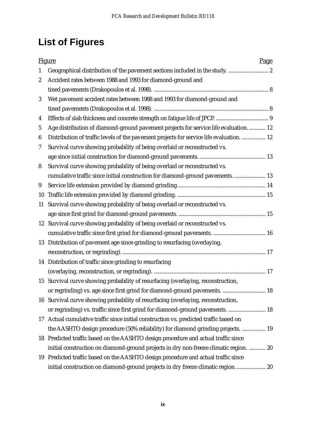## **List of Figures**

|                  | <b>Figure</b>                                                                            | Page |
|------------------|------------------------------------------------------------------------------------------|------|
| $\mathbf{1}$     | Geographical distribution of the pavement sections included in the study.  2             |      |
| $\boldsymbol{2}$ | Accident rates between 1988 and 1993 for diamond-ground and                              |      |
|                  |                                                                                          |      |
| 3                | Wet pavement accident rates between 1988 and 1993 for diamond-ground and                 |      |
|                  |                                                                                          |      |
| $\overline{4}$   |                                                                                          |      |
| $\sqrt{5}$       | Age distribution of diamond-ground pavement projects for service life evaluation.  12    |      |
| $\boldsymbol{6}$ | Distribution of traffic levels of the pavement projects for service life evaluation.  12 |      |
| 7                | Survival curve showing probability of being overlaid or reconstructed vs.                |      |
|                  |                                                                                          |      |
| 8                | Survival curve showing probability of being overlaid or reconstructed vs.                |      |
|                  | cumulative traffic since initial construction for diamond-ground pavements 13            |      |
| 9                |                                                                                          |      |
| 10               |                                                                                          |      |
| 11               | Survival curve showing probability of being overlaid or reconstructed vs.                |      |
|                  |                                                                                          |      |
|                  | 12 Survival curve showing probability of being overlaid or reconstructed vs.             |      |
|                  |                                                                                          |      |
|                  | 13 Distribution of pavement age since grinding to resurfacing (overlaying,               |      |
|                  |                                                                                          |      |
|                  | 14 Distribution of traffic since grinding to resurfacing                                 |      |
|                  |                                                                                          |      |
|                  | 15 Survival curve showing probability of resurfacing (overlaying, reconstruction,        |      |
|                  | or regrinding) vs. age since first grind for diamond-ground pavements.  18               |      |
|                  | 16 Survival curve showing probability of resurfacing (overlaying, reconstruction,        |      |
|                  | or regrinding) vs. traffic since first grind for diamond-ground pavements.  18           |      |
|                  | 17 Actual cumulative traffic since initial construction vs. predicted traffic based on   |      |
|                  | the AASHTO design procedure (50% reliability) for diamond grinding projects.  19         |      |
|                  | 18 Predicted traffic based on the AASHTO design procedure and actual traffic since       |      |
|                  | initial construction on diamond-ground projects in dry non-freeze climatic region.  20   |      |
|                  | 19 Predicted traffic based on the AASHTO design procedure and actual traffic since       |      |
|                  | initial construction on diamond-ground projects in dry freeze climatic region 20         |      |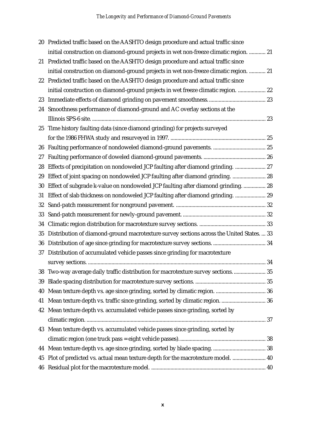|    | 20 Predicted traffic based on the AASHTO design procedure and actual traffic since           |  |
|----|----------------------------------------------------------------------------------------------|--|
|    | initial construction on diamond-ground projects in wet non-freeze climatic region.  21       |  |
|    | 21 Predicted traffic based on the AASHTO design procedure and actual traffic since           |  |
|    | initial construction on diamond-ground projects in wet non-freeze climatic region.  21       |  |
|    | 22 Predicted traffic based on the AASHTO design procedure and actual traffic since           |  |
|    | initial construction on diamond-ground projects in wet freeze climatic region.  22           |  |
|    |                                                                                              |  |
|    | 24 Smoothness performance of diamond-ground and AC overlay sections at the                   |  |
|    |                                                                                              |  |
|    | 25 Time history faulting data (since diamond grinding) for projects surveyed                 |  |
|    |                                                                                              |  |
|    |                                                                                              |  |
| 27 |                                                                                              |  |
|    | 28 Effects of precipitation on nondoweled JCP faulting after diamond grinding.  27           |  |
|    | 28 Effect of joint spacing on nondoweled JCP faulting after diamond grinding.  28            |  |
|    | 30 Effect of subgrade k-value on nondoweled JCP faulting after diamond grinding.  28         |  |
|    | 31 Effect of slab thickness on nondoweled JCP faulting after diamond grinding.  29           |  |
| 32 |                                                                                              |  |
| 33 |                                                                                              |  |
|    |                                                                                              |  |
|    | 35 Distribution of diamond-ground macrotexture survey sections across the United States.  33 |  |
|    |                                                                                              |  |
|    | 37 Distribution of accumulated vehicle passes since grinding for macrotexture                |  |
|    |                                                                                              |  |
|    | 35 Two-way average daily traffic distribution for macrotexture survey sections.  35          |  |
|    |                                                                                              |  |
|    |                                                                                              |  |
|    | 41 Mean texture depth vs. traffic since grinding, sorted by climatic region.  36             |  |
|    | 42 Mean texture depth vs. accumulated vehicle passes since grinding, sorted by               |  |
|    |                                                                                              |  |
|    | 43 Mean texture depth vs. accumulated vehicle passes since grinding, sorted by               |  |
|    |                                                                                              |  |
|    |                                                                                              |  |
|    | 45 Plot of predicted vs. actual mean texture depth for the macrotexture model.  40           |  |
|    |                                                                                              |  |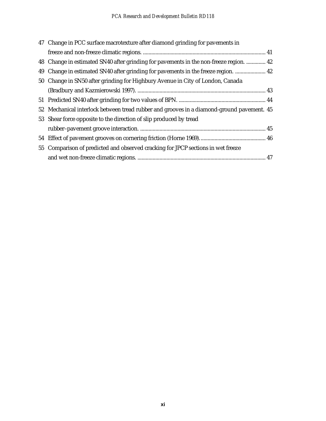|    | 47 Change in PCC surface macrotexture after diamond grinding for pavements in             |  |  |
|----|-------------------------------------------------------------------------------------------|--|--|
|    |                                                                                           |  |  |
|    | 48 Change in estimated SN40 after grinding for pavements in the non-freeze region.  42    |  |  |
|    | 42 Change in estimated SN40 after grinding for pavements in the freeze region.  42        |  |  |
|    | 50 Change in SN50 after grinding for Highbury Avenue in City of London, Canada            |  |  |
|    |                                                                                           |  |  |
|    |                                                                                           |  |  |
|    | 52 Mechanical interlock between tread rubber and grooves in a diamond-ground pavement. 45 |  |  |
|    | 53 Shear force opposite to the direction of slip produced by tread                        |  |  |
|    |                                                                                           |  |  |
|    |                                                                                           |  |  |
| 55 | Comparison of predicted and observed cracking for JPCP sections in wet freeze             |  |  |
|    |                                                                                           |  |  |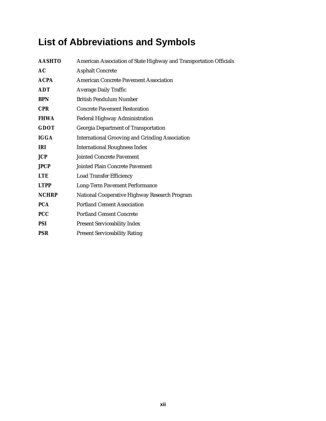## **List of Abbreviations and Symbols**

| <b>AASHTO</b> | American Association of State Highway and Transportation Officials |  |  |
|---------------|--------------------------------------------------------------------|--|--|
| AC            | <b>Asphalt Concrete</b>                                            |  |  |
| <b>ACPA</b>   | <b>American Concrete Pavement Association</b>                      |  |  |
| <b>ADT</b>    | <b>Average Daily Traffic</b>                                       |  |  |
| <b>BPN</b>    | <b>British Pendulum Number</b>                                     |  |  |
| <b>CPR</b>    | <b>Concrete Pavement Restoration</b>                               |  |  |
| <b>FHWA</b>   | Federal Highway Administration                                     |  |  |
| <b>GDOT</b>   | <b>Georgia Department of Transportation</b>                        |  |  |
| <b>IGGA</b>   | <b>International Grooving and Grinding Association</b>             |  |  |
| <b>IRI</b>    | <b>International Roughness Index</b>                               |  |  |
| <b>JCP</b>    | <b>Jointed Concrete Pavement</b>                                   |  |  |
| <b>JPCP</b>   | <b>Jointed Plain Concrete Pavement</b>                             |  |  |
| <b>LTE</b>    | <b>Load Transfer Efficiency</b>                                    |  |  |
| <b>LTPP</b>   | <b>Long-Term Pavement Performance</b>                              |  |  |
| <b>NCHRP</b>  | National Cooperative Highway Research Program                      |  |  |
| <b>PCA</b>    | <b>Portland Cement Association</b>                                 |  |  |
| <b>PCC</b>    | <b>Portland Cement Concrete</b>                                    |  |  |
| <b>PSI</b>    | <b>Present Serviceability Index</b>                                |  |  |
| <b>PSR</b>    | <b>Present Serviceability Rating</b>                               |  |  |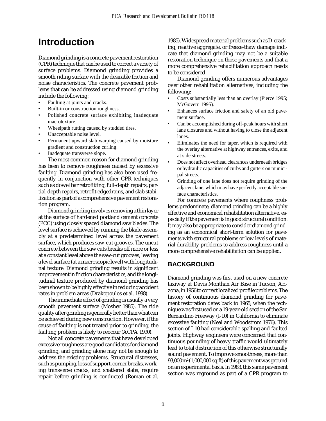### **Introduction**

Diamond grinding is a concrete pavement restoration (CPR) technique that can be used to correct a variety of surface problems. Diamond grinding provides a smooth riding surface with the desirable friction and noise characteristics. The concrete pavement problems that can be addressed using diamond grinding include the following:

- Faulting at joints and cracks.
- Built-in or construction roughness.
- Polished concrete surface exhibiting inadequate macrotexture.
- Wheelpath rutting caused by studded tires.
- Unacceptable noise level.
- Permanent upward slab warping caused by moisture gradient and construction curling.
- Inadequate transverse slope.

The most common reason for diamond grinding has been to remove roughness caused by excessive faulting. Diamond grinding has also been used frequently in conjunction with other CPR techniques such as dowel bar retrofitting, full-depth repairs, partial-depth repairs, retrofit edgedrains, and slab stabilization as part of a comprehensive pavement restoration program.

Diamond grinding involves removing a thin layer at the surface of hardened portland cement concrete (PCC) using closely spaced diamond saw blades. The level surface is achieved by running the blade assembly at a predetermined level across the pavement surface, which produces saw-cut grooves. The uncut concrete between the saw cuts breaks off more or less at a constant level above the saw-cut grooves, leaving a level surface (at a macroscopic level) with longitudinal texture. Diamond grinding results in significant improvement in friction characteristics, and the longitudinal texture produced by diamond grinding has been shown to be highly effective in reducing accident rates in problem areas (Drakopoulos et al. 1998).

The immediate effect of grinding is usually a very smooth pavement surface (Mosher 1985). The ride quality after grinding is generally better than what can be achieved during new construction. However, if the cause of faulting is not treated prior to grinding, the faulting problem is likely to reoccur (ACPA 1990).

Not all concrete pavements that have developed excessive roughness are good candidates for diamond grinding, and grinding alone may not be enough to address the existing problems. Structural distresses, such as pumping, loss of support, corner breaks, working transverse cracks, and shattered slabs, require repair before grinding is conducted (Roman et al. 1985). Widespread material problems such as D-cracking, reactive aggregate, or freeze-thaw damage indicate that diamond grinding may not be a suitable restoration technique on those pavements and that a more comprehensive rehabilitation approach needs to be considered.

Diamond grinding offers numerous advantages over other rehabilitation alternatives, including the following:

- Costs substantially less than an overlay (Pierce 1995; McGovern 1995).
- Enhances surface friction and safety of an old pavement surface.
- Can be accomplished during off-peak hours with short lane closures and without having to close the adjacent lanes.
- Eliminates the need for taper, which is required with the overlay alternative at highway entrances, exits, and at side streets.
- Does not affect overhead clearances underneath bridges or hydraulic capacities of curbs and gutters on municipal streets.
- Grinding of one lane does not require grinding of the adjacent lane, which may have perfectly acceptable surface characteristics.

For concrete pavements where roughness problems predominate, diamond grinding can be a highly effective and economical rehabilitation alternative, especially if the pavement is in good structural condition. It may also be appropriate to consider diamond grinding as an economical short-term solution for pavements with structural problems or low levels of material durability problems to address roughness until a more comprehensive rehabilitation can be applied.

#### **BACKGROUND**

Diamond grinding was first used on a new concrete taxiway at Davis Monthan Air Base in Tucson, Arizona, in 1956 to correct localized profile problems. The history of continuous diamond grinding for pavement restoration dates back to 1965, when the technique was first used on a 19-year-old section of the San Bernardino Freeway (I-10) in California to eliminate excessive faulting (Neal and Woodstrom 1976). This section of I-10 had considerable spalling and faulted joints. Highway engineers were concerned that continuous pounding of heavy traffic would ultimately lead to total destruction of this otherwise structurally sound pavement. To improve smoothness, more than  $93,\!000\,\mathrm{m}^2$  (1,000,000 sq ft) of this pavement was ground on an experimental basis. In 1983, this same pavement section was reground as part of a CPR program to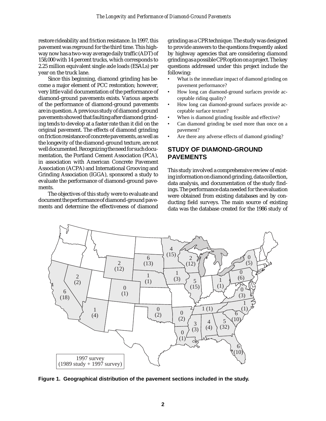restore rideability and friction resistance. In 1997, this pavement was reground for the third time. This highway now has a two-way average daily traffic (ADT) of 158,000 with 14 percent trucks, which corresponds to 2.25 million equivalent single axle loads (ESALs) per year on the truck lane.

Since this beginning, diamond grinding has become a major element of PCC restoration; however, very little valid documentation of the performance of diamond-ground pavements exists. Various aspects of the performance of diamond-ground pavements are in question. A previous study of diamond-ground pavements showed that faulting after diamond grinding tends to develop at a faster rate than it did on the original pavement. The effects of diamond grinding on friction resistance of concrete pavements, as well as the longevity of the diamond-ground texture, are not well documented. Recognizing the need for such documentation, the Portland Cement Association (PCA), in association with American Concrete Pavement Association (ACPA) and International Grooving and Grinding Association (IGGA), sponsored a study to evaluate the performance of diamond-ground pavements.

The objectives of this study were to evaluate and document the performance of diamond-ground pavements and determine the effectiveness of diamond grinding as a CPR technique. The study was designed to provide answers to the questions frequently asked by highway agencies that are considering diamond grinding as a possible CPR option on a project. The key questions addressed under this project include the following:

- What is the immediate impact of diamond grinding on pavement performance?
- How long can diamond-ground surfaces provide acceptable riding quality?
- How long can diamond-ground surfaces provide acceptable surface texture?
- When is diamond grinding feasible and effective?
- Can diamond grinding be used more than once on a pavement?
- Are there any adverse effects of diamond grinding?

#### **STUDY OF DIAMOND-GROUND PAVEMENTS**

This study involved a comprehensive review of existing information on diamond grinding, data collection, data analysis, and documentation of the study findings. The performance data needed for the evaluation were obtained from existing databases and by conducting field surveys. The main source of existing data was the database created for the 1986 study of



**Figure 1. Geographical distribution of the pavement sections included in the study.**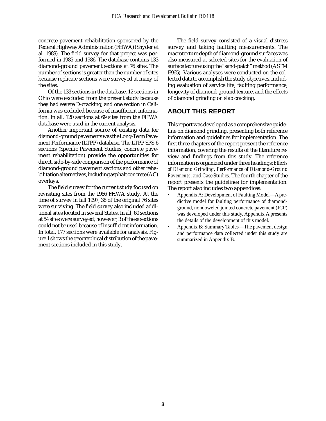concrete pavement rehabilitation sponsored by the Federal Highway Administration (FHWA) (Snyder et al. 1989). The field survey for that project was performed in 1985 and 1986. The database contains 133 diamond-ground pavement sections at 76 sites. The number of sections is greater than the number of sites because replicate sections were surveyed at many of the sites.

Of the 133 sections in the database, 12 sections in Ohio were excluded from the present study because they had severe D-cracking, and one section in California was excluded because of insufficient information. In all, 120 sections at 69 sites from the FHWA database were used in the current analysis.

Another important source of existing data for diamond-ground pavements was the Long-Term Pavement Performance (LTPP) database. The LTPP SPS-6 sections (Specific Pavement Studies, concrete pavement rehabilitation) provide the opportunities for direct, side-by-side comparison of the performance of diamond-ground pavement sections and other rehabilitation alternatives, including asphalt concrete (AC) overlays.

The field survey for the current study focused on revisiting sites from the 1986 FHWA study. At the time of survey in fall 1997, 38 of the original 76 sites were surviving. The field survey also included additional sites located in several States. In all, 60 sections at 54 sites were surveyed; however, 3 of these sections could not be used because of insufficient information. In total, 177 sections were available for analysis. Figure 1 shows the geographical distribution of the pavement sections included in this study.

The field survey consisted of a visual distress survey and taking faulting measurements. The macrotexture depth of diamond-ground surfaces was also measured at selected sites for the evaluation of surface texture using the "sand-patch" method (ASTM E965). Various analyses were conducted on the collected data to accomplish the study objectives, including evaluation of service life, faulting performance, longevity of diamond-ground texture, and the effects of diamond grinding on slab cracking.

#### **ABOUT THIS REPORT**

This report was developed as a comprehensive guideline on diamond grinding, presenting both reference information and guidelines for implementation. The first three chapters of the report present the reference information, covering the results of the literature review and findings from this study. The reference information is organized under three headings: *Effects of Diamond Grinding*, *Performance of Diamond-Ground Pavements*, and *Case Studies*. The fourth chapter of the report presents the guidelines for implementation. The report also includes two appendices:

- Appendix A: Development of Faulting Model—A predictive model for faulting performance of diamondground, nondoweled jointed concrete pavement (JCP) was developed under this study. Appendix A presents the details of the development of this model.
- Appendix B: Summary Tables—The pavement design and performance data collected under this study are summarized in Appendix B.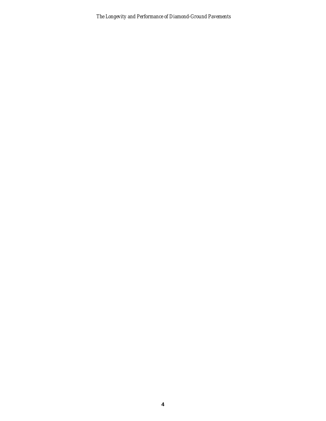*The Longevity and Performance of Diamond-Ground Pavements*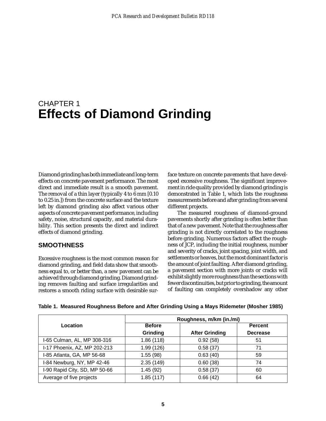### CHAPTER 1 **Effects of Diamond Grinding**

Diamond grinding has both immediate and long-term effects on concrete pavement performance. The most direct and immediate result is a smooth pavement. The removal of a thin layer (typically 4 to 6 mm [0.10 to 0.25 in.]) from the concrete surface and the texture left by diamond grinding also affect various other aspects of concrete pavement performance, including safety, noise, structural capacity, and material durability. This section presents the direct and indirect effects of diamond grinding.

#### **SMOOTHNESS**

Excessive roughness is the most common reason for diamond grinding, and field data show that smoothness equal to, or better than, a new pavement can be achieved through diamond grinding. Diamond grinding removes faulting and surface irregularities and restores a smooth riding surface with desirable surface texture on concrete pavements that have developed excessive roughness. The significant improvement in ride quality provided by diamond grinding is demonstrated in Table 1, which lists the roughness measurements before and after grinding from several different projects.

The measured roughness of diamond-ground pavements shortly after grinding is often better than that of a new pavement. Note that the roughness after grinding is not directly correlated to the roughness before grinding. Numerous factors affect the roughness of JCP, including the initial roughness, number and severity of cracks, joint spacing, joint width, and settlements or heaves, but the most dominant factor is the amount of joint faulting. After diamond grinding, a pavement section with more joints or cracks will exhibit slightly more roughness than the sections with fewer discontinuities, but prior to grinding, the amount of faulting can completely overshadow any other

|                               | Roughness, m/km (in./mi) |                       |                 |
|-------------------------------|--------------------------|-----------------------|-----------------|
| Location                      | <b>Before</b>            |                       | <b>Percent</b>  |
|                               | Grinding                 | <b>After Grinding</b> | <b>Decrease</b> |
| I-65 Culman, AL, MP 308-316   | 1.86(118)                | 0.92(58)              | 51              |
| I-17 Phoenix, AZ, MP 202-213  | 1.99 (126)               | 0.58(37)              | 71              |
| I-85 Atlanta, GA, MP 56-68    | 1.55(98)                 | 0.63(40)              | 59              |
| I-84 Newburg, NY, MP 42-46    | 2.35(149)                | 0.60(38)              | 74              |
| I-90 Rapid City, SD, MP 50-66 | 1.45(92)                 | 0.58(37)              | 60              |
| Average of five projects      | 1.85(117)                | 0.66(42)              | 64              |

**Table 1. Measured Roughness Before and After Grinding Using a Mays Ridemeter (Mosher 1985)**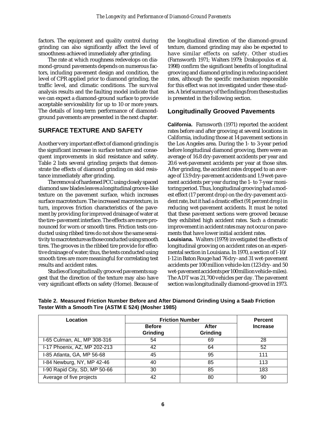factors. The equipment and quality control during grinding can also significantly affect the level of smoothness achieved immediately after grinding.

The rate at which roughness redevelops on diamond-ground pavements depends on numerous factors, including pavement design and condition, the level of CPR applied prior to diamond grinding, the traffic level, and climatic conditions. The survival analysis results and the faulting model indicate that we can expect a diamond-ground surface to provide acceptable serviceability for up to 10 or more years. The details of long-term performance of diamondground pavements are presented in the next chapter.

#### **SURFACE TEXTURE AND SAFETY**

Another very important effect of diamond grinding is the significant increase in surface texture and consequent improvements in skid resistance and safety. Table 2 lists several grinding projects that demonstrate the effects of diamond grinding on skid resistance immediately after grinding.

The removal of hardened PCC using closely spaced diamond saw blades leaves a longitudinal groove-like texture on the pavement surface, which increases surface macrotexture. The increased macrotexture, in turn, improves friction characteristics of the pavement by providing for improved drainage of water at the tire–pavement interface. The effects are more pronounced for worn or smooth tires. Friction tests conducted using ribbed tires do not show the same sensitivity to macrotexture as those conducted using smooth tires. The grooves in the ribbed tire provide for effective drainage of water; thus, the tests conducted using smooth tires are more meaningful for correlating test results and accident rates.

Studies of longitudinally grooved pavements suggest that the direction of the texture may also have very significant effects on safety (Horne). Because of the longitudinal direction of the diamond-ground texture, diamond grinding may also be expected to have similar effects on safety. Other studies (Farnsworth 1971; Walters 1979; Drakopoulos et al. 1998) confirm the significant benefits of longitudinal grooving and diamond grinding in reducing accident rates, although the specific mechanism responsible for this effect was not investigated under these studies. A brief summary of the findings from these studies is presented in the following section.

#### **Longitudinally Grooved Pavements**

**California.** Farnsworth (1971) reported the accident rates before and after grooving at several locations in California, including those at 14 pavement sections in the Los Angeles area. During the 1- to 3-year period before longitudinal diamond grooving, there were an average of 16.8 dry-pavement accidents per year and 20.6 wet-pavement accidents per year at those sites. After grinding, the accident rates dropped to an average of 13.9 dry-pavement accidents and 1.9 wet-pavement accidents per year during the 1- to 7-year monitoring period. Thus, longitudinal grooving had a modest effect (17 percent drop) on the dry-pavement accident rate, but it had a drastic effect (91 percent drop) in reducing wet-pavement accidents. It must be noted that these pavement sections were grooved because they exhibited high accident rates. Such a dramatic improvement in accident rates may not occur on pavements that have lower initial accident rates.

**Louisiana.** Walters (1979) investigated the effects of longitudinal grooving on accident rates on an experimental section in Louisiana. In 1970, a section of I-10/ I-12 in Baton Rouge had 76 dry- and 31 wet-pavement accidents per 100 million vehicle-km (123 dry- and 50 wet-pavement accidents per 100 million vehicle-miles). The ADT was 21,700 vehicles per day. The pavement section was longitudinally diamond-grooved in 1973.

| Location                      | <b>Friction Number</b>    |                   | <b>Percent</b>  |  |
|-------------------------------|---------------------------|-------------------|-----------------|--|
|                               | <b>Before</b><br>Grinding | After<br>Grinding | <b>Increase</b> |  |
| I-65 Culman, AL, MP 308-316   | 54                        | 69                | 28              |  |
| I-17 Phoenix, AZ, MP 202-213  | 42                        | 64                | 52              |  |
| I-85 Atlanta, GA, MP 56-68    | 45                        | 95                | 111             |  |
| I-84 Newburg, NY, MP 42-46    | 40                        | 85                | 113             |  |
| I-90 Rapid City, SD, MP 50-66 | 30                        | 85                | 183             |  |
| Average of five projects      | 42                        | 80                | 90              |  |

**Table 2. Measured Friction Number Before and After Diamond Grinding Using a Saab Friction Tester With a Smooth Tire (ASTM E 524) (Mosher 1985)**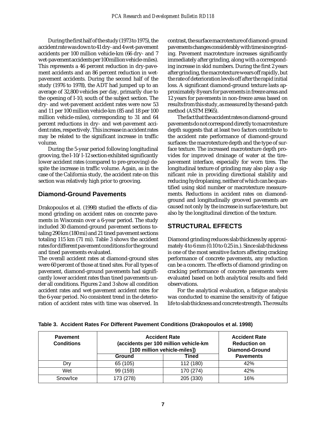During the first half of the study (1973 to 1975), the accident rate was down to 41 dry- and 4 wet-pavement accidents per 100 million vehicle-km (66 dry- and 7 wet-pavement accidents per 100 million vehicle-miles). This represents a 46 percent reduction in dry-pavement accidents and an 86 percent reduction in wetpavement accidents. During the second half of the study (1976 to 1978), the ADT had jumped up to an average of 32,800 vehicles per day, primarily due to the opening of I-10, south of the subject section. The dry- and wet-pavement accident rates were now 53 and 11 per 100 million vehicle-km (85 and 18 per 100 million vehicle-miles), corresponding to 31 and 64 percent reductions in dry- and wet-pavement accident rates, respectively. This increase in accident rates may be related to the significant increase in traffic volume.

During the 5-year period following longitudinal grooving, the I-10/I-12 section exhibited significantly lower accident rates (compared to pre-grooving) despite the increase in traffic volume. Again, as in the case of the California study, the accident rate on this section was relatively high prior to grooving.

#### **Diamond-Ground Pavements**

Drakopoulos et al. (1998) studied the effects of diamond grinding on accident rates on concrete pavements in Wisconsin over a 6-year period. The study included 30 diamond-ground pavement sections totaling 290 km (180 mi) and 21 tined pavement sections totaling 115 km (71 mi). Table 3 shows the accident rates for different pavement conditions for the ground and tined pavements evaluated.

The overall accident rates at diamond-ground sites were 60 percent of those at tined sites. For all types of pavement, diamond-ground pavements had significantly lower accident rates than tined pavements under all conditions. Figures 2 and 3 show all condition accident rates and wet-pavement accident rates for the 6-year period. No consistent trend in the deterioration of accident rates with time was observed. In contrast, the surface macrotexture of diamond-ground pavements changes considerably with time since grinding. Pavement macrotexture increases significantly immediately after grinding, along with a corresponding increase in skid numbers. During the first 2 years after grinding, the macrotexture wears off rapidly, but the rate of deterioration levels off after the rapid initial loss. A significant diamond-ground texture lasts approximately 8 years for pavements in freeze areas and 12 years for pavements in non-freeze areas based on results from this study, as measured by the sand-patch method (ASTM E965).

The fact that the accident rates on diamond-ground pavements do not correspond directly to macrotexture depth suggests that at least two factors contribute to the accident rate performance of diamond-ground surfaces: the macrotexture depth and the type of surface texture. The increased macrotexture depth provides for improved drainage of water at the tire– pavement interface, especially for worn tires. The longitudinal texture of grinding may also play a significant role in providing directional stability and reducing hydroplaning, neither of which can be quantified using skid number or macrotexture measurements. Reductions in accident rates on diamondground and longitudinally grooved pavements are caused not only by the increase in surface texture, but also by the longitudinal direction of the texture.

#### **STRUCTURAL EFFECTS**

Diamond grinding reduces slab thickness by approximately 4 to 6 mm (0.10 to 0.25 in.). Since slab thickness is one of the most sensitive factors affecting cracking performance of concrete pavements, any reduction can be a concern. The effects of diamond grinding on cracking performance of concrete pavements were evaluated based on both analytical results and field observations.

For the analytical evaluation, a fatigue analysis was conducted to examine the sensitivity of fatigue life to slab thickness and concrete strength. The results

#### **Table 3. Accident Rates For Different Pavement Conditions (Drakopoulos et al. 1998)**

| <b>Pavement</b><br><b>Conditions</b> | <b>Accident Rate</b><br>(accidents per 100 million vehicle-km<br>[100 million vehicle-miles]) |           | <b>Accident Rate</b><br><b>Reduction on</b><br>Diamond-Ground |
|--------------------------------------|-----------------------------------------------------------------------------------------------|-----------|---------------------------------------------------------------|
|                                      | Ground                                                                                        | Tined     | <b>Pavements</b>                                              |
| Drv                                  | 65 (105)                                                                                      | 112 (180) | 42%                                                           |
| Wet                                  | 99 (159)                                                                                      | 170 (274) | 42%                                                           |
| Snow/Ice                             | 173 (278)                                                                                     | 205 (330) | 16%                                                           |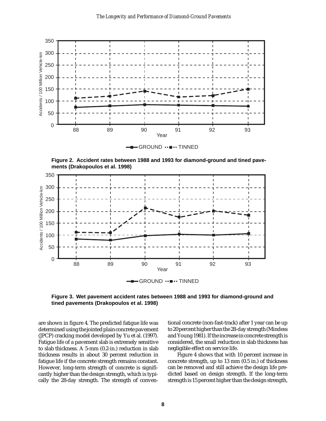

**Figure 2. Accident rates between 1988 and 1993 for diamond-ground and tined pavements (Drakopoulos et al. 1998)**



**Figure 3. Wet pavement accident rates between 1988 and 1993 for diamond-ground and tined pavements (Drakopoulos et al. 1998)**

are shown in figure 4. The predicted fatigue life was determined using the jointed plain concrete pavement (JPCP) cracking model developed by Yu et al. (1997). Fatigue life of a pavement slab is extremely sensitive to slab thickness. A 5-mm (0.2-in.) reduction in slab thickness results in about 30 percent reduction in fatigue life if the concrete strength remains constant. However, long-term strength of concrete is significantly higher than the design strength, which is typically the 28-day strength. The strength of conventional concrete (non-fast-track) after 1 year can be up to 20 percent higher than the 28-day strength (Mindess and Young 1981). If the increase in concrete strength is considered, the small reduction in slab thickness has negligible effect on service life.

Figure 4 shows that with 10 percent increase in concrete strength, up to  $13 \text{ mm}$   $(0.5 \text{ in.})$  of thickness can be removed and still achieve the design life predicted based on design strength. If the long-term strength is 15 percent higher than the design strength,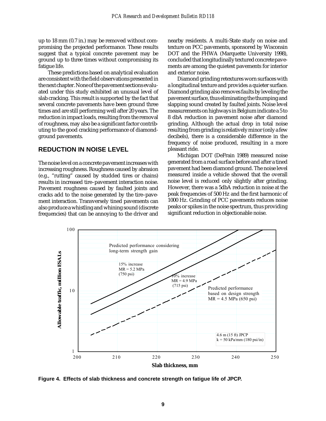up to 18 mm (0.7 in.) may be removed without compromising the projected performance. These results suggest that a typical concrete pavement may be ground up to three times without compromising its fatigue life.

These predictions based on analytical evaluation are consistent with the field observations presented in the next chapter. None of the pavement sections evaluated under this study exhibited an unusual level of slab cracking. This result is supported by the fact that several concrete pavements have been ground three times and are still performing well after 20 years. The reduction in impact loads, resulting from the removal of roughness, may also be a significant factor contributing to the good cracking performance of diamondground pavements.

#### **REDUCTION IN NOISE LEVEL**

The noise level on a concrete pavement increases with increasing roughness. Roughness caused by abrasion (e.g., "rutting" caused by studded tires or chains) results in increased tire–pavement interaction noise. Pavement roughness caused by faulted joints and cracks add to the noise generated by the tire–pavement interaction. Transversely tined pavements can also produce a whistling and whining sound (discrete frequencies) that can be annoying to the driver and nearby residents. A multi-State study on noise and texture on PCC pavements, sponsored by Wisconsin DOT and the FHWA (Marquette University 1998), concluded that longitudinally textured concrete pavements are among the quietest pavements for interior and exterior noise.

Diamond grinding retextures worn surfaces with a longitudinal texture and provides a quieter surface. Diamond grinding also removes faults by leveling the pavement surface, thus eliminating the thumping and slapping sound created by faulted joints. Noise level measurements on highways in Belgium indicate a 5 to 8 dbA reduction in pavement noise after diamond grinding. Although the actual drop in total noise resulting from grinding is relatively minor (only a few decibels), there is a considerable difference in the frequency of noise produced, resulting in a more pleasant ride.

Michigan DOT (DeFrain 1989) measured noise generated from a road surface before and after a tined pavement had been diamond ground. The noise level measured inside a vehicle showed that the overall noise level is reduced only slightly after grinding. However, there was a 5dbA reduction in noise at the peak frequencies of 500 Hz and the first harmonic of 1000 Hz. Grinding of PCC pavements reduces noise peaks or spikes in the noise spectrum, thus providing significant reduction in objectionable noise.



**Figure 4. Effects of slab thickness and concrete strength on fatigue life of JPCP.**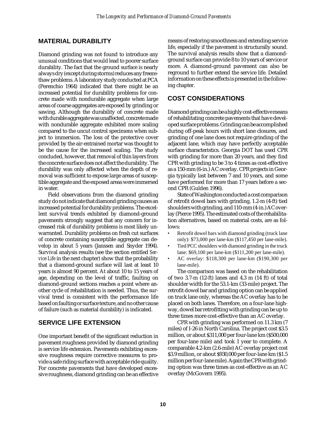#### **MATERIAL DURABILITY**

Diamond grinding was not found to introduce any unusual conditions that would lead to poorer surface durability. The fact that the ground surface is nearly always dry (except during storms) reduces any freezethaw problems. A laboratory study conducted at PCA (Perenchio 1964) indicated that there might be an increased potential for durability problems for concrete made with nondurable aggregate when large areas of coarse aggregates are exposed by grinding or sawing. Although the durability of concrete made with durable aggregate was unaffected, concrete made with nondurable aggregate exhibited more scaling compared to the uncut control specimens when subject to immersion. The loss of the protective cover provided by the air-entrained mortar was thought to be the cause for the increased scaling. The study concluded, however, that removal of thin layers from the concrete surface does not affect the durability. The durability was only affected when the depth of removal was sufficient to expose large areas of susceptible aggregate and the exposed areas were immersed in water.

Field observations from the diamond grinding study do not indicate that diamond grinding causes an increased potential for durability problems. The excellent survival trends exhibited by diamond-ground pavements strongly suggest that any concern for increased risk of durability problems is most likely unwarranted. Durability problems on fresh cut surfaces of concrete containing susceptible aggregate can develop in about 5 years (Janssen and Snyder 1994). Survival analysis results (see the section entitled *Service Life* in the next chapter) show that the probability that a diamond-ground surface will last at least 10 years is almost 90 percent. At about 10 to 15 years of age, depending on the level of traffic, faulting on diamond-ground sections reaches a point where another cycle of rehabilitation is needed. Thus, the survival trend is consistent with the performance life based on faulting or surface texture, and no other cause of failure (such as material durability) is indicated.

#### **SERVICE LIFE EXTENSION**

One important benefit of the significant reduction in pavement roughness provided by diamond grinding is service life extension. Pavements exhibiting excessive roughness require corrective measures to provide a safe riding surface with acceptable ride quality. For concrete pavements that have developed excessive roughness, diamond grinding can be an effective means of restoring smoothness and extending service life, especially if the pavement is structurally sound. The survival analysis results show that a diamondground surface can provide 8 to 10 years of service or more. A diamond-ground pavement can also be reground to further extend the service life. Detailed information on these effects is presented in the following chapter.

#### **COST CONSIDERATIONS**

Diamond grinding can be a highly cost-effective means of rehabilitating concrete pavements that have developed surface problems. Grinding can be accomplished during off-peak hours with short lane closures, and grinding of one lane does not require grinding of the adjacent lane, which may have perfectly acceptable surface characteristics. Georgia DOT has used CPR with grinding for more than 20 years, and they find CPR with grinding to be 3 to 4 times as cost-effective as a 150-mm (6-in.) AC overlay. CPR projects in Georgia typically last between 7 and 10 years, and some have performed for more than 17 years before a second CPR (Gulden 1996).

State of Washington conducted a cost comparison of retrofit dowel bars with grinding, 1.2-m (4-ft) tied shoulders with grinding, and 110-mm (4-in.) AC overlay (Pierce 1995). The estimated costs of the rehabilitation alternatives, based on material costs, are as follows:

- Retrofit dowel bars with diamond grinding (truck lane only): \$73,000 per lane-km (\$117,450 per lane-mile).
- Tied PCC shoulders with diamond grinding in the truck lane: \$69,100 per lane-km (\$111,200 per lane-mile).
- AC overlay: \$118,300 per lane-km (\$190,300 per lane-mile).

The comparison was based on the rehabilitation of two 3.7-m (12-ft) lanes and 4.3 m (14 ft) of total shoulder width for the 53.1-km (33-mile) project. The retrofit dowel bar and grinding option can be applied on truck lane only, whereas the AC overlay has to be placed on both lanes. Therefore, on a four-lane highway, dowel bar retrofitting with grinding can be up to three times more cost-effective than an AC overlay.

CPR with grinding was performed on 11.3 km (7 miles) of I-26 in North Carolina. The project cost \$3.5 million, or about \$311,000 per four-lane km (\$500,000 per four-lane mile) and took 1 year to complete. A comparable 4.2-km (2.6-mile) AC overlay project cost \$3.9 million, or about \$930,000 per four-lane km (\$1.5 million per four-lane mile). Again the CPR with grinding option was three times as cost-effective as an AC overlay (McGovern 1995).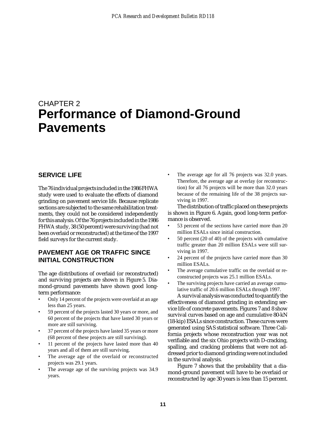## CHAPTER 2 **Performance of Diamond-Ground Pavements**

#### **SERVICE LIFE**

The 76 individual projects included in the 1986 FHWA study were used to evaluate the effects of diamond grinding on pavement service life. Because replicate sections are subjected to the same rehabilitation treatments, they could not be considered independently for this analysis. Of the 76 projects included in the 1986 FHWA study, 38 (50 percent) were surviving (had not been overlaid or reconstructed) at the time of the 1997 field surveys for the current study.

#### **PAVEMENT AGE OR TRAFFIC SINCE INITIAL CONSTRUCTION**

The age distributions of overlaid (or reconstructed) and surviving projects are shown in Figure 5. Diamond-ground pavements have shown good longterm performance:

- Only 14 percent of the projects were overlaid at an age less than 25 years.
- 59 percent of the projects lasted 30 years or more, and 60 percent of the projects that have lasted 30 years or more are still surviving.
- 37 percent of the projects have lasted 35 years or more (68 percent of these projects are still surviving).
- 11 percent of the projects have lasted more than 40 years and all of them are still surviving.
- The average age of the overlaid or reconstructed projects was 29.1 years.
- The average age of the surviving projects was 34.9 years.

The average age for all 76 projects was 32.0 years. Therefore, the average age at overlay (or reconstruction) for all 76 projects will be more than 32.0 years because of the remaining life of the 38 projects surviving in 1997.

The distribution of traffic placed on these projects is shown in Figure 6. Again, good long-term performance is observed.

- 53 percent of the sections have carried more than 20 million ESALs since initial construction.
- 50 percent (20 of 40) of the projects with cumulative traffic greater than 20 million ESALs were still surviving in 1997.
- 24 percent of the projects have carried more than 30 million ESALs.
- The average cumulative traffic on the overlaid or reconstructed projects was 25.1 million ESALs.
- The surviving projects have carried an average cumulative traffic of 20.6 million ESALs through 1997.

A survival analysis was conducted to quantify the effectiveness of diamond grinding in extending service life of concrete pavements. Figures 7 and 8 show survival curves based on age and cumulative 80-kN (18-kip) ESALs since construction. These curves were generated using SAS statistical software. Three California projects whose reconstruction year was not verifiable and the six Ohio projects with D-cracking, spalling, and cracking problems that were not addressed prior to diamond grinding were not included in the survival analysis.

Figure 7 shows that the probability that a diamond-ground pavement will have to be overlaid or reconstructed by age 30 years is less than 15 percent.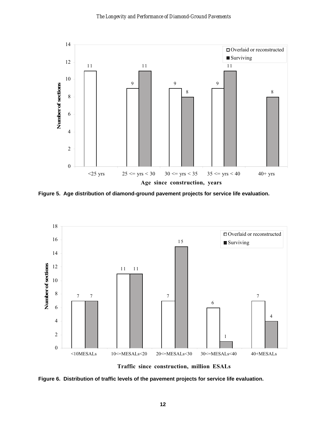

**Figure 5. Age distribution of diamond-ground pavement projects for service life evaluation.**



**Traffic since construction, million ESALs**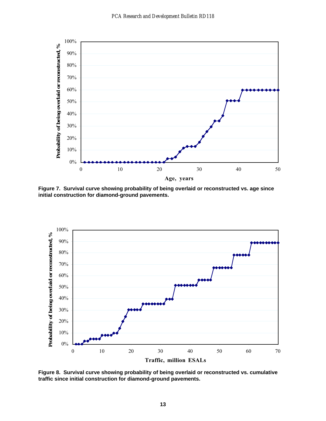

**Figure 7. Survival curve showing probability of being overlaid or reconstructed vs. age since initial construction for diamond-ground pavements.**



**Figure 8. Survival curve showing probability of being overlaid or reconstructed vs. cumulative**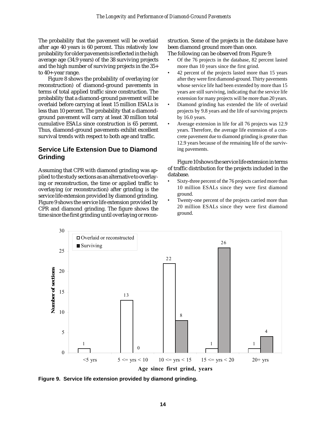The probability that the pavement will be overlaid after age 40 years is 60 percent. This relatively low probability for older pavements is reflected in the high average age (34.9 years) of the 38 surviving projects and the high number of surviving projects in the 35+ to 40+-year range.

Figure 8 shows the probability of overlaying (or reconstruction) of diamond-ground pavements in terms of total applied traffic since construction. The probability that a diamond-ground pavement will be overlaid before carrying at least 15 million ESALs is less than 10 percent. The probability that a diamondground pavement will carry at least 30 million total cumulative ESALs since construction is 65 percent. Thus, diamond-ground pavements exhibit excellent survival trends with respect to both age and traffic.

#### **Service Life Extension Due to Diamond Grinding**

Assuming that CPR with diamond grinding was applied to the study sections as an alternative to overlaying or reconstruction, the time or applied traffic to overlaying (or reconstruction) after grinding is the service life extension provided by diamond grinding. Figure 9 shows the service life extension provided by CPR and diamond grinding. The figure shows the time since the first grinding until overlaying or reconstruction. Some of the projects in the database have been diamond ground more than once.

The following can be observed from Figure 9:

- Of the 76 projects in the database, 82 percent lasted more than 10 years since the first grind.
- 42 percent of the projects lasted more than 15 years after they were first diamond-ground. Thirty pavements whose service life had been extended by more than 15 years are still surviving, indicating that the service life extension for many projects will be more than 20 years.
- Diamond grinding has extended the life of overlaid projects by 9.8 years and the life of surviving projects by 16.0 years.
- Average extension in life for all 76 projects was 12.9 years. Therefore, the average life extension of a concrete pavement due to diamond grinding is greater than 12.9 years because of the remaining life of the surviving pavements.

Figure 10 shows the service life extension in terms of traffic distribution for the projects included in the database.

- Sixty-three percent of the 76 projects carried more than 10 million ESALs since they were first diamond ground.
- Twenty-one percent of the projects carried more than 20 million ESALs since they were first diamond ground.



**Figure 9. Service life extension provided by diamond grinding.**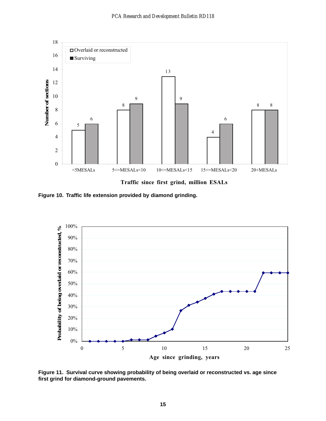

**Figure 10. Traffic life extension provided by diamond grinding.**



**Figure 11. Survival curve showing probability of being overlaid or reconstructed vs. age since**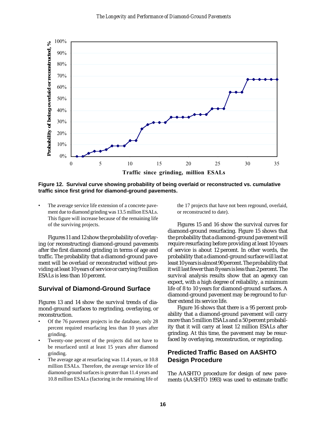

**Figure 12. Survival curve showing probability of being overlaid or reconstructed vs. cumulative**

The average service life extension of a concrete pavement due to diamond grinding was 13.5 million ESALs. This figure will increase because of the remaining life of the surviving projects.

Figures 11 and 12 show the probability of overlaying (or reconstructing) diamond-ground pavements after the first diamond grinding in terms of age and traffic. The probability that a diamond-ground pavement will be overlaid or reconstructed without providing at least 10 years of service or carrying 9 million ESALs is less than 10 percent.

#### **Survival of Diamond-Ground Surface**

Figures 13 and 14 show the survival trends of diamond-ground surfaces to regrinding, overlaying, or reconstruction.

- Of the 76 pavement projects in the database, only 28 percent required resurfacing less than 10 years after grinding.
- Twenty-one percent of the projects did not have to be resurfaced until at least 15 years after diamond grinding.
- The average age at resurfacing was 11.4 years, or 10.8 million ESALs. Therefore, the average service life of diamond-ground surfaces is greater than 11.4 years and 10.8 million ESALs (factoring in the remaining life of

the 17 projects that have not been reground, overlaid, or reconstructed to date).

Figures 15 and 16 show the survival curves for diamond-ground resurfacing. Figure 15 shows that the probability that a diamond-ground pavement will require resurfacing before providing at least 10 years of service is about 12 percent. In other words, the probability that a diamond-ground surface will last at least 10 years is almost 90 percent. The probability that it will last fewer than 8 years is less than 2 percent. The survival analysis results show that an agency can expect, with a high degree of reliability, a minimum life of 8 to 10 years for diamond-ground surfaces. A diamond-ground pavement may be reground to further extend its service life.

Figure 16 shows that there is a 95 percent probability that a diamond-ground pavement will carry more than 5 million ESALs and a 50 percent probability that it will carry at least 12 million ESALs after grinding. At this time, the pavement may be resurfaced by overlaying, reconstruction, or regrinding.

#### **Predicted Traffic Based on AASHTO Design Procedure**

The AASHTO procedure for design of new pavements (AASHTO 1993) was used to estimate traffic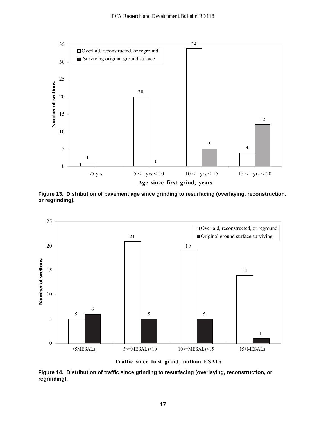

**Figure 13. Distribution of pavement age since grinding to resurfacing (overlaying, reconstruction, or regrinding).**



**Traffic since first grind, million ESALs**

**Figure 14. Distribution of traffic since grinding to resurfacing (overlaying, reconstruction, or** regrinding).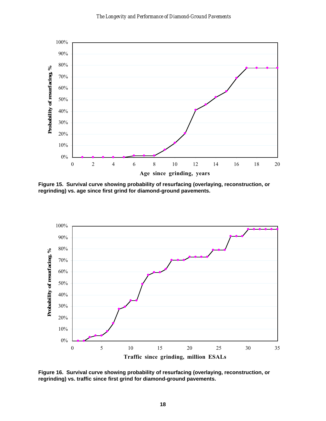*The Longevity and Performance of Diamond-Ground Pavements*



**Figure 15. Survival curve showing probability of resurfacing (overlaying, reconstruction, or regrinding) vs. age since first grind for diamond-ground pavements.**



**Figure 16. Survival curve showing probability of resurfacing (overlaying, reconstruction, or**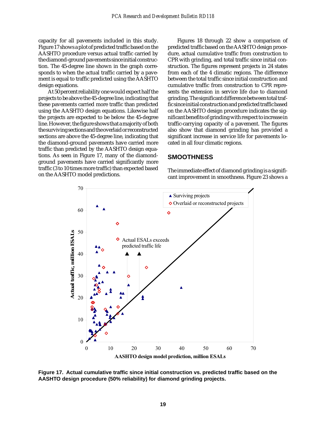capacity for all pavements included in this study. Figure 17 shows a plot of predicted traffic based on the AASHTO procedure versus actual traffic carried by the diamond-ground pavements since initial construction. The 45-degree line shown in the graph corresponds to when the actual traffic carried by a pavement is equal to traffic predicted using the AASHTO design equations.

At 50 percent reliability one would expect half the projects to be above the 45-degree line, indicating that these pavements carried more traffic than predicted using the AASHTO design equations. Likewise half the projects are expected to be below the 45-degree line. However, the figure shows that a majority of both the surviving sections and the overlaid or reconstructed sections are above the 45-degree line, indicating that the diamond-ground pavements have carried more traffic than predicted by the AASHTO design equations. As seen in Figure 17, many of the diamondground pavements have carried significantly more traffic (3 to 10 times more traffic) than expected based on the AASHTO model predictions.

Figures 18 through 22 show a comparison of predicted traffic based on the AASHTO design procedure, actual cumulative traffic from construction to CPR with grinding, and total traffic since initial construction. The figures represent projects in 24 states from each of the 4 climatic regions. The difference between the total traffic since initial construction and cumulative traffic from construction to CPR represents the extension in service life due to diamond grinding. The significant difference between total traffic since initial construction and predicted traffic based on the AASHTO design procedure indicates the significant benefits of grinding with respect to increase in traffic-carrying capacity of a pavement. The figures also show that diamond grinding has provided a significant increase in service life for pavements located in all four climatic regions.

#### **SMOOTHNESS**

The immediate effect of diamond grinding is a significant improvement in smoothness. Figure 23 shows a



**Figure 17. Actual cumulative traffic since initial construction vs. predicted traffic based on the AASHTO design procedure (50% reliability) for diamond grinding projects.**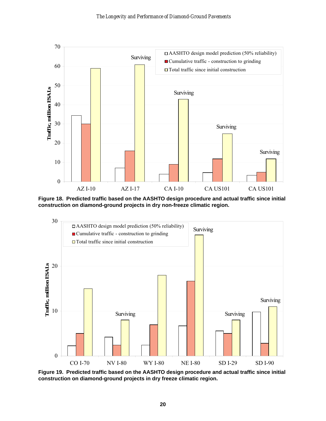

**Figure 18. Predicted traffic based on the AASHTO design procedure and actual traffic since initial construction on diamond-ground projects in dry non-freeze climatic region.**



**Figure 19. Predicted traffic based on the AASHTO design procedure and actual traffic since initial**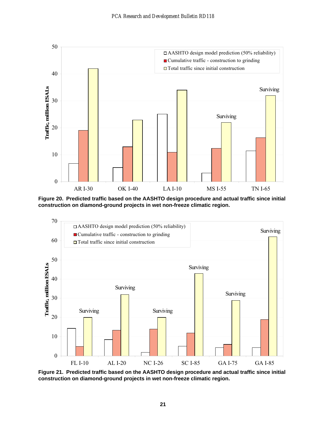

**Figure 20. Predicted traffic based on the AASHTO design procedure and actual traffic since initial construction on diamond-ground projects in wet non-freeze climatic region.**



**Figure 21. Predicted traffic based on the AASHTO design procedure and actual traffic since initial**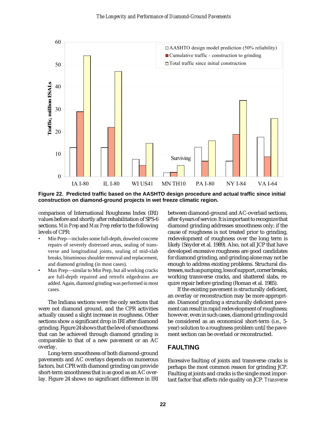

**Figure 22. Predicted traffic based on the AASHTO design procedure and actual traffic since initial**

comparison of International Roughness Index (IRI) values before and shortly after rehabilitation of SPS-6 sections. *Min Prep* and *Max Prep* refer to the following levels of CPR:

- Min Prep—includes some full-depth, doweled concrete repairs of severely distressed areas, sealing of transverse and longitudinal joints, sealing of mid-slab breaks, bituminous shoulder removal and replacement, and diamond grinding (in most cases).
- Max Prep—similar to Min Prep, but all working cracks are full-depth repaired and retrofit edgedrains are added. Again, diamond grinding was performed in most cases.

The Indiana sections were the only sections that were not diamond ground, and the CPR activities actually caused a slight increase in roughness. Other sections show a significant drop in IRI after diamond grinding. Figure 24 shows that the level of smoothness that can be achieved through diamond grinding is comparable to that of a new pavement or an AC overlay.

Long-term smoothness of both diamond-ground pavements and AC overlays depends on numerous factors, but CPR with diamond grinding can provide short-term smoothness that is as good as an AC overlay. Figure 24 shows no significant difference in IRI between diamond-ground and AC-overlaid sections, after 4 years of service. It is important to recognize that diamond grinding addresses smoothness only; if the cause of roughness is not treated prior to grinding, redevelopment of roughness over the long term is likely (Snyder et al. 1989). Also, not all JCP that have developed excessive roughness are good candidates for diamond grinding, and grinding alone may not be enough to address existing problems. Structural distresses, such as pumping, loss of support, corner breaks, working transverse cracks, and shattered slabs, require repair before grinding (Roman et al. 1985).

If the existing pavement is structurally deficient, an overlay or reconstruction may be more appropriate. Diamond grinding a structurally deficient pavement can result in rapid redevelopment of roughness; however, even in such cases, diamond grinding could be considered as an economical short-term (i.e., 5 year) solution to a roughness problem until the pavement section can be overlaid or reconstructed.

## **FAULTING**

Excessive faulting of joints and transverse cracks is perhaps the most common reason for grinding JCP. Faulting at joints and cracks is the single most important factor that affects ride quality on JCP. *Transverse*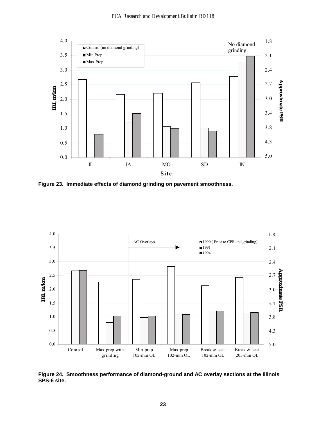

**Figure 23. Immediate effects of diamond grinding on pavement smoothness.**



**Figure 24. Smoothness performance of diamond-ground and AC overlay sections at the Illinois**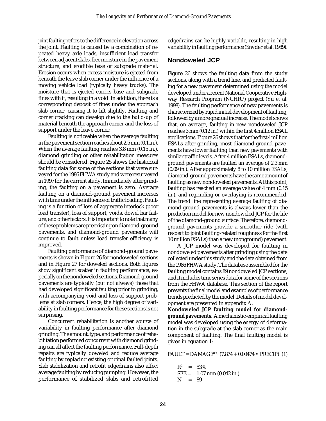*joint faulting* refers to the difference in elevation across the joint. Faulting is caused by a combination of repeated heavy axle loads, insufficient load transfer between adjacent slabs, free moisture in the pavement structure, and erodible base or subgrade material. Erosion occurs when excess moisture is ejected from beneath the leave slab corner under the influence of a moving vehicle load (typically heavy trucks). The moisture that is ejected carries base and subgrade fines with it, resulting in a void. In addition, there is a corresponding deposit of fines under the approach slab corner, causing it to lift slightly. Faulting and corner cracking can develop due to the build-up of material beneath the approach corner and the loss of support under the leave corner.

Faulting is noticeable when the average faulting in the pavement section reaches about 2.5 mm (0.1 in.). When the average faulting reaches 3.8 mm (0.15 in.), diamond grinding or other rehabilitation measures should be considered. Figure 25 shows the historical faulting data for some of the sections that were surveyed for the 1986 FHWA study and were resurveyed in 1997 for the current study. Immediately after grinding, the faulting on a pavement is zero. Average faulting on a diamond-ground pavement increases with time under the influence of traffic loading. Faulting is a function of loss of aggregate interlock (poor load transfer), loss of support, voids, dowel bar failure, and other factors. It is important to note that many of these problems are preexisting on diamond-ground pavements, and diamond-ground pavements will continue to fault unless load transfer efficiency is improved.

Faulting performance of diamond-ground pavements is shown in Figure 26 for nondoweled sections and in Figure 27 for doweled sections. Both figures show significant scatter in faulting performance, especially on the nondoweled sections. Diamond-ground pavements are typically (but not always) those that had developed significant faulting prior to grinding, with accompanying void and loss of support problems at slab corners. Hence, the high degree of variability in faulting performance for these sections is not surprising.

Concurrent rehabilitation is another source of variability in faulting performance after diamond grinding. The amount, type, and performance of rehabilitation performed concurrent with diamond grinding can all affect the faulting performance. Full-depth repairs are typically doweled and reduce average faulting by replacing existing original faulted joints. Slab stabilization and retrofit edgedrains also affect average faulting by reducing pumping. However, the performance of stabilized slabs and retrofitted

edgedrains can be highly variable, resulting in high variability in faulting performance (Snyder et al. 1989).

## **Nondoweled JCP**

Figure 26 shows the faulting data from the study sections, along with a trend line, and predicted faulting for a new pavement determined using the model developed under a recent National Cooperative Highway Research Program (NCHRP) project (Yu et al. 1998). The faulting performance of new pavements is characterized by rapid initial development of faulting, followed by a more gradual increase. The model shows that, on average, faulting in new nondoweled JCP reaches 3 mm (0.12 in.) within the first 4 million ESAL applications. Figure 26 shows that for the first 4 million ESALs after grinding, most diamond-ground pavements have lower faulting than new pavements with similar traffic levels. After 4 million ESALs, diamondground pavements are faulted an average of 2.3 mm (0.09 in.). After approximately 8 to 10 million ESALs, diamond-ground pavements have the same amount of faulting as new nondoweled pavements. At this point, faulting has reached an average value of 4 mm (0.15 in.), and regrinding or overlaying is recommended. The trend line representing average faulting of diamond-ground pavements is always lower than the prediction model for new nondoweled JCP for the life of the diamond-ground surface. Therefore, diamondground pavements provide a smoother ride (with respect to joint faulting-related roughness for the first 10 million ESALs) than a new (nonground) pavement.

A JCP model was developed for faulting in nondoweled pavements after grinding using the data collected under this study and the data obtained from the 1986 FHWA study. The database assembled for the faulting model contains 89 nondoweled JCP sections, and it includes time series data for some of the sections from the FHWA database. This section of the report presents the final model and examples of performance trends predicted by the model. Details of model development are presented in appendix A.

**Nondoweled JCP faulting model for diamondground pavements.** A mechanistic-empirical faulting model was developed using the energy of deformation in the subgrade at the slab corner as the main component of faulting. The final faulting model is given in equation 1:

 $FAULT = DAMAGE<sup>0.35</sup> (7.874 + 0.00474 • PRECIP)$  (1)

$$
R^2 = 53\%
$$
  
SEE = 1.07 mm (0.042 in.)  
N = 89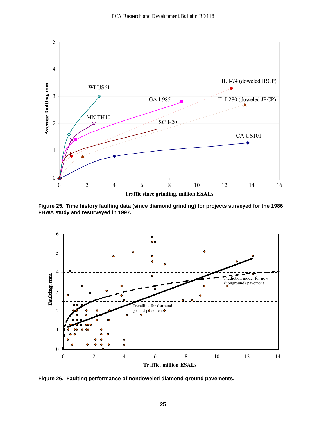

**Figure 25. Time history faulting data (since diamond grinding) for projects surveyed for the 1986 FHWA study and resurveyed in 1997.**

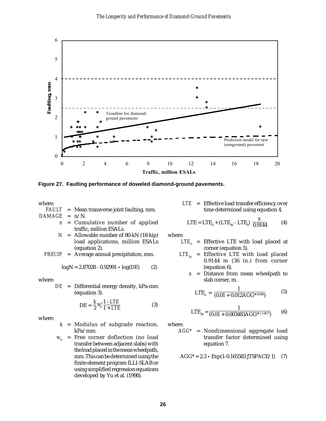

**Figure 27. Faulting performance of doweled diamond-ground pavements.**

where:

*FAULT* = Mean transverse joint faulting, mm.  $DAMAGE = n/N$ .

- *n* = Cumulative number of applied traffic, million ESALs.
- $N =$  Allowable number of 80-kN (18-kip) load applications, million ESALs (equation 2).
- *PRECIP* = Average annual precipitation, mm.

$$
logN = 2.87028 - 0.92991 \cdot log(DE)
$$
 (2)

where:

*DE* = Differential energy density, kPa-mm (equation 3).

$$
DE = \frac{k}{2} w_{k}^{2} \frac{1 - LTE}{1 + LTE}
$$
 (3)

where:

- *k* = Modulus of subgrade reaction, kPa/mm.
- $W_{c}$  = Free corner deflection (no load transfer between adjacent slabs) with the load placed in the mean wheelpath, mm. This can be determined using the finite element program ILLI-SLAB or using simplified regression equations developed by Yu et al. (1998).

*LTE* = Effective load transfer efficiency over time determined using equation 4.

LTE = LTE<sub>0</sub> + (LTE<sub>36</sub> - LTE<sub>0</sub>) 
$$
\frac{x}{0.9144}
$$
 (4)

where:

- $LTE<sub>0</sub>$  = Effective LTE with load placed at corner (equation 5).
- $LTE_{36}$  = Effective LTE with load placed 0.9144 m (36 in.) from corner (equation 6).
	- *x* = Distance from mean wheelpath to slab corner, m.

$$
LTE_{0} = \frac{1}{(0.01 + 0.012 \text{AGG}^{*0.849})}
$$
(5)

$$
LTE_{36} = \frac{1}{(0.01 + 0.003483AGG^{*+1.13677})}
$$
 (6)

where:

*AGG\** = Nondimensional aggregate load transfer factor determined using equation 7.

$$
AGG^* = 2.3 \cdot Exp(1 - 0.165583 JTSPACE/I) \quad (7)
$$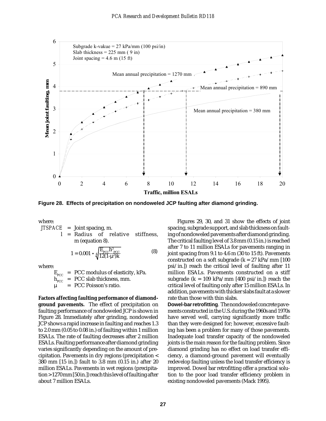

**Figure 28. Effects of precipitation on nondoweled JCP faulting after diamond grinding.**

where:

*JTSPACE* = Joint spacing, m. l = Radius of relative stiffness, m (equation 8).  $1 = 0.001 \cdot \sqrt[4]{\frac{{\rm{E_{p}}}_{\rm{CC}}}{{12(1 - \mu^2)}{\rm{K}}}}$ (8)

where:

$$
E_{PCC} = PCC modulus of elasticity, kPa.\n
$$
h_{PCC} = PCC slab thickness, mm.\n\mu = PCC Poisson's ratio.
$$
$$

**Factors affecting faulting performance of diamondground pavements.** The effect of precipitation on faulting performance of nondoweled JCP is shown in Figure 28. Immediately after grinding, nondoweled JCP shows a rapid increase in faulting and reaches 1.3 to 2.0 mm (0.05 to 0.08 in.) of faulting within 1 million ESALs. The rate of faulting decreases after 2 million ESALs. Faulting performance after diamond grinding varies significantly depending on the amount of precipitation. Pavements in dry regions (precipitation < 380 mm [15 in.]) fault to 3.8 mm (0.15 in.) after 20 million ESALs. Pavements in wet regions (precipitation > 1270 mm [50 in.]) reach this level of faulting after about 7 million ESALs.

Figures 29, 30, and 31 show the effects of joint spacing, subgrade support, and slab thickness on faulting of nondoweled pavements after diamond grinding. The critical faulting level of 3.8 mm (0.15 in.) is reached after 7 to 11 million ESALs for pavements ranging in joint spacing from 9.1 to 4.6 m (30 to 15 ft). Pavements constructed on a soft subgrade ( $k = 27$  kPa/mm [100] psi/in.]) reach the critical level of faulting after 11 million ESALs. Pavements constructed on a stiff subgrade (k = 109 kPa/mm [400 psi/in.]) reach the critical level of faulting only after 15 million ESALs. In addition, pavements with thicker slabs fault at a slower rate than those with thin slabs.

**Dowel-bar retrofitting**. The nondoweled concrete pavements constructed in the U.S. during the 1960s and 1970s have served well, carrying significantly more traffic than they were designed for; however, excessive faulting has been a problem for many of those pavements. Inadequate load transfer capacity of the nondoweled joints is the main reason for the faulting problem. Since diamond grinding has no effect on load transfer efficiency, a diamond-ground pavement will eventually redevelop faulting unless the load transfer efficiency is improved. Dowel bar retrofitting offer a practical solution to the poor load transfer efficiency problem in existing nondoweled pavements (Mack 1995).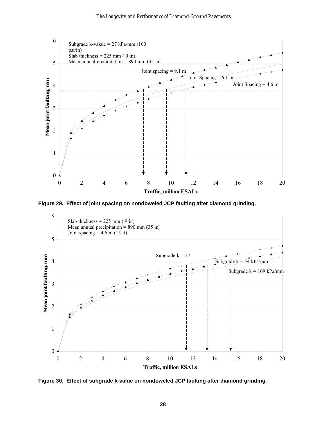

**Figure 29. Effect of joint spacing on nondoweled JCP faulting after diamond grinding.**

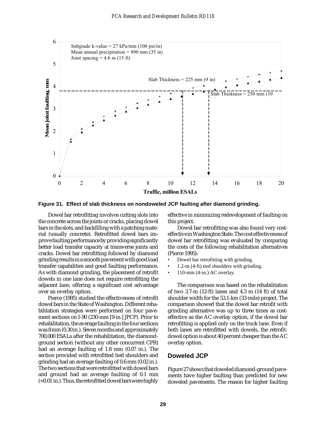

Dowel bar retrofitting involves cutting slots into the concrete across the joints or cracks, placing dowel bars in the slots, and backfilling with a patching material (usually concrete). Retrofitted dowel bars improve faulting performance by providing significantly better load transfer capacity at transverse joints and cracks. Dowel bar retrofitting followed by diamond grinding results in a smooth pavement with good load transfer capabilities and good faulting performance. As with diamond grinding, the placement of retrofit dowels in one lane does not require retrofitting the adjacent lane, offering a significant cost advantage over an overlay option.

Pierce (1995) studied the effectiveness of retrofit dowel bars in the State of Washington. Different rehabilitation strategies were performed on four pavement sections on I-90 (230-mm [9-in.] JPCP). Prior to rehabilitation, the average faulting in the four sections was 8 mm (0.30 in.). Seven months and approximately 700,000 ESALs after the rehabilitation, the diamondground section (without any other concurrent CPR) had an average faulting of 1.8 mm (0.07 in.). The section provided with retrofitted tied shoulders and grinding had an average faulting of 0.6 mm (0.02 in.). The two sections that were retrofitted with dowel bars and ground had an average faulting of 0.1 mm (<0.01 in.). Thus, the retrofitted dowel bars were highly

effective in minimizing redevelopment of faulting on this project.

Dowel bar retrofitting was also found very costeffective in Washington State. The cost effectiveness of dowel bar retrofitting was evaluated by comparing the costs of the following rehabilitation alternatives (Pierce 1995):

- Dowel bar retrofitting with grinding.
- 1.2-m (4-ft) tied shoulders with grinding.
- $\bullet$  110-mm (4-in.) AC overlay.

The comparison was based on the rehabilitation of two 3.7-m (12-ft) lanes and 4.3 m (14 ft) of total shoulder width for the 53.1-km (33-mile) project. The comparison showed that the dowel bar retrofit with grinding alternative was up to three times as costeffective as the AC overlay option, if the dowel bar retrofitting is applied only on the truck lane. Even if both lanes are retrofitted with dowels, the retrofitdowel option is about 40 percent cheaper than the AC overlay option.

#### **Doweled JCP**

Figure 27 shows that doweled diamond-ground pavements have higher faulting than predicted for new doweled pavements. The reason for higher faulting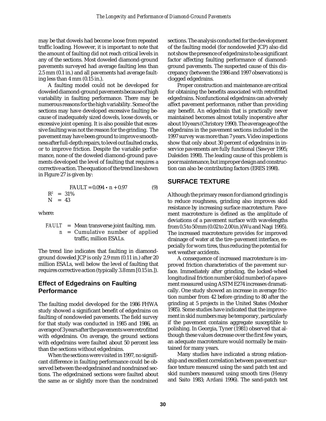may be that dowels had become loose from repeated traffic loading. However, it is important to note that the amount of faulting did not reach critical levels in any of the sections. Most doweled diamond-ground pavements surveyed had average faulting less than 2.5 mm (0.1 in.) and all pavements had average faulting less than 4 mm (0.15 in.).

A faulting model could not be developed for doweled diamond-ground pavements because of high variability in faulting performance. There may be numerous reasons for the high variability. Some of the sections may have developed excessive faulting because of inadequately sized dowels, loose dowels, or excessive joint opening. It is also possible that excessive faulting was not the reason for the grinding. The pavement may have been ground to improve smoothness after full-depth repairs, to level out faulted cracks, or to improve friction. Despite the variable performance, none of the doweled diamond-ground pavements developed the level of faulting that requires a corrective action. The equation of the trend line shown in Figure 27 is given by:

$$
FAULT = 0.094 \cdot n + 0.97
$$
  
\n
$$
R^2 = 31\%
$$
  
\n
$$
N = 43
$$
 (9)

where:

$$
FAULT = Mean transverse joint faulting, mm. \nn = Cumulative number of applied\ntraffic, million ESALS.
$$

The trend line indicates that faulting in diamondground doweled JCP is only 2.9 mm (0.11 in.) after 20 million ESALs, well below the level of faulting that requires corrective action (typically 3.8 mm [0.15 in.]).

## **Effect of Edgedrains on Faulting Performance**

The faulting model developed for the 1986 FHWA study showed a significant benefit of edgedrains on faulting of nondoweled pavements. The field survey for that study was conducted in 1985 and 1986, an average of 3 years after the pavements were retrofitted with edgedrains. On average, the ground sections with edgedrains were faulted about 50 percent less than the sections without edgedrains.

When the sections were visited in 1997, no significant difference in faulting performance could be observed between the edgedrained and nondrained sections. The edgedrained sections were faulted about the same as or slightly more than the nondrained sections. The analysis conducted for the development of the faulting model (for nondoweled JCP) also did not show the presence of edgedrains to be a significant factor affecting faulting performance of diamondground pavements. The suspected cause of this discrepancy (between the 1986 and 1997 observations) is clogged edgedrains.

Proper construction and maintenance are critical for obtaining the benefits associated with retrofitted edgedrains. Nonfunctional edgedrains can adversely affect pavement performance, rather than providing any benefit. An edgedrain that is practically never maintained becomes almost totally inoperative after about 10 years (Christory 1990). The average age of the edgedrains in the pavement sections included in the 1997 survey was more than 7 years. Video inspections show that only about 30 percent of edgedrains in inservice pavements are fully functional (Sawyer 1995; Daleiden 1998). The leading cause of this problem is poor maintenance, but improper design and construction can also be contributing factors (ERES 1998).

#### **SURFACE TEXTURE**

Although the primary reason for diamond grinding is to reduce roughness, grinding also improves skid resistance by increasing surface macrotexture. Pavement macrotexture is defined as the amplitude of deviations of a pavement surface with wavelengths from 0.5 to 50 mm (0.02 to 2.00 in.)(Wu and Nagi 1995). The increased macrotexture provides for improved drainage of water at the tire–pavement interface, especially for worn tires, thus reducing the potential for wet weather accidents.

A consequence of increased macrotexture is improved friction characteristics of the pavement surface. Immediately after grinding, the locked-wheel longitudinal friction number (skid number) of a pavement measured using ASTM E274 increases dramatically. One study showed an increase in average friction number from 42 before grinding to 80 after the grinding at 5 projects in the United States (Mosher 1985). Some studies have indicated that the improvement in skid numbers may be temporary, particularly if the pavement contains aggregate susceptible to polishing. In Georgia, Tyner (1981) observed that although these values decrease over the first few years, an adequate macrotexture would normally be maintained for many years.

Many studies have indicated a strong relationship and excellent correlation between pavement surface texture measured using the sand patch test and skid numbers measured using smooth tires (Henry and Saito 1983; Ardani 1996). The sand-patch test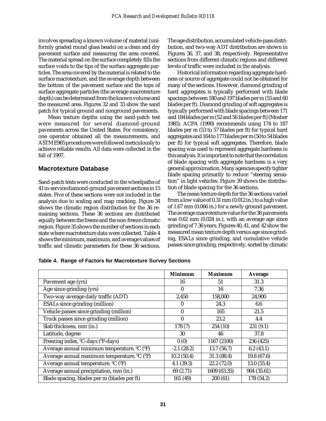involves spreading a known volume of material (uniformly graded round glass beads) on a clean and dry pavement surface and measuring the area covered. The material spread on the surface completely fills the surface voids to the tips of the surface aggregate particles. The area covered by the material is related to the surface macrotexture, and the average depth between the bottom of the pavement surface and the tops of surface aggregate particles (the average macrotexture depth) can be determined from the known volume and the measured area. Figures 32 and 33 show the sand patch for typical ground and nonground pavements.

Mean texture depths using the sand-patch test were measured for several diamond-ground pavements across the United States. For consistency, one operator obtained all the measurements, and ASTM E965 procedures were followed meticulously to achieve reliable results. All data were collected in the fall of 1997.

#### **Macrotexture Database**

Sand-patch tests were conducted in the wheelpaths of 41 in-service diamond-ground pavement sections in 15 states. Five of these sections were not included in the analysis due to scaling and map cracking. Figure 34 shows the climatic region distribution for the 36 remaining sections. These 36 sections are distributed equally between the freeze and the non-freeze climatic region. Figure 35 shows the number of sections in each state where macrotexture data were collected. Table 4 shows the minimum, maximum, and average values of traffic and climatic parameters for these 36 sections.

The age distribution, accumulated vehicle-pass distribution, and two-way ADT distribution are shown in Figures 36, 37, and 38, respectively. Representative sections from different climatic regions and different levels of traffic were included in the analysis.

Historical information regarding aggregate hardness or source of aggregate could not be obtained for many of the sections. However, diamond grinding of hard aggregates is typically performed with blade spacings between 180 and 197 blades per m (55 and 60 blades per ft). Diamond grinding of soft aggregates is typically performed with blade spacings between 171 and 184 blades per m (52 and 56 blades per ft) (Mosher 1985). ACPA (1990) recommends using 174 to 187 blades per m (53 to 57 blades per ft) for typical hard aggregates and 164 to 177 blades per m (50 to 54 blades per ft) for typical soft aggregates. Therefore, blade spacing was used to represent aggregate hardness in this analysis. It is important to note that the correlation of blade spacing with aggregate hardness is a very general approximation. Many agencies specify tighter blade spacing primarily to reduce "steering sensation" in light vehicles. Figure 39 shows the distribution of blade spacing for the 36 sections.

The mean texture depth for the 36 sections varied from a low value of 0.31 mm (0.012 in.) to a high value of 1.67 mm (0.066 in.) for a newly ground pavement. The average macrotexture value for the 36 pavements was 0.62 mm (0.024 in.), with an average age since grinding of 7.36 years. Figures 40, 41, and 42 show the measured mean texture depth versus age since grinding, ESALs since grinding, and cumulative vehicle passes since grinding, respectively, sorted by climatic

|                                                                      | <b>Minimum</b> | <b>Maximum</b> | Average     |
|----------------------------------------------------------------------|----------------|----------------|-------------|
| Pavement age (yrs)                                                   | 16             | 51             | 31.3        |
| Age since grinding (yrs)                                             | $\bf{0}$       | 16             | 7.36        |
| Two-way average daily traffic (ADT)                                  | 2,450          | 158,000        | 24,900      |
| <b>ESALs since grinding (million)</b>                                | $\mathbf{0}$   | 24.3           | 6.6         |
| Vehicle passes since grinding (million)                              | $\mathbf{0}$   | 165            | 21.5        |
| Truck passes since grinding (million)                                | $\bf{0}$       | 23.2           | 4.4         |
| Slab thickness, mm (in.)                                             | 178(7)         | 254 (10)       | 231(9.1)    |
| Latitude, degree                                                     | 30             | 46             | 37.8        |
| Freezing index, <sup>0</sup> C-days ( <sup>0</sup> F-days)           | 0(0)           | 1167 (2100)    | 236 (425)   |
| Average annual minimum temperature, <sup>0</sup> C ( <sup>0</sup> F) | $-2.1(28.2)$   | 13.7(56.7)     | 6.2(43.1)   |
| Average annual maximum temperature, <sup>0</sup> C ( <sup>0</sup> F) | 10.2(50.4)     | 31.3(88.4)     | 19.8 (67.6) |
| Average annual temperature, <sup>0</sup> C ( <sup>0</sup> F)         | 4.1(39.3)      | 22.2(72.0)     | 13.0(55.4)  |
| Average annual precipitation, mm (in.)                               | 69 (2.71)      | 1609 (63.35)   | 904 (35.61) |
| Blade spacing, blades per m (blades per ft)                          | 161 (49)       | 200(61)        | 178 (54.2)  |

**Table 4. Range of Factors for Macrotexture Survey Sections**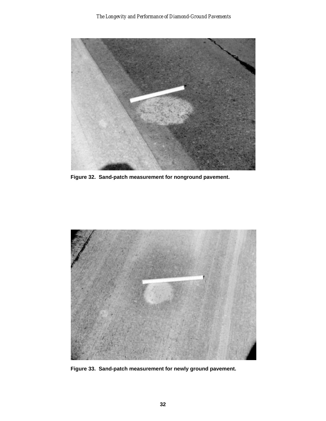

**Figure 32. Sand-patch measurement for nonground pavement.**



**Figure 33. Sand-patch measurement for newly ground pavement.**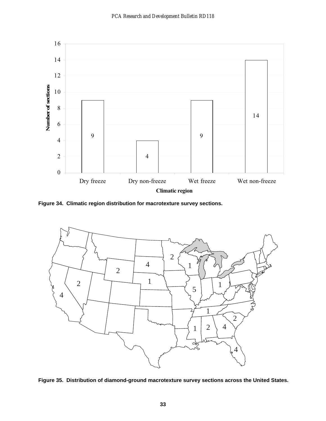

**Figure 34. Climatic region distribution for macrotexture survey sections.**

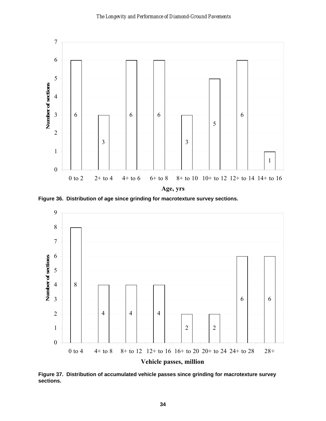

**Figure 36. Distribution of age since grinding for macrotexture survey sections.**



**Figure 37. Distribution of accumulated vehicle passes since grinding for macrotexture survey** sections.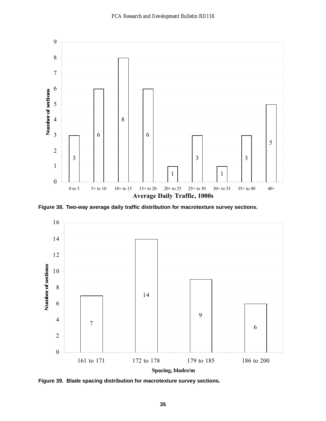

**Figure 38. Two-way average daily traffic distribution for macrotexture survey sections.**

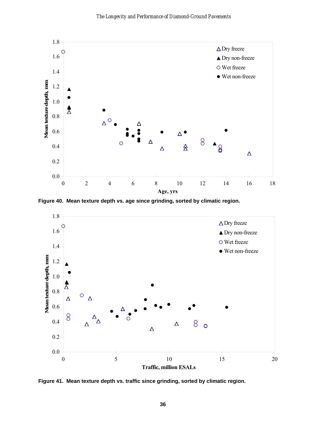



**Figure 41. Mean texture depth vs. traffic since grinding, sorted by climatic region.**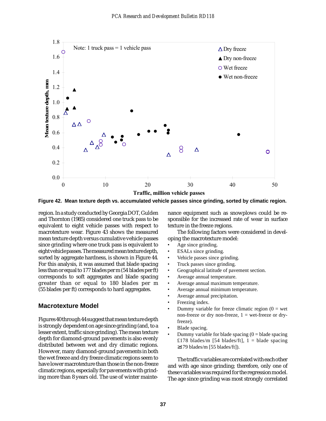

region. In a study conducted by Georgia DOT, Gulden and Thornton (1985) considered one truck pass to be equivalent to eight vehicle passes with respect to macrotexture wear. Figure 43 shows the measured mean texture depth versus cumulative vehicle passes since grinding where one truck pass is equivalent to eight vehicle passes. The measured mean texture depth, sorted by aggregate hardness, is shown in Figure 44. For this analysis, it was assumed that blade spacing less than or equal to 177 blades per m (54 blades per ft) corresponds to soft aggregates and blade spacing greater than or equal to 180 blades per m (55 blades per ft) corresponds to hard aggregates.

#### **Macrotexture Model**

Figures 40 through 44 suggest that mean texture depth is strongly dependent on age since grinding (and, to a lesser extent, traffic since grinding). The mean texture depth for diamond-ground pavements is also evenly distributed between wet and dry climatic regions. However, many diamond-ground pavements in both the wet freeze and dry freeze climatic regions seem to have lower macrotexture than those in the non-freeze climatic regions, especially for pavements with grinding more than 8 years old. The use of winter maintenance equipment such as snowplows could be responsible for the increased rate of wear in surface texture in the freeze regions.

The following factors were considered in developing the macrotexture model:

- Age since grinding.
- ESALs since grinding.
- Vehicle passes since grinding.
- Truck passes since grinding.
- Geographical latitude of pavement section.
- Average annual temperature.
- Average annual maximum temperature.
- Average annual minimum temperature.
- Average annual precipitation.
- Freezing index.
- Dummy variable for freeze climatic region  $(0 = w$ et non-freeze or dry non-freeze,  $1 =$  wet-freeze or dryfreeze).
- Blade spacing.
- Dummy variable for blade spacing  $(0 =$  blade spacing £178 blades/m [54 blades/ft],  $1 =$  blade spacing ≥179 blades/m [55 blades/ft]).

The traffic variables are correlated with each other and with age since grinding; therefore, only one of these variables was required for the regression model. The age since grinding was most strongly correlated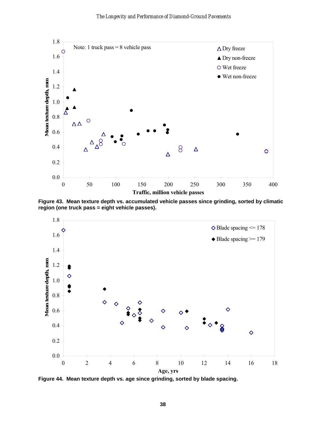

**Figure 43. Mean texture depth vs. accumulated vehicle passes since grinding, sorted by climatic region (one truck pass = eight vehicle passes).**

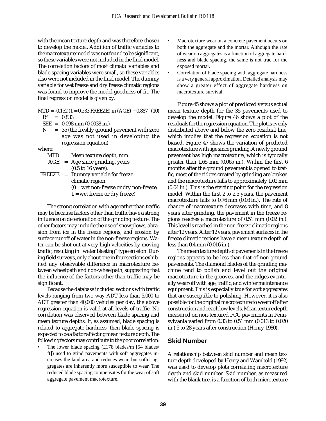with the mean texture depth and was therefore chosen to develop the model. Addition of traffic variables to the macrotexture model was not found to be significant, so these variables were not included in the final model. The correlation factors of most climatic variables and blade spacing variables were small, so these variables also were not included in the final model. The dummy variable for wet freeze and dry freeze climatic regions was found to improve the model goodness-of-fit. The final regression model is given by:

MTD = -0.152 (1 = 0.233 FREEZE) in (AGE) + 0.887 (10)<br> $R^2$  = 0.833  $= 0.833$ 

- SEE = 0.098 mm (0.0038 in.)
- $N = 35$  (the freshly ground pavement with zero age was not used in developing the regression equation)

where:

MTD = Mean texture depth, mm.

- AGE = Age since grinding, years (0.5 to 16 years).
- FREEZE = Dummy variable for freeze climatic region.  $(0 = \text{wet non-freeze or dry non-freeze})$ 1 = wet freeze or dry freeze)

The strong correlation with age rather than traffic may be because factors other than traffic have a strong influence on deterioration of the grinding texture. The other factors may include the use of snowplows, abrasion from ice in the freeze regions, and erosion by surface runoff of water in the non-freeze regions. Water can be shot out at very high velocities by moving traffic, resulting in "water blasting" type erosion. During field surveys, only about one in four sections exhibited any observable difference in macrotexture between wheelpath and non-wheelpath, suggesting that the influence of the factors other than traffic may be significant.

Because the database included sections with traffic levels ranging from two-way ADT less than 5,000 to ADT greater than 40,000 vehicles per day, the above regression equation is valid at all levels of traffic. No correlation was observed between blade spacing and mean texture depths. If, as assumed, blade spacing is related to aggregate hardness, then blade spacing is expected to be a factor affecting mean texture depth. The following factors may contribute to the poor correlation:

The lower blade spacing  $(\text{\textsterling}178 \text{ blades/m}$  [54 blades/ ft]) used to grind pavements with soft aggregates increases the land area and reduces wear, but softer aggregates are inherently more susceptible to wear. The reduced blade spacing compensates for the wear of soft aggregate pavement macrotexture.

- Macrotexture wear on a concrete pavement occurs on both the aggregate and the mortar. Although the rate of wear on aggregates is a function of aggregate hardness and blade spacing, the same is not true for the exposed mortar.
- Correlation of blade spacing with aggregate hardness is a very general approximation. Detailed analysis may show a greater effect of aggregate hardness on macrotexture survival.

Figure 45 shows a plot of predicted versus actual mean texture depth for the 35 pavements used to develop the model. Figure 46 shows a plot of the residuals for the regression equation. The plot is evenly distributed above and below the zero residual line, which implies that the regression equation is not biased. Figure 47 shows the variation of predicted macrotexture with age since grinding. A newly ground pavement has high macrotexture, which is typically greater than 1.65 mm (0.065 in.). Within the first 6 months after the ground pavement is opened to traffic, most of the ridges created by grinding are broken and the macrotexture falls to approximately 1.02 mm (0.04 in.). This is the starting point for the regression model. Within the first 2 to 2.5 years, the pavement macrotexture falls to 0.76 mm (0.03 in.). The rate of change of macrotexture decreases with time, and 8 years after grinding, the pavement in the freeze regions reaches a macrotexture of 0.51 mm (0.02 in.). This level is reached in the non-freeze climatic regions after 12 years. After 12 years, pavement surfaces in the freeze climatic regions have a mean texture depth of less than 0.4 mm (0.016 in.).

The mean texture depth of pavements in the freeze regions appears to be less than that of non-ground pavements. The diamond blades of the grinding machine tend to polish and level out the original macrotexture in the grooves, and the ridges eventually wear off with age, traffic, and winter maintenance equipment. This is especially true for soft aggregates that are susceptible to polishing. However, it is also possible for the original macrotexture to wear off after construction and reach low levels. Mean texture depth measured on non-textured PCC pavements in Pennsylvania varied from 0.33 to 0.51 mm (0.013 to 0.020 in.) 5 to 28 years after construction (Henry 1980).

#### **Skid Number**

A relationship between skid number and mean texture depth developed by Henry and Wambold (1992) was used to develop plots correlating macrotexture depth and skid number. Skid number, as measured with the blank tire, is a function of both microtexture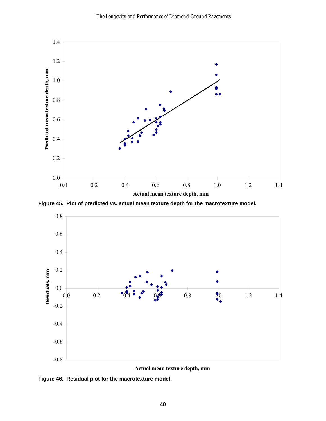

**Figure 45. Plot of predicted vs. actual mean texture depth for the macrotexture model.**



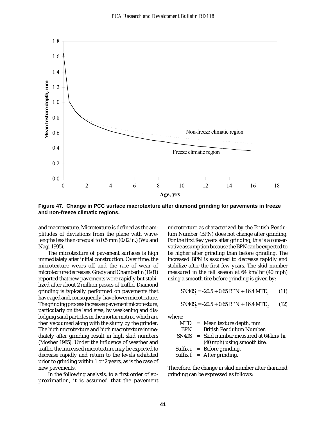

**Figure 47. Change in PCC surface macrotexture after diamond grinding for pavements in freeze**

and macrotexture. Microtexture is defined as the amplitudes of deviations from the plane with wavelengths less than or equal to 0.5 mm (0.02 in.) (Wu and Nagi 1995).

The microtexture of pavement surfaces is high immediately after initial construction. Over time, the microtexture wears off and the rate of wear of microtexture decreases. Grady and Chamberlin (1981) reported that new pavements wore rapidly but stabilized after about 2 million passes of traffic. Diamond grinding is typically performed on pavements that have aged and, consequently, have lower microtexture. The grinding process increases pavement microtexture, particularly on the land area, by weakening and dislodging sand particles in the mortar matrix, which are then vacuumed along with the slurry by the grinder. The high microtexture and high macrotexture immediately after grinding result in high skid numbers (Mosher 1985). Under the influence of weather and traffic, the increased microtexture may be expected to decrease rapidly and return to the levels exhibited prior to grinding within 1 or 2 years, as is the case of new pavements.

In the following analysis, to a first order of approximation, it is assumed that the pavement microtexture as characterized by the British Pendulum Number (BPN) does not change after grinding. For the first few years after grinding, this is a conservative assumption because the BPN can be expected to be higher after grinding than before grinding. The increased BPN is assumed to decrease rapidly and stabilize after the first few years. The skid number measured in the fall season at 64 km/hr (40 mph) using a smooth tire before grinding is given by:

 $\mathrm{SN40S}_{\mathrm{i}}$  = -20.5 + 0.65 BPN + 16.4 MTD<sub>i</sub> (11)

$$
SN40S_f = -20.5 + 0.65 BPN + 16.4 MTD_f
$$
 (12)

where:

|  | $MTD$ = Mean texture depth, mm.            |
|--|--------------------------------------------|
|  | $BPN = British Pendulum Number.$           |
|  | $SN40S$ = Skid number measured at 64 km/hr |
|  | (40 mph) using smooth tire.                |
|  | Suffix $i =$ Before grinding.              |
|  | Suffix $f =$ After grinding.               |

Therefore, the change in skid number after diamond grinding can be expressed as follows: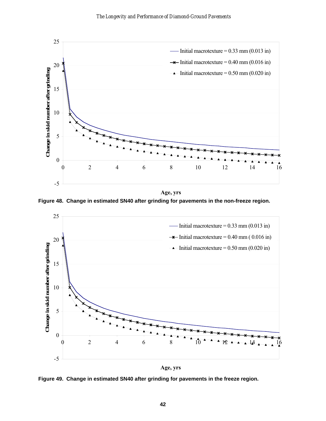

**Age, yrs Figure 48. Change in estimated SN40 after grinding for pavements in the non-freeze region.**



**Age, yrs**

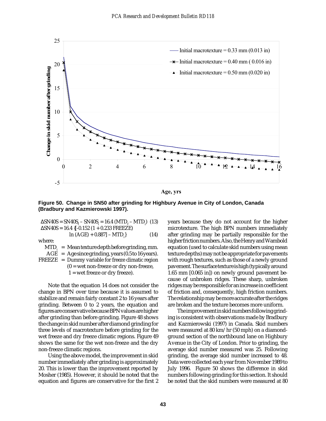

**Age, yrs**

**Figure 50. Change in SN50 after grinding for Highbury Avenue in City of London, Canada (Bradbury and Kazmierowski 1997).**

 $\Delta$ SN40S = SN40S<sub>f</sub> – SN40S<sub>i</sub> = 16.4 (MTD<sub>f</sub> – MTD<sub>i</sub>) (13) ∆SN40S = 16.4 {[-0.152 (1 + 0.233 FREEZE)  $ln (AGE) + 0.887$ ] – MTD<sub>i</sub>}  $(14)$ 

where:

 $MTD_i$  = Mean texture depth before grinding, mm. AGE = Age since grinding, years (0.5 to 16 years). FREEZE = Dummy variable for freeze climatic region  $(0 = w$ et non-freeze or dry non-freeze,  $1 =$  wet freeze or dry freeze).

Note that the equation 14 does not consider the change in BPN over time because it is assumed to stabilize and remain fairly constant 2 to 16 years after grinding. Between 0 to 2 years, the equation and figures are conservative because BPN values are higher after grinding than before grinding. Figure 48 shows the change in skid number after diamond grinding for three levels of macrotexture before grinding for the wet freeze and dry freeze climatic regions. Figure 49 shows the same for the wet non-freeze and the dry non-freeze climatic regions.

Using the above model, the improvement in skid number immediately after grinding is approximately 20. This is lower than the improvement reported by Mosher (1985). However, it should be noted that the equation and figures are conservative for the first 2 years because they do not account for the higher microtexture. The high BPN numbers immediately after grinding may be partially responsible for the higher friction numbers. Also, the Henry and Wambold equation (used to calculate skid numbers using mean texture depths) may not be appropriate for pavements with rough textures, such as those of a newly ground pavement. The surface texture is high (typically around 1.65 mm [0.065 in]) on newly ground pavement because of unbroken ridges. These sharp, unbroken ridges may be responsible for an increase in coefficient of friction and, consequently, high friction numbers. The relationship may be more accurate after the ridges are broken and the texture becomes more uniform.

The improvement in skid numbers following grinding is consistent with observations made by Bradbury and Kazmierowski (1997) in Canada. Skid numbers were measured at 80 km/hr (50 mph) on a diamondground section of the northbound lane on Highbury Avenue in the City of London. Prior to grinding, the average skid number measured was 25. Following grinding, the average skid number increased to 48. Data were collected each year from November 1989 to July 1996. Figure 50 shows the difference in skid numbers following grinding for this section. It should be noted that the skid numbers were measured at 80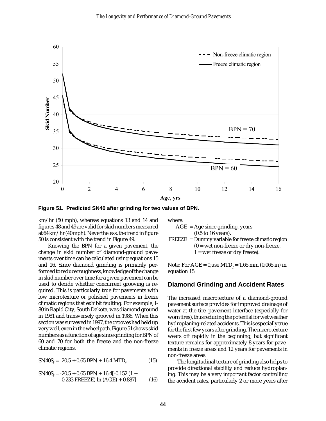

**Figure 51. Predicted SN40 after grinding for two values of BPN.**

km/hr (50 mph), whereas equations 13 and 14 and figures 48 and 49 are valid for skid numbers measured at 64 km/hr (40 mph). Nevertheless, the trend in figure 50 is consistent with the trend in Figure 49.

Knowing the BPN for a given pavement, the change in skid number of diamond-ground pavements over time can be calculated using equations 15 and 16. Since diamond grinding is primarily performed to reduce roughness, knowledge of the change in skid number over time for a given pavement can be used to decide whether concurrent grooving is required. This is particularly true for pavements with low microtexture or polished pavements in freeze climatic regions that exhibit faulting. For example, I-80 in Rapid City, South Dakota, was diamond ground in 1981 and transversely grooved in 1986. When this section was surveyed in 1997, the grooves had held up very well, even in the wheelpath. Figure 51 shows skid numbers as a function of age since grinding for BPN of 60 and 70 for both the freeze and the non-freeze climatic regions.

$$
SN40S_f = -20.5 + 0.65 BPN + 16.4 MTD_f
$$
 (15)

$$
SN40S_f = -20.5 + 0.65 BPN + 16.4[-0.152 (1 +0.233 FREEZE) ln (AGE) + 0.887]
$$
 (16)

where:

$$
AGE = Age since grinding, years
$$

$$
(0.5 to 16 years).
$$

FREEZE = Dummy variable for freeze climatic region (0 = wet non-freeze or dry non-freeze,  $1 =$  wet freeze or dry freeze).

Note: For AGE = 0,use MTD $_{\rm f}$  = 1.65 mm (0.065 in) in equation 15.

## **Diamond Grinding and Accident Rates**

The increased macrotexture of a diamond-ground pavement surface provides for improved drainage of water at the tire–pavement interface (especially for worn tires), thus reducing the potential for wet weather hydroplaning-related accidents. This is especially true for the first few years after grinding. The macrotexture wears off rapidly in the beginning, but significant texture remains for approximately 8 years for pavements in freeze areas and 12 years for pavements in non-freeze areas.

The longitudinal texture of grinding also helps to provide directional stability and reduce hydroplaning. This may be a very important factor controlling the accident rates, particularly 2 or more years after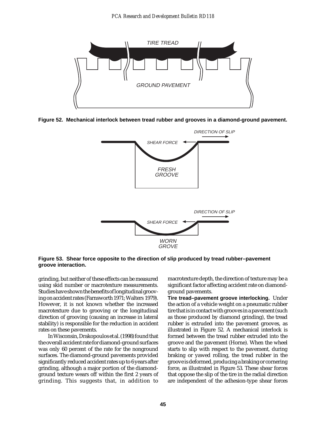

**Figure 52. Mechanical interlock between tread rubber and grooves in a diamond-ground pavement.**



**Figure 53. Shear force opposite to the direction of slip produced by tread rubber–pavement groove interaction.**

grinding, but neither of these effects can be measured using skid number or macrotexture measurements. Studies have shown the benefits of longitudinal grooving on accident rates (Farnsworth 1971; Walters 1979). However, it is not known whether the increased macrotexture due to grooving or the longitudinal direction of grooving (causing an increase in lateral stability) is responsible for the reduction in accident rates on these pavements.

In Wisconsin, Drakopoulos et al. (1998) found that the overall accident rate for diamond-ground surfaces was only 60 percent of the rate for the nonground surfaces. The diamond-ground pavements provided significantly reduced accident rates up to 6 years after grinding, although a major portion of the diamondground texture wears off within the first 2 years of grinding. This suggests that, in addition to

macrotexture depth, the direction of texture may be a significant factor affecting accident rate on diamondground pavements.

**Tire tread–pavement groove interlocking.** Under the action of a vehicle weight on a pneumatic rubber tire that is in contact with grooves in a pavement (such as those produced by diamond grinding), the tread rubber is extruded into the pavement grooves, as illustrated in Figure 52. A mechanical interlock is formed between the tread rubber extruded into the groove and the pavement (Horne). When the wheel starts to slip with respect to the pavement, during braking or yawed rolling, the tread rubber in the groove is deformed, producing a braking or cornering force, as illustrated in Figure 53. These shear forces that oppose the slip of the tire in the radial direction are independent of the adhesion-type shear forces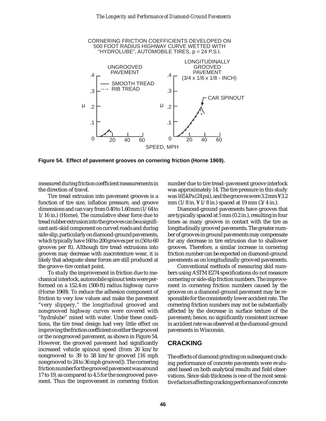

**Figure 54. Effect of pavement grooves on cornering friction (Horne 1969).**

measured during friction coefficient measurements in the direction of travel.

Tire tread extrusion into pavement grooves is a function of tire size, inflation pressure, and groove dimensions and can vary from 0.40 to 1.60 mm (1/64 to 1/16 in.) (Horne). The cumulative shear force due to tread rubber extrusion into the grooves can be a significant anti-skid component on curved roads and during side-slip, particularly on diamond-ground pavements, which typically have 160 to 200 grooves per m (50 to 60 grooves per ft). Although tire tread extrusions into grooves may decrease with macrotexture wear, it is likely that adequate shear forces are still produced at the groove–tire contact point.

To study the improvement in friction due to mechanical interlock, automobile spinout tests were performed on a 152.4-m (500-ft) radius highway curve (Horne 1969). To reduce the adhesion component of friction to very low values and make the pavement "very slippery," the longitudinal grooved and nongrooved highway curves were covered with "hydralube" mixed with water. Under these conditions, the tire tread design had very little effect on improving the friction coefficient on either the grooved or the nongrooved pavement, as shown in Figure 54. However, the grooved pavement had significantly increased vehicle spinout speed (from 26 km/hr nongrooved to 39 to 58 km/hr grooved [16 mph nongrooved to 24 to 36 mph grooved]). The cornering friction number for the grooved pavement was around 17 to 19, as compared to 4.5 for the nongrooved pavement. Thus the improvement in cornering friction

number due to tire tread–pavement groove interlock was approximately 14. The tire pressure in this study was 165 kPa (24 psi), and the grooves were 3.2 mm ¥ 3.2 mm  $(1/8$  in. ¥  $1/8$  in.) spaced at 19 mm  $(3/4$  in.).

Diamond-ground pavements have grooves that are typically spaced at 5 mm (0.2 in.), resulting in four times as many grooves in contact with the tire as longitudinally grooved pavements. The greater number of grooves in ground pavements may compensate for any decrease in tire extrusion due to shallower grooves. Therefore, a similar increase in cornering friction number can be expected on diamond-ground pavements as on longitudinally grooved pavements.

Conventional methods of measuring skid numbers using ASTM E274 specifications do not measure cornering or side-slip friction numbers. The improvement in cornering friction numbers caused by the grooves on a diamond-ground pavement may be responsible for the consistently lower accident rate. The cornering friction numbers may not be substantially affected by the decrease in surface texture of the pavement; hence, no significantly consistent increase in accident rate was observed at the diamond-ground pavements in Wisconsin.

#### **CRACKING**

The effects of diamond grinding on subsequent cracking performance of concrete pavements were evaluated based on both analytical results and field observations. Since slab thickness is one of the most sensitive factors affecting cracking performance of concrete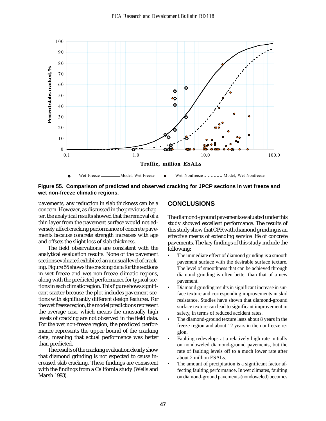

**Figure 55. Comparison of predicted and observed cracking for JPCP sections in wet freeze and wet non-freeze climatic regions.**

pavements, any reduction in slab thickness can be a concern. However, as discussed in the previous chapter, the analytical results showed that the removal of a thin layer from the pavement surface would not adversely affect cracking performance of concrete pavements because concrete strength increases with age and offsets the slight loss of slab thickness.

The field observations are consistent with the analytical evaluation results. None of the pavement sections evaluated exhibited an unusual level of cracking. Figure 55 shows the cracking data for the sections in wet freeze and wet non-freeze climatic regions, along with the predicted performance for typical sections in each climatic region. This figure shows significant scatter because the plot includes pavement sections with significantly different design features. For the wet freeze region, the model predictions represent the average case, which means the unusually high levels of cracking are not observed in the field data. For the wet non-freeze region, the predicted performance represents the upper bound of the cracking data, meaning that actual performance was better than predicted.

The results of the cracking evaluation clearly show that diamond grinding is not expected to cause increased slab cracking. These findings are consistent with the findings from a California study (Wells and Marsh 1993).

## **CONCLUSIONS**

The diamond-ground pavements evaluated under this study showed excellent performance. The results of this study show that CPR with diamond grinding is an effective means of extending service life of concrete pavements. The key findings of this study include the following:

- The immediate effect of diamond grinding is a smooth pavement surface with the desirable surface texture. The level of smoothness that can be achieved through diamond grinding is often better than that of a new pavement.
- Diamond grinding results in significant increase in surface texture and corresponding improvements in skid resistance. Studies have shown that diamond-ground surface texture can lead to significant improvement in safety, in terms of reduced accident rates.
- The diamond-ground texture lasts about 8 years in the freeze region and about 12 years in the nonfreeze region.
- Faulting redevelops at a relatively high rate initially on nondoweled diamond-ground pavements, but the rate of faulting levels off to a much lower rate after about 2 million ESALs.
- The amount of precipitation is a significant factor affecting faulting performance. In wet climates, faulting on diamond-ground pavements (nondoweled) becomes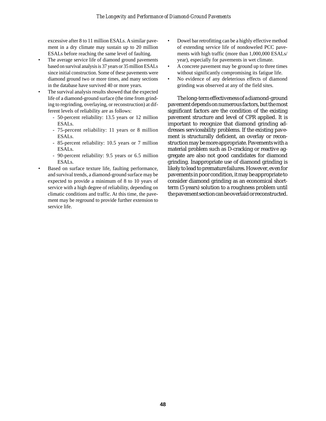excessive after 8 to 11 million ESALs. A similar pavement in a dry climate may sustain up to 20 million ESALs before reaching the same level of faulting.

- The average service life of diamond ground pavements based on survival analysis is 37 years or 35 million ESALs since initial construction. Some of these pavements were diamond ground two or more times, and many sections in the database have survived 40 or more years.
- The survival analysis results showed that the expected life of a diamond-ground surface (the time from grinding to regrinding, overlaying, or reconstruction) at different levels of reliability are as follows:
	- 50-percent reliability: 13.5 years or 12 million ESALs.
	- 75-percent reliability: 11 years or 8 million ESALs.
	- 85-percent reliability: 10.5 years or 7 million ESALs.
	- 90-percent reliability: 9.5 years or 6.5 million ESALs.
- Based on surface texture life, faulting performance, and survival trends, a diamond-ground surface may be expected to provide a minimum of 8 to 10 years of service with a high degree of reliability, depending on climatic conditions and traffic. At this time, the pavement may be reground to provide further extension to service life.
- Dowel bar retrofitting can be a highly effective method of extending service life of nondoweled PCC pavements with high traffic (more than 1,000,000 ESALs/ year), especially for pavements in wet climate.
- A concrete pavement may be ground up to three times without significantly compromising its fatigue life.
- No evidence of any deleterious effects of diamond grinding was observed at any of the field sites.

The long-term effectiveness of a diamond-ground pavement depends on numerous factors, but the most significant factors are the condition of the existing pavement structure and level of CPR applied. It is important to recognize that diamond grinding addresses serviceability problems. If the existing pavement is structurally deficient, an overlay or reconstruction may be more appropriate. Pavements with a material problem such as D-cracking or reactive aggregate are also not good candidates for diamond grinding. Inappropriate use of diamond grinding is likely to lead to premature failures. However, even for pavements in poor condition, it may be appropriate to consider diamond grinding as an economical shortterm (5 years) solution to a roughness problem until the pavement section can be overlaid or reconstructed.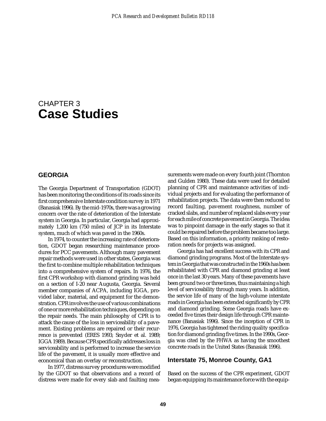# CHAPTER 3 **Case Studies**

#### **GEORGIA**

The Georgia Department of Transportation (GDOT) has been monitoring the conditions of its roads since its first comprehensive Interstate condition survey in 1971 (Banasiak 1996). By the mid-1970s, there was a growing concern over the rate of deterioration of the Interstate system in Georgia. In particular, Georgia had approximately 1,200 km (750 miles) of JCP in its Interstate system, much of which was paved in the 1960s.

In 1974, to counter the increasing rate of deterioration, GDOT began researching maintenance procedures for PCC pavements. Although many pavement repair methods were used in other states, Georgia was the first to combine multiple rehabilitation techniques into a comprehensive system of repairs. In 1976, the first CPR workshop with diamond grinding was held on a section of I-20 near Augusta, Georgia. Several member companies of ACPA, including IGGA, provided labor, material, and equipment for the demonstration. CPR involves the use of various combinations of one or more rehabilitation techniques, depending on the repair needs. The main philosophy of CPR is to attack the cause of the loss in serviceability of a pavement. Existing problems are repaired or their recurrence is prevented (ERES 1993; Snyder et al. 1989; IGGA 1989). Because CPR specifically addresses loss in serviceability and is performed to increase the service life of the pavement, it is usually more effective and economical than an overlay or reconstruction.

In 1977, distress survey procedures were modified by the GDOT so that observations and a record of distress were made for every slab and faulting measurements were made on every fourth joint (Thornton and Gulden 1980). These data were used for detailed planning of CPR and maintenance activities of individual projects and for evaluating the performance of rehabilitation projects. The data were then reduced to record faulting, pavement roughness, number of cracked slabs, and number of replaced slabs every year for each mile of concrete pavement in Georgia. The idea was to pinpoint damage in the early stages so that it could be repaired before the problem became too large. Based on this information, a priority ranking of restoration needs for projects was assigned.

Georgia has had excellent success with its CPR and diamond grinding programs. Most of the Interstate system in Georgia that was constructed in the 1960s has been rehabilitated with CPR and diamond grinding at least once in the last 30 years. Many of these pavements have been ground two or three times, thus maintaining a high level of serviceability through many years. In addition, the service life of many of the high-volume interstate roads in Georgia has been extended significantly by CPR and diamond grinding. Some Georgia roads have exceeded five times their design life through CPR maintenance (Banasiak 1996). Since the inception of CPR in 1976, Georgia has tightened the riding quality specification for diamond grinding five times. In the 1990s, Georgia was cited by the FHWA as having the smoothest concrete roads in the United States (Banasiak 1996).

#### **Interstate 75, Monroe County, GA1**

Based on the success of the CPR experiment, GDOT began equipping its maintenance force with the equip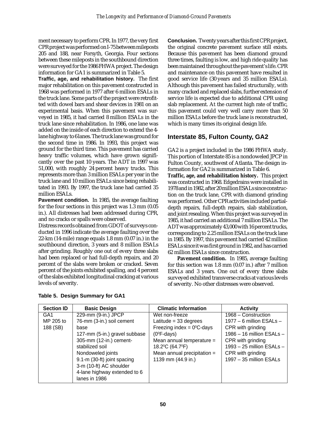ment necessary to perform CPR. In 1977, the very first CPR project was performed on I-75 between mileposts 205 and 188, near Forsyth, Georgia. Four sections between these mileposts in the southbound direction were surveyed for the 1986 FHWA project. The design information for GA1 is summarized in Table 5.

**Traffic, age, and rehabilitation history.** The first major rehabilitation on this pavement constructed in 1968 was performed in 1977 after 6 million ESALs in the truck lane. Some parts of the project were retrofitted with dowel bars and shear devices in 1981 on an experimental basis. When this pavement was surveyed in 1985, it had carried 8 million ESALs in the truck lane since rehabilitation. In 1986, one lane was added on the inside of each direction to extend the 4 lane highway to 6 lanes. The truck lane was ground for the second time in 1986. In 1993, this project was ground for the third time. This pavement has carried heavy traffic volumes, which have grown significantly over the past 10 years. The ADT in 1997 was 51,000, with roughly 24 percent heavy trucks. This represents more than 3 million ESALs per year in the truck lane and 10 million ESALs since being rehabilitated in 1993. By 1997, the truck lane had carried 35 million ESALs.

**Pavement condition.** In 1985, the average faulting for the four sections in this project was 1.3 mm (0.05 in.). All distresses had been addressed during CPR, and no cracks or spalls were observed.

Distress records obtained from GDOT of surveys conducted in 1996 indicate the average faulting over the 22-km (14-mile) range equals 1.8 mm (0.07 in.) in the southbound direction, 3 years and 8 million ESALs after grinding. Roughly one out of every three slabs had been replaced or had full-depth repairs, and 20 percent of the slabs were broken or cracked. Seven percent of the joints exhibited spalling, and 4 percent of the slabs exhibited longitudinal cracking at various levels of severity.

**Conclusion.** Twenty years after this first CPR project, the original concrete pavement surface still exists. Because this pavement has been diamond ground three times, faulting is low, and high ride quality has been maintained throughout the pavement's life. CPR and maintenance on this pavement have resulted in good service life (30 years and 35 million ESALs). Although this pavement has failed structurally, with many cracked and replaced slabs, further extension of service life is expected due to additional CPR using slab replacement. At the current high rate of traffic, this pavement could very well carry more than 50 million ESALs before the truck lane is reconstructed, which is many times its original design life.

# **Interstate 85, Fulton County, GA2**

GA2 is a project included in the 1986 FHWA study. This portion of Interstate 85 is a nondoweled JPCP in Fulton County, southwest of Atlanta. The design information for GA2 is summarized in Table 6. **Traffic, age, and rehabilitation history.** This project was constructed in 1968. Edgedrains were installed in 1978 and in 1982, after 20 million ESALs since construction on the truck lane, CPR with diamond grinding was performed. Other CPR activities included partialdepth repairs, full-depth repairs, slab stabilization, and joint resealing. When this project was surveyed in 1985, it had carried an additional 7 million ESALs. The ADT was approximately 43,000 with 16 percent trucks, corresponding to 2.25 million ESALs on the truck lane in 1985. By 1997, this pavement had carried 42 million ESALs since it was first ground in 1982, and has carried 62 million ESALs since construction.

**Pavement condition.** In 1985, average faulting for this section was 1.8 mm (0.07 in.) after 7 million ESALs and 3 years. One out of every three slabs surveyed exhibited transverse cracks at various levels of severity. No other distresses were observed.

| <b>Section ID</b> | <b>Basic Design</b>           | <b>Climatic Information</b>         | <b>Activity</b>           |
|-------------------|-------------------------------|-------------------------------------|---------------------------|
| GA1               | 229-mm (9-in.) JPCP           | Wet non-freeze                      | 1968 – Construction       |
| MP 205 to         | 76-mm (3-in.) soil cement     | Latitude = $33$ degrees             | 1977 – 6 million ESALs –  |
| 188 (SB)          | base                          | Freezing index = $0^{\circ}$ C-days | CPR with grinding         |
|                   | 127-mm (5-in.) gravel subbase | $(0^{\circ}$ F-days)                | 1986 - 16 million ESALs - |
|                   | 305-mm (12-in.) cement-       | Mean annual temperature =           | CPR with grinding         |
|                   | stabilized soil               | 18.2°C (64.7°F)                     | 1993 – 25 million ESALs – |
|                   | Nondoweled joints             | Mean annual precipitation $=$       | CPR with grinding         |
|                   | 9.1-m (30-ft) joint spacing   | 1139 mm (44.9 in.)                  | 1997 - 35 million ESALs   |
|                   | 3-m (10-ft) AC shoulder       |                                     |                           |
|                   | 4-lane highway extended to 6  |                                     |                           |
|                   | lanes in 1986                 |                                     |                           |

#### **Table 5. Design Summary for GA1**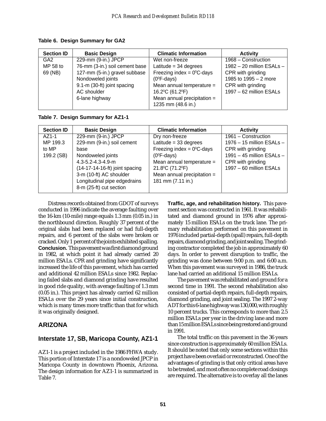| <b>Section ID</b> | <b>Basic Design</b>            | <b>Climatic Information</b>         | <b>Activity</b>           |
|-------------------|--------------------------------|-------------------------------------|---------------------------|
| GA <sub>2</sub>   | 229-mm (9-in.) JPCP            | Wet non-freeze                      | 1968 - Construction       |
| MP 58 to          | 76-mm (3-in.) soil cement base | Latitude = $34$ degrees             | 1982 – 20 million ESALs – |
| 69 (NB)           | 127-mm (5-in.) gravel subbase  | Freezing index = $0^{\circ}$ C-days | CPR with grinding         |
|                   | Nondoweled joints              | $(0^{\circ}$ F-days)                | 1985 to $1995 - 2$ more   |
|                   | 9.1-m (30-ft) joint spacing    | Mean annual temperature =           | CPR with grinding         |
|                   | AC shoulder                    | 16.2°C (61.2°F)                     | 1997 - 62 million ESALs   |
|                   | 6-lane highway                 | Mean annual precipitation $=$       |                           |
|                   |                                | 1235 mm (48.6 in.)                  |                           |

**Table 6. Design Summary for GA2**

**Table 7. Design Summary for AZ1-1**

| <b>Section ID</b> | <b>Basic Design</b>              | <b>Climatic Information</b>         | <b>Activity</b>           |
|-------------------|----------------------------------|-------------------------------------|---------------------------|
| $AZ1-1$           | 229-mm (9-in.) JPCP              | Dry non-freeze                      | 1961 - Construction       |
| MP 199.3          | 229-mm (9-in.) soil cement       | Latitude = $33$ degrees             | 1976 - 15 million ESALs - |
| to MP             | base                             | Freezing index = $0^{\circ}$ C-days | CPR with grinding         |
| 199.2 (SB)        | Nondoweled joints                | $(0^{\circ}$ F-days)                | 1991 - 45 million ESALs - |
|                   | $4.3 - 5.2 - 4.3 - 4.9 - m$      | Mean annual temperature =           | CPR with grinding         |
|                   | $(14-17-14-16-ft)$ joint spacing | 21.8°C (71.2°F)                     | 1997 - 60 million ESALs   |
|                   | 3-m (10-ft) AC shoulder          | Mean annual precipitation =         |                           |
|                   | Longitudinal pipe edgedrains     | 181 mm (7.11 in.)                   |                           |
|                   | 8-m (25-ft) cut section          |                                     |                           |

Distress records obtained from GDOT of surveys conducted in 1996 indicate the average faulting over the 16-km (10-mile) range equals 1.3 mm (0.05 in.) in the northbound direction. Roughly 37 percent of the original slabs had been replaced or had full-depth repairs, and 6 percent of the slabs were broken or cracked. Only 1 percent of the joints exhibited spalling. **Conclusion.** This pavement was first diamond ground in 1982, at which point it had already carried 20 million ESALs. CPR and grinding have significantly increased the life of this pavement, which has carried and additional 42 million ESALs since 1982. Replacing failed slabs and diamond grinding have resulted in good ride quality, with average faulting of 1.3 mm (0.05 in.). This project has already carried 62 million ESALs over the 29 years since initial construction, which is many times more traffic than that for which it was originally designed.

## **ARIZONA**

## **Interstate 17, SB, Maricopa County, AZ1-1**

AZ1-1 is a project included in the 1986 FHWA study. This portion of Interstate 17 is a nondoweled JPCP in Maricopa County in downtown Phoenix, Arizona. The design information for AZ1-1 is summarized in Table 7.

**Traffic, age, and rehabilitation history.** This pavement section was constructed in 1961. It was rehabilitated and diamond ground in 1976 after approximately 15 million ESALs on the truck lane. The primary rehabilitation performed on this pavement in 1976 included partial-depth (spall) repairs, full-depth repairs, diamond grinding, and joint sealing. The grinding contractor completed the job in approximately 60 days. In order to prevent disruption to traffic, the grinding was done between 9:00 p.m. and 6:00 a.m. When this pavement was surveyed in 1986, the truck lane had carried an additional 15 million ESALs.

The pavement was rehabilitated and ground for a second time in 1991. The second rehabilitation also consisted of partial-depth repairs, full-depth repairs, diamond grinding, and joint sealing. The 1997 2-way ADT for this 6-lane highway was 130,000, with roughly 10 percent trucks. This corresponds to more than 2.5 million ESALs per year in the driving lane and more than 15 million ESALs since being restored and ground in 1991.

The total traffic on this pavement in the 36 years since construction is approximately 60 million ESALs. It should be noted that only some sections within this project have been overlaid or reconstructed. One of the advantages of grinding is that only critical areas have to be treated, and most often no complete road closings are required. The alternative is to overlay all the lanes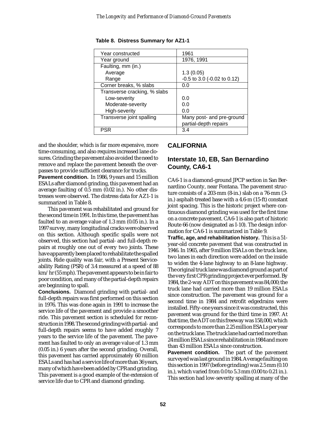| Year constructed             | 1961                        |
|------------------------------|-----------------------------|
| Year ground                  | 1976, 1991                  |
| Faulting, mm (in.)           |                             |
| Average                      | 1.3(0.05)                   |
| Range                        | -0.5 to 3.0 (-0.02 to 0.12) |
| Corner breaks, % slabs       | 0.0                         |
| Transverse cracking, % slabs |                             |
| Low-severity                 | 0.0                         |
| Moderate-severity            | 0.0                         |
| High-severity                | 0.0                         |
| Transverse joint spalling    | Many post- and pre-ground   |
|                              | partial-depth repairs       |
| PSR                          | 3.4                         |

**Table 8. Distress Summary for AZ1-1**

and the shoulder, which is far more expensive, more time-consuming, and also requires increased lane closures. Grinding the pavement also avoided the need to remove and replace the pavement beneath the overpasses to provide sufficient clearance for trucks.

**Pavement condition.** In 1986, 9 years and 15 million ESALs after diamond grinding, this pavement had an average faulting of 0.5 mm (0.02 in.). No other distresses were observed. The distress data for AZ1-1 is summarized in Table 8.

This pavement was rehabilitated and ground for the second time in 1991. In this time, the pavement has faulted to an average value of 1.3 mm (0.05 in.). In a 1997 survey, many longitudinal cracks were observed on this section. Although specific spalls were not observed, this section had partial- and full-depth repairs at roughly one out of every two joints. These have apparently been placed to rehabilitate the spalled joints. Ride quality was fair, with a Present Serviceability Rating (PSR) of 3.4 measured at a speed of 88 km/hr (55 mph). The pavement appears to be in fair to poor condition, and many of the partial-depth repairs are beginning to spall.

**Conclusions.** Diamond grinding with partial- and full-depth repairs was first performed on this section in 1976. This was done again in 1991 to increase the service life of the pavement and provide a smoother ride. This pavement section is scheduled for reconstruction in 1998. The second grinding with partial- and full-depth repairs seems to have added roughly 7 years to the service life of the pavement. The pavement has faulted to only an average value of 1.3 mm (0.05 in.) 6 years after the second grinding. Overall, this pavement has carried approximately 60 million ESALs and has had a service life of more than 36 years, many of which have been added by CPR and grinding. This pavement is a good example of the extension of service life due to CPR and diamond grinding.

## **CALIFORNIA**

## **Interstate 10, EB, San Bernardino County, CA6-1**

CA6-1 is a diamond-ground JPCP section in San Bernardino County, near Fontana. The pavement structure consists of a 203-mm (8-in.) slab on a 76-mm (3 in.) asphalt-treated base with a 4.6-m (15-ft) constant joint spacing. This is the historic project where continuous diamond grinding was used for the first time on a concrete pavement. CA6-1 is also part of historic Route 66 (now designated as I-10). The design information for CA6-1 is summarized in Table 9.

**Traffic, age, and rehabilitation history.** This is a 51 year-old concrete pavement that was constructed in 1946. In 1965, after 9 million ESALs on the truck lane, two lanes in each direction were added on the inside to widen the 4-lane highway to an 8-lane highway. The original truck lane was diamond ground as part of the very first CPR grinding project ever performed. By 1984, the 2-way ADT on this pavement was 84,000; the truck lane had carried more than 19 million ESALs since construction. The pavement was ground for a second time in 1984 and retrofit edgedrains were installed. Fifty-one years since it was constructed, this pavement was ground for the third time in 1997. At that time, the ADT on this freeway was 158,000, which corresponds to more than 2.25 million ESALs per year on the truck lane. The truck lane had carried more than 24 million ESALs since rehabilitation in 1984 and more than 43 million ESALs since construction.

**Pavement condition.** The part of the pavement surveyed was last ground in 1984. Average faulting on this section in 1997 (before grinding) was 2.5 mm (0.10 in.), which varied from 0.0 to 5.3 mm (0.00 to 0.21 in.). This section had low-severity spalling at many of the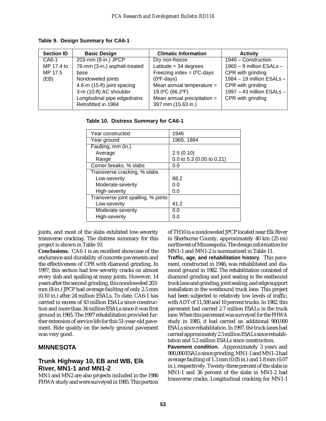| <b>Section ID</b> | <b>Basic Design</b>           | <b>Climatic Information</b>         | <b>Activity</b>           |
|-------------------|-------------------------------|-------------------------------------|---------------------------|
| CA6-1             | 203-mm (8-in.) JPCP           | Dry non-freeze                      | 1946 – Construction       |
| MP 17.4 to        | 76-mm (3-in.) asphalt-treated | Latitude = $34$ degrees             | 1965 - 9 million ESALs -  |
| MP 17.5           | base                          | Freezing index = $0^{\circ}$ C-days | CPR with grinding         |
| (EB)              | Nondoweled joints             | $(0^{\circ}$ F-days)                | 1984 - 19 million ESALs - |
|                   | 4.6-m (15-ft) joint spacing   | Mean annual temperature =           | CPR with grinding         |
|                   | 3-m (10-ft) AC shoulder       | 19.0°C (66.2°F)                     | 1997 - 43 million ESALs - |
|                   | Longitudinal pipe edgedrains  | Mean annual precipitation =         | CPR with grinding         |
|                   | Retrofitted in 1984           | 397 mm (15.63 in.)                  |                           |

**Table 9. Design Summary for CA6-1**

|  | Table 10. Distress Summary for CA6-1 |  |  |  |
|--|--------------------------------------|--|--|--|
|--|--------------------------------------|--|--|--|

| Year constructed                    | 1946                      |
|-------------------------------------|---------------------------|
| Year ground                         | 1965, 1984                |
| Faulting, mm (in.)                  |                           |
| Average                             | 2.5(0.10)                 |
| Range                               | 0.0 to 5.3 (0.00 to 0.21) |
| Corner breaks, % slabs              | 0.0                       |
| Transverse cracking, % slabs        |                           |
| Low-severity                        | 88.2                      |
| Moderate-severity                   | 0.0                       |
| High-severity                       | 0.0                       |
| Transverse joint spalling, % joints |                           |
| Low-severity                        | 41.2                      |
| Moderate-severity                   | 0.0                       |
| High-severity                       | 0.0                       |

joints, and most of the slabs exhibited low-severity transverse cracking. The distress summary for this project is shown in Table 10.

**Conclusions.** CA6-1 is an excellent showcase of the endurance and durability of concrete pavements and the effectiveness of CPR with diamond grinding. In 1997, this section had low-severity cracks on almost every slab and spalling at many joints. However, 14 years after the second grinding, this nondoweled 203 mm (8-in.) JPCP had average faulting of only 2.5 mm (0.10 in.) after 24 million ESALs. To date, CA6-1 has carried in excess of 43 million ESALs since construction and more than 34 million ESALs since it was first ground in 1965. The 1997 rehabilitation provided further extension of service life for this 51-year-old pavement. Ride quality on the newly ground pavement was very good.

## **MINNESOTA**

## **Trunk Highway 10, EB and WB, Elk River, MN1-1 and MN1-2**

MN1 and MN2 are also projects included in the 1986 FHWA study and were surveyed in 1985. This portion of TH10 is a nondoweled JPCP located near Elk River in Sherburne County, approximately 40 km (25 mi) northwest of Minneapolis. The design information for MN1-1 and MN1-2 is summarized in Table 11.

**Traffic, age, and rehabilitation history.** This pavement, constructed in 1946, was rehabilitated and diamond ground in 1982. The rehabilitation consisted of diamond grinding and joint sealing in the eastbound truck lane and grinding, joint sealing, and edge support installation in the westbound truck lane. This project had been subjected to relatively low levels of traffic, with ADT of 11,500 and 10 percent trucks. In 1982, this pavement had carried 2.7 million ESALs in the truck lane. When this pavement was surveyed for the FHWA study in 1985, it had carried an additional 900,000 ESALs since rehabilitation. In 1997, the truck lanes had carried approximately 2.5 million ESALs since rehabilitation and 5.2 million ESALs since construction.

**Pavement condition.** Approximately 3 years and 900,000 ESALs since grinding, MN1-1 and MN1-2 had average faulting of 1.3 mm (0.05 in.) and 1.8 mm (0.07 in.), respectively. Twenty-three percent of the slabs in MN1-1 and 36 percent of the slabs in MN1-2 had transverse cracks. Longitudinal cracking for MN1-1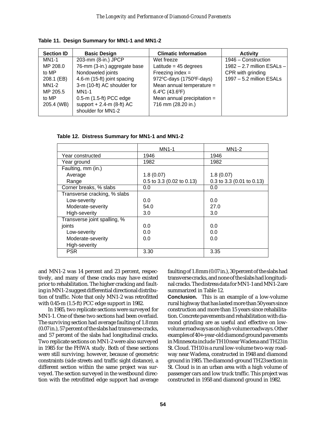#### **Table 11. Design Summary for MN1-1 and MN1-2**

| <b>Section ID</b> | <b>Basic Design</b>          | <b>Climatic Information</b>        | <b>Activity</b>            |
|-------------------|------------------------------|------------------------------------|----------------------------|
| <b>MN1-1</b>      | 203-mm (8-in.) JPCP          | Wet freeze                         | 1946 - Construction        |
| MP 208.0          | 76-mm (3-in.) aggregate base | Latitude = $45$ degrees            | 1982 – 2.7 million ESALs – |
| to MP             | Nondoweled joints            | Freezing index $=$                 | CPR with grinding          |
| 208.1 (EB)        | 4.6-m (15-ft) joint spacing  | 972°C-days (1750°F-days)           | 1997 - 5.2 million ESALs   |
| MN1-2             | 3-m (10-ft) AC shoulder for  | Mean annual temperature =          |                            |
| MP 205.5          | MN1-1                        | 6.4 $\degree$ C (43.6 $\degree$ F) |                            |
| to MP             | 0.5-m (1.5-ft) PCC edge      | Mean annual precipitation $=$      |                            |
| 205.4 (WB)        | support $+ 2.4$ -m (8-ft) AC | 716 mm (28.20 in.)                 |                            |
|                   | shoulder for MN1-2           |                                    |                            |

| Table 12. Distress Summary for MN1-1 and MN1-2 |  |  |  |
|------------------------------------------------|--|--|--|
|------------------------------------------------|--|--|--|

|                              | <b>MN1-1</b>              | MN1-2                     |
|------------------------------|---------------------------|---------------------------|
| Year constructed             | 1946                      | 1946                      |
| Year ground                  | 1982                      | 1982                      |
| Faulting, mm (in.)           |                           |                           |
| Average                      | 1.8(0.07)                 | 1.8(0.07)                 |
| Range                        | 0.5 to 3.3 (0.02 to 0.13) | 0.3 to 3.3 (0.01 to 0.13) |
| Corner breaks, % slabs       | 0.0                       | 0.0                       |
| Transverse cracking, % slabs |                           |                           |
| Low-severity                 | 0.0                       | 0.0                       |
| Moderate-severity            | 54.0                      | 27.0                      |
| High-severity                | 3.0                       | 3.0                       |
| Transverse joint spalling, % |                           |                           |
| joints                       | 0.0                       | 0.0                       |
| Low-severity                 | 0.0                       | 0.0                       |
| Moderate-severity            | 0.0                       | 0.0                       |
| High-severity                |                           |                           |
| <b>PSR</b>                   | 3.30                      | 3.35                      |

and MN1-2 was 14 percent and 23 percent, respectively, and many of these cracks may have existed prior to rehabilitation. The higher cracking and faulting in MN1-2 suggest differential directional distribution of traffic. Note that only MN1-2 was retrofitted with 0.45-m (1.5-ft) PCC edge support in 1982.

In 1985, two replicate sections were surveyed for MN1-1. One of these two sections had been overlaid. The surviving section had average faulting of 1.8 mm (0.07 in.), 57 percent of the slabs had transverse cracks, and 57 percent of the slabs had longitudinal cracks. Two replicate sections on MN1-2 were also surveyed in 1985 for the FHWA study. Both of these sections were still surviving; however, because of geometric constraints (side streets and traffic sight distance), a different section within the same project was surveyed. The section surveyed in the westbound direction with the retrofitted edge support had average faulting of 1.8 mm (0.07 in.), 30 percent of the slabs had transverse cracks, and none of the slabs had longitudinal cracks. The distress data for MN1-1 and MN1-2 are summarized in Table 12.

**Conclusion.** This is an example of a low-volume rural highway that has lasted more than 50 years since construction and more than 15 years since rehabilitation. Concrete pavements and rehabilitation with diamond grinding are as useful and effective on lowvolume roadways as on high-volume roadways. Other examples of 40+-year-old diamond ground pavements in Minnesota include TH10 near Wadena and TH23 in St. Cloud. TH10 is a rural low-volume two-way roadway near Wadena, constructed in 1948 and diamond ground in 1985. The diamond-ground TH23 section in St. Cloud is in an urban area with a high volume of passenger cars and low truck traffic. This project was constructed in 1958 and diamond ground in 1982.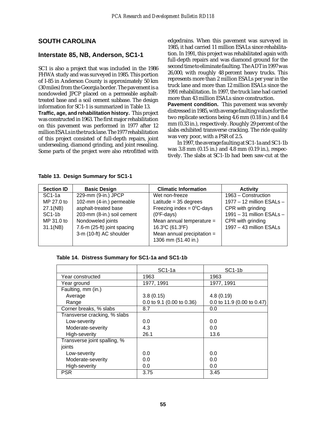## **SOUTH CAROLINA**

## **Interstate 85, NB, Anderson, SC1-1**

SC1 is also a project that was included in the 1986 FHWA study and was surveyed in 1985. This portion of I-85 in Anderson County is approximately 50 km (30 miles) from the Georgia border. The pavement is a nondoweled JPCP placed on a permeable asphalttreated base and a soil cement subbase. The design information for SC1-1 is summarized in Table 13.

**Traffic, age, and rehabilitation history.** This project was constructed in 1963. The first major rehabilitation on this pavement was performed in 1977 after 12 million ESALs in the truck lane. The 1977 rehabilitation of this project consisted of full-depth repairs, joint undersealing, diamond grinding, and joint resealing. Some parts of the project were also retrofitted with edgedrains. When this pavement was surveyed in 1985, it had carried 11 million ESALs since rehabilitation. In 1991, this project was rehabilitated again with full-depth repairs and was diamond ground for the second time to eliminate faulting. The ADT in 1997 was 26,000, with roughly 48 percent heavy trucks. This represents more than 2 million ESALs per year in the truck lane and more than 12 million ESALs since the 1991 rehabilitation. In 1997, the truck lane had carried more than 43 million ESALs since construction.

**Pavement condition.** This pavement was severely distressed in 1985, with average faulting values for the two replicate sections being 4.6 mm (0.18 in.) and 8.4 mm (0.33 in.), respectively. Roughly 29 percent of the slabs exhibited transverse cracking. The ride quality was very poor, with a PSR of 2.5.

In 1997, the average faulting at SC1-1a and SC1-1b was 3.8 mm (0.15 in.) and 4.8 mm (0.19 in.), respectively. The slabs at SC1-1b had been saw-cut at the

|  |  | Table 13. Design Summary for SC1-1 |  |  |
|--|--|------------------------------------|--|--|
|--|--|------------------------------------|--|--|

| <b>Basic Design</b>         | <b>Climatic Information</b>         | <b>Activity</b>           |
|-----------------------------|-------------------------------------|---------------------------|
| 229-mm (9-in.) JPCP         | Wet non-freeze                      | 1963 – Construction       |
| 102-mm (4-in.) permeable    | Latitude = $35$ degrees             | 1977 – 12 million ESALs – |
| asphalt-treated base        | Freezing index = $0^{\circ}$ C-days | CPR with grinding         |
| 203-mm (8-in.) soil cement  | $(0^{\circ}$ F-days)                | 1991 - 31 million ESALs - |
| Nondoweled joints           | Mean annual temperature =           | CPR with grinding         |
| 7.6-m (25-ft) joint spacing | 16.3°C (61.3°F)                     | 1997 - 43 million ESALs   |
| 3-m (10-ft) AC shoulder     | Mean annual precipitation $=$       |                           |
|                             | 1306 mm (51.40 in.)                 |                           |
|                             |                                     |                           |

|  |  | Table 14. Distress Summary for SC1-1a and SC1-1b |  |  |
|--|--|--------------------------------------------------|--|--|
|--|--|--------------------------------------------------|--|--|

|                              | $SC1-1a$                  | $SC1-1b$                   |
|------------------------------|---------------------------|----------------------------|
| Year constructed             | 1963                      | 1963                       |
| Year ground                  | 1977, 1991                | 1977, 1991                 |
| Faulting, mm (in.)           |                           |                            |
| Average                      | 3.8(0.15)                 | 4.8(0.19)                  |
| Range                        | 0.0 to 9.1 (0.00 to 0.36) | 0.0 to 11.9 (0.00 to 0.47) |
| Corner breaks, % slabs       | 8.7                       | 0.0                        |
| Transverse cracking, % slabs |                           |                            |
| Low-severity                 | 0.0                       | 0.0                        |
| Moderate-severity            | 4.3                       | 0.0                        |
| High-severity                | 26.1                      | 13.6                       |
| Transverse joint spalling, % |                           |                            |
| joints                       |                           |                            |
| Low-severity                 | 0.0                       | 0.0                        |
| Moderate-severity            | 0.0                       | 0.0                        |
| High-severity                | 0.0                       | 0.0                        |
| <b>PSR</b>                   | 3.75                      | 3.45                       |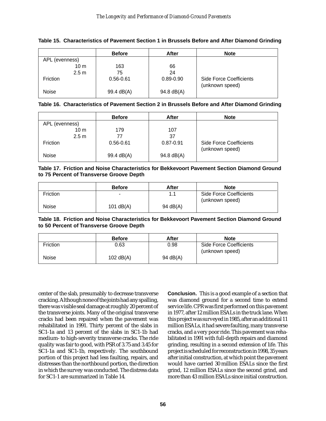|  | Table 15. Characteristics of Pavement Section 1 in Brussels Before and After Diamond Grinding |
|--|-----------------------------------------------------------------------------------------------|
|--|-----------------------------------------------------------------------------------------------|

|                  | <b>Before</b> | After         | <b>Note</b>             |
|------------------|---------------|---------------|-------------------------|
| APL (evenness)   |               |               |                         |
| 10 <sub>m</sub>  | 163           | 66            |                         |
| 2.5 <sub>m</sub> | 75            | 24            |                         |
| Friction         | $0.56 - 0.61$ | $0.89 - 0.90$ | Side Force Coefficients |
| Noise            | 99.4 dB(A)    | 94.8 dB(A)    | (unknown speed)         |

|  | Table 16. Characteristics of Pavement Section 2 in Brussels Before and After Diamond Grinding |  |  |  |  |  |  |  |  |  |  |
|--|-----------------------------------------------------------------------------------------------|--|--|--|--|--|--|--|--|--|--|
|--|-----------------------------------------------------------------------------------------------|--|--|--|--|--|--|--|--|--|--|

| <b>Before</b>                                         | After         | <b>Note</b>             |
|-------------------------------------------------------|---------------|-------------------------|
|                                                       |               |                         |
| 179                                                   | 107           |                         |
| 77                                                    | 37            |                         |
| $0.56 - 0.61$                                         | $0.87 - 0.91$ | Side Force Coefficients |
|                                                       |               | (unknown speed)         |
| 99.4 dB(A)                                            | 94.8 dB(A)    |                         |
| APL (evenness)<br>10 <sub>m</sub><br>2.5 <sub>m</sub> |               |                         |

**Table 17. Friction and Noise Characteristics for Bekkevoort Pavement Section Diamond Ground to 75 Percent of Transverse Groove Depth**

|          | <b>Before</b> | After    | <b>Note</b>             |
|----------|---------------|----------|-------------------------|
| Friction | ۰             |          | Side Force Coefficients |
|          |               |          | (unknown speed)         |
| Noise    | 101 $dB(A)$   | 94 dB(A) |                         |

**Table 18. Friction and Noise Characteristics for Bekkevoort Pavement Section Diamond Ground to 50 Percent of Transverse Groove Depth**

| <b>Before</b> | After    | <b>Note</b>             |
|---------------|----------|-------------------------|
| 0.63          | 0.98     | Side Force Coefficients |
|               |          | (unknown speed)         |
| 102 $dB(A)$   | 94 dB(A) |                         |
|               |          |                         |

center of the slab, presumably to decrease transverse cracking. Although none of the joints had any spalling, there was visible seal damage at roughly 20 percent of the transverse joints. Many of the original transverse cracks had been repaired when the pavement was rehabilitated in 1991. Thirty percent of the slabs in SC1-1a and 13 percent of the slabs in SC1-1b had medium- to high-severity transverse cracks. The ride quality was fair to good, with PSR of 3.75 and 3.45 for SC1-1a and SC1-1b, respectively. The southbound portion of this project had less faulting, repairs, and distresses than the northbound portion, the direction in which the survey was conducted. The distress data for SC1-1 are summarized in Table 14.

**Conclusion.** This is a good example of a section that was diamond ground for a second time to extend service life. CPR was first performed on this pavement in 1977, after 12 million ESALs in the truck lane. When this project was surveyed in 1985, after an additional 11 million ESALs, it had severe faulting, many transverse cracks, and a very poor ride. This pavement was rehabilitated in 1991 with full-depth repairs and diamond grinding, resulting in a second extension of life. This project is scheduled for reconstruction in 1998, 35 years after initial construction, at which point the pavement would have carried 30 million ESALs since the first grind, 12 million ESALs since the second grind, and more than 43 million ESALs since initial construction.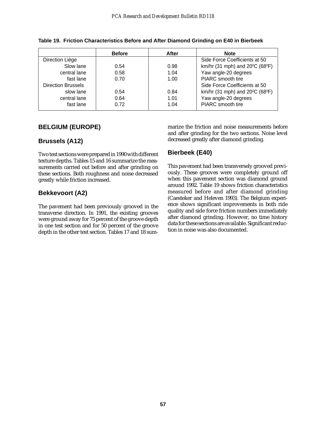|                           | <b>Before</b> | After | <b>Note</b>                    |
|---------------------------|---------------|-------|--------------------------------|
| Direction Liège           |               |       | Side Force Coefficients at 50  |
| Slow lane                 | 0.54          | 0.98  | km/hr (31 mph) and 20°C (68°F) |
| central lane              | 0.58          | 1.04  | Yaw angle-20 degrees           |
| fast lane                 | 0.70          | 1.00  | PIARC smooth tire              |
| <b>Direction Brussels</b> |               |       | Side Force Coefficients at 50  |
| slow lane                 | 0.54          | 0.84  | km/hr (31 mph) and 20°C (68°F) |
| central lane              | 0.64          | 1.01  | Yaw angle-20 degrees           |
| fast lane                 | 0.72          | 1.04  | PIARC smooth tire              |

#### **Table 19. Friction Characteristics Before and After Diamond Grinding on E40 in Bierbeek**

# **BELGIUM (EUROPE)**

## **Brussels (A12)**

Two test sections were prepared in 1990 with different texture depths. Tables 15 and 16 summarize the measurements carried out before and after grinding on these sections. Both roughness and noise decreased greatly while friction increased.

# **Bekkevoort (A2)**

The pavement had been previously grooved in the transverse direction. In 1991, the existing grooves were ground away for 75 percent of the groove depth in one test section and for 50 percent of the groove depth in the other test section. Tables 17 and 18 summarize the friction and noise measurements before and after grinding for the two sections. Noise level decreased greatly after diamond grinding.

# **Bierbeek (E40)**

This pavement had been transversely grooved previously. These grooves were completely ground off when this pavement section was diamond ground around 1992. Table 19 shows friction characteristics measured before and after diamond grinding (Caesteker and Heleven 1993). The Belgium experience shows significant improvements in both ride quality and side force friction numbers immediately after diamond grinding. However, no time history data for these sections are available. Significant reduction in noise was also documented.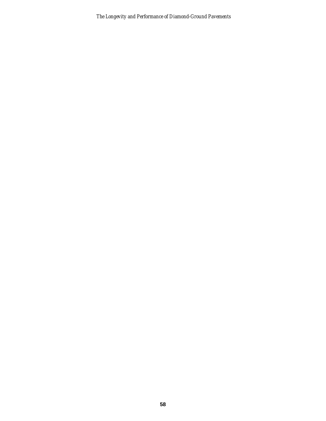*The Longevity and Performance of Diamond-Ground Pavements*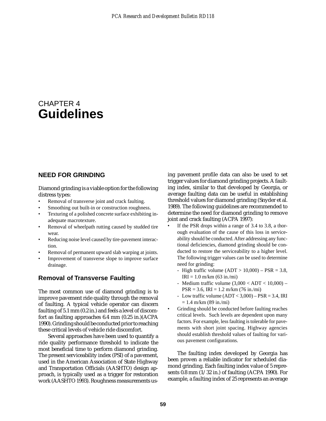## CHAPTER 4 **Guidelines**

#### **NEED FOR GRINDING**

Diamond grinding is a viable option for the following distress types:

- Removal of transverse joint and crack faulting.
- Smoothing out built-in or construction roughness.
- Texturing of a polished concrete surface exhibiting inadequate macrotexture.
- Removal of wheelpath rutting caused by studded tire wear.
- Reducing noise level caused by tire-pavement interaction.
- Removal of permanent upward slab warping at joints.
- Improvement of transverse slope to improve surface drainage.

#### **Removal of Transverse Faulting**

The most common use of diamond grinding is to improve pavement ride quality through the removal of faulting. A typical vehicle operator can discern faulting of 5.1 mm (0.2 in.) and feels a level of discomfort as faulting approaches 6.4 mm (0.25 in.)(ACPA 1990). Grinding should be conducted prior to reaching these critical levels of vehicle ride discomfort.

Several approaches have been used to quantify a ride quality performance threshold to indicate the most beneficial time to perform diamond grinding. The present serviceability index (PSI) of a pavement, used in the American Association of State Highway and Transportation Officials (AASHTO) design approach, is typically used as a trigger for restoration work (AASHTO 1993). Roughness measurements using pavement profile data can also be used to set trigger values for diamond grinding projects. A faulting index, similar to that developed by Georgia, or average faulting data can be useful in establishing threshold values for diamond grinding (Snyder et al. 1989). The following guidelines are recommended to determine the need for diamond grinding to remove joint and crack faulting (ACPA 1997):

- If the PSR drops within a range of 3.4 to 3.8, a thorough evaluation of the cause of this loss in serviceability should be conducted. After addressing any functional deficiencies, diamond grinding should be conducted to restore the serviceability to a higher level. The following trigger values can be used to determine need for grinding:
	- High traffic volume  $(ADT > 10,000) PSR = 3.8$ ,  $IRI = 1.0$  m/km (63 in./mi)
	- Medium traffic volume  $(3,000 < ADT < 10,000)$   $PSR = 3.6$ , IRI = 1.2 m/km (76 in./mi)
	- Low traffic volume  $(ADT < 3,000) PSR = 3.4$ , IRI  $= 1.4$  m/km (89 in./mi)
- Grinding should be conducted before faulting reaches critical levels. Such levels are dependent upon many factors. For example, less faulting is tolerable for pavements with short joint spacing. Highway agencies should establish threshold values of faulting for various pavement configurations.

The faulting index developed by Georgia has been proven a reliable indicator for scheduled diamond grinding. Each faulting index value of 5 represents 0.8 mm (1/32 in.) of faulting (ACPA 1990). For example, a faulting index of 25 represents an average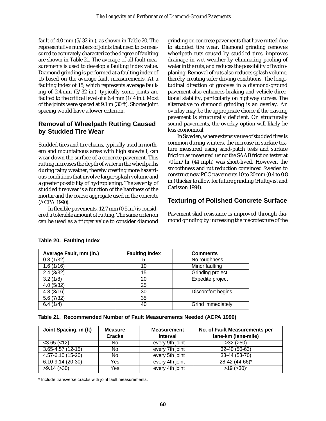fault of 4.0 mm (5/32 in.), as shown in Table 20. The representative numbers of joints that need to be measured to accurately characterize the degree of faulting are shown in Table 21. The average of all fault measurements is used to develop a faulting index value. Diamond grinding is performed at a faulting index of 15 based on the average fault measurements. At a faulting index of 15, which represents average faulting of 2.4 mm (3/32 in.), typically some joints are faulted to the critical level of a  $6.4$  mm  $(1/4$  in.). Most of the joints were spaced at 9.1 m (30 ft). Shorter joint spacing would have a lower criterion.

#### **Removal of Wheelpath Rutting Caused by Studded Tire Wear**

Studded tires and tire chains, typically used in northern and mountainous areas with high snowfall, can wear down the surface of a concrete pavement. This rutting increases the depth of water in the wheelpaths during rainy weather, thereby creating more hazardous conditions that involve larger splash volume and a greater possibility of hydroplaning. The severity of studded tire wear is a function of the hardness of the mortar and the coarse aggregate used in the concrete (ACPA 1990).

In flexible pavements, 12.7 mm (0.5 in.) is considered a tolerable amount of rutting. The same criterion can be used as a trigger value to consider diamond grinding on concrete pavements that have rutted due to studded tire wear. Diamond grinding removes wheelpath ruts caused by studded tires, improves drainage in wet weather by eliminating pooling of water in the ruts, and reduces the possibility of hydroplaning. Removal of ruts also reduces splash volume, thereby creating safer driving conditions. The longitudinal direction of grooves in a diamond-ground pavement also enhances braking and vehicle directional stability, particularly on highway curves. The alternative to diamond grinding is an overlay. An overlay may be the appropriate choice if the existing pavement is structurally deficient. On structurally sound pavements, the overlay option will likely be less economical.

In Sweden, where extensive use of studded tires is common during winters, the increase in surface texture measured using sand-patch tests and surface friction as measured using the SAAB friction tester at 70 km/hr (44 mph) was short-lived. However, the smoothness and rut reduction convinced Sweden to construct new PCC pavements 10 to 20 mm (0.4 to 0.8 in.) thicker to allow for future grinding (Hultqvist and Carlsson 1994).

#### **Texturing of Polished Concrete Surface**

Pavement skid resistance is improved through diamond grinding by increasing the macrotexture of the

| <b>Faulting Index</b> | <b>Comments</b>   |
|-----------------------|-------------------|
| 5                     | No roughness      |
| 10                    | Minor faulting    |
| 15                    | Grinding project  |
| 20                    | Expedite project  |
| 25                    |                   |
| 30                    | Discomfort begins |
| 35                    |                   |
| 40                    | Grind immediately |
|                       |                   |

#### **Table 20. Faulting Index**

**Table 21. Recommended Number of Fault Measurements Needed (ACPA 1990)**

| Joint Spacing, m (ft)  | <b>Measure</b><br><b>Cracks</b> | <b>Measurement</b><br><b>Interval</b> | No. of Fault Measurements per<br>lane-km (lane-mile) |
|------------------------|---------------------------------|---------------------------------------|------------------------------------------------------|
| $<$ 3.65 ( $<$ 12)     | No                              | every 9th joint                       | $>32$ ( $>50$ )                                      |
| $3.65 - 4.57(12 - 15)$ | No                              | every 7th joint                       | $32-40(50-63)$                                       |
| $4.57 - 6.10(15 - 20)$ | No                              | every 5th joint                       | $33-44(53-70)$                                       |
| $6.10 - 9.14(20 - 30)$ | Yes                             | every 4th joint                       | 28-42 (44-66)*                                       |
| $>9.14$ ( $>30$ )      | Yes                             | every 4th joint                       | $>19$ ( $>30$ )*                                     |

\* Include transverse cracks with joint fault measurements.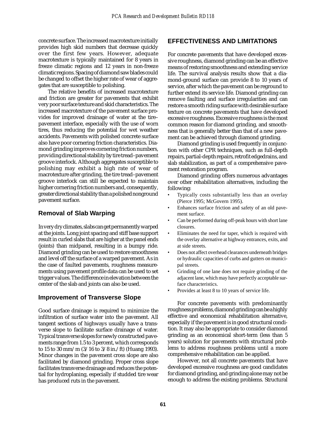concrete surface. The increased macrotexture initially provides high skid numbers that decrease quickly over the first few years. However, adequate macrotexture is typically maintained for 8 years in freeze climatic regions and 12 years in non-freeze climatic regions. Spacing of diamond saw blades could be changed to offset the higher rate of wear of aggregates that are susceptible to polishing.

The relative benefits of increased macrotexture and friction are greater for pavements that exhibit very poor surface texture and skid characteristics. The increased macrotexture of the pavement surface provides for improved drainage of water at the tire– pavement interface, especially with the use of worn tires, thus reducing the potential for wet weather accidents. Pavements with polished concrete surface also have poor cornering friction characteristics. Diamond grinding improves cornering friction numbers, providing directional stability by tire tread–pavement groove interlock. Although aggregates susceptible to polishing may exhibit a high rate of wear of macrotexture after grinding, the tire tread–pavement groove interlock can still be expected to maintain higher cornering friction numbers and, consequently, greater directional stability than a polished nonground pavement surface.

#### **Removal of Slab Warping**

In very dry climates, slabs can get permanently warped at the joints. Long joint spacing and stiff base support result in curled slabs that are higher at the panel ends (joints) than midpanel, resulting in a bumpy ride. Diamond grinding can be used to restore smoothness and level off the surface of a warped pavement. As in the case of faulted pavements, roughness measurements using pavement profile data can be used to set trigger values. The difference in elevation between the center of the slab and joints can also be used.

#### **Improvement of Transverse Slope**

Good surface drainage is required to minimize the infiltration of surface water into the pavement. All tangent sections of highways usually have a transverse slope to facilitate surface drainage of water. Typical transverse slopes for newly constructed pavements range from 1.5 to 3 percent, which corresponds to 15 to 30 mm/m (3/16 to 3/8 in./ft) (Huang 1993). Minor changes in the pavement cross slope are also facilitated by diamond grinding. Proper cross slope facilitates transverse drainage and reduces the potential for hydroplaning, especially if studded tire wear has produced ruts in the pavement.

#### **EFFECTIVENESS AND LIMITATIONS**

For concrete pavements that have developed excessive roughness, diamond grinding can be an effective means of restoring smoothness and extending service life. The survival analysis results show that a diamond-ground surface can provide 8 to 10 years of service, after which the pavement can be reground to further extend its service life. Diamond grinding can remove faulting and surface irregularities and can restore a smooth riding surface with desirable surface texture on concrete pavements that have developed excessive roughness. Excessive roughness is the most common reason for diamond grinding, and smoothness that is generally better than that of a new pavement can be achieved through diamond grinding.

Diamond grinding is used frequently in conjunction with other CPR techniques, such as full-depth repairs, partial-depth repairs, retrofit edgedrains, and slab stabilization, as part of a comprehensive pavement restoration program.

Diamond grinding offers numerous advantages over other rehabilitation alternatives, including the following:

- Typically costs substantially less than an overlay (Pierce 1995; McGovern 1995).
- Enhances surface friction and safety of an old pavement surface.
- Can be performed during off-peak hours with short lane closures.
- Eliminates the need for taper, which is required with the overlay alternative at highway entrances, exits, and at side streets.
- Does not affect overhead clearances underneath bridges or hydraulic capacities of curbs and gutters on municipal streets.
- Grinding of one lane does not require grinding of the adjacent lane, which may have perfectly acceptable surface characteristics.
- Provides at least 8 to 10 years of service life.

For concrete pavements with predominantly roughness problems, diamond grinding can be a highly effective and economical rehabilitation alternative, especially if the pavement is in good structural condition. It may also be appropriate to consider diamond grinding as an economical short-term (less than 5 years) solution for pavements with structural problems to address roughness problems until a more comprehensive rehabilitation can be applied.

However, not all concrete pavements that have developed excessive roughness are good candidates for diamond grinding, and grinding alone may not be enough to address the existing problems. Structural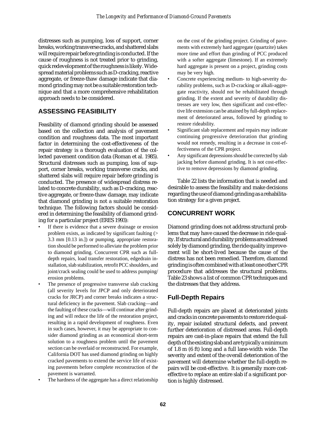distresses such as pumping, loss of support, corner breaks, working transverse cracks, and shattered slabs will require repair before grinding is conducted. If the cause of roughness is not treated prior to grinding, quick redevelopment of the roughness is likely. Widespread material problems such as D-cracking, reactive aggregate, or freeze-thaw damage indicate that diamond grinding may not be a suitable restoration technique and that a more comprehensive rehabilitation approach needs to be considered.

## **ASSESSING FEASIBILITY**

Feasibility of diamond grinding should be assessed based on the collection and analysis of pavement condition and roughness data. The most important factor in determining the cost-effectiveness of the repair strategy is a thorough evaluation of the collected pavement condition data (Roman et al. 1985). Structural distresses such as pumping, loss of support, corner breaks, working transverse cracks, and shattered slabs will require repair before grinding is conducted. The presence of widespread distress related to concrete durability, such as D-cracking, reactive aggregate, or freeze-thaw damage, may indicate that diamond grinding is not a suitable restoration technique. The following factors should be considered in determining the feasibility of diamond grinding for a particular project (ERES 1993):

- If there is evidence that a severe drainage or erosion problem exists, as indicated by significant faulting (> 3.3 mm [0.13 in.]) or pumping, appropriate restoration should be performed to alleviate the problem prior to diamond grinding. Concurrent CPR such as fulldepth repairs, load transfer restoration, edgedrain installation, slab stabilization, retrofit PCC shoulders, and joint/crack sealing could be used to address pumping/ erosion problems.
- The presence of progressive transverse slab cracking (all severity levels for JPCP and only deteriorated cracks for JRCP) and corner breaks indicates a structural deficiency in the pavement. Slab cracking—and the faulting of these cracks—will continue after grinding and will reduce the life of the restoration project, resulting in a rapid development of roughness. Even in such cases, however, it may be appropriate to consider diamond grinding as an economical short-term solution to a roughness problem until the pavement section can be overlaid or reconstructed. For example, California DOT has used diamond grinding on highly cracked pavements to extend the service life of existing pavements before complete reconstruction of the pavement is warranted.
- The hardness of the aggregate has a direct relationship

on the cost of the grinding project. Grinding of pavements with extremely hard aggregate (quartzite) takes more time and effort than grinding of PCC produced with a softer aggregate (limestone). If an extremely hard aggregate is present on a project, grinding costs may be very high.

- Concrete experiencing medium- to high-severity durability problems, such as D-cracking or alkali-aggregate reactivity, should not be rehabilitated through grinding. If the extent and severity of durability distresses are very low, then significant and cost-effective life extension can be attained by full-depth replacement of deteriorated areas, followed by grinding to restore rideability.
- Significant slab replacement and repairs may indicate continuing progressive deterioration that grinding would not remedy, resulting in a decrease in cost-effectiveness of the CPR project.
- Any significant depressions should be corrected by slab jacking before diamond grinding. It is not cost-effective to remove depressions by diamond grinding.

Table 22 lists the information that is needed and desirable to assess the feasibility and make decisions regarding the use of diamond grinding as a rehabilitation strategy for a given project.

## **CONCURRENT WORK**

Diamond grinding does not address structural problems that may have caused the decrease in ride quality. If structural and durability problems are addressed solely by diamond grinding, the ride quality improvement will be short-lived because the cause of the distress has not been remedied. Therefore, diamond grinding is often combined with at least one other CPR procedure that addresses the structural problems. Table 23 shows a list of common CPR techniques and the distresses that they address.

## **Full-Depth Repairs**

Full-depth repairs are placed at deteriorated joints and cracks in concrete pavements to restore ride quality, repair isolated structural defects, and prevent further deterioration of distressed areas. Full-depth repairs are cast-in-place repairs that extend the full depth of the existing slab and are typically a minimum of 1.8 m (6 ft) long and a full lane-width wide. The severity and extent of the overall deterioration of the pavement will determine whether the full-depth repairs will be cost-effective. It is generally more costeffective to replace an entire slab if a significant portion is highly distressed.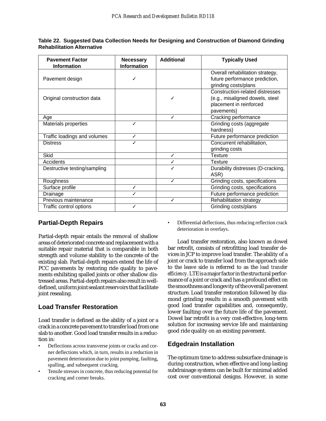| <b>Pavement Factor</b><br><b>Information</b> | <b>Necessary</b><br><b>Information</b> | <b>Additional</b> | <b>Typically Used</b>                                                                                              |
|----------------------------------------------|----------------------------------------|-------------------|--------------------------------------------------------------------------------------------------------------------|
| Pavement design                              |                                        |                   | Overall rehabilitation strategy,<br>future performance prediction,<br>grinding costs/plans                         |
| Original construction data                   |                                        |                   | <b>Construction-related distresses</b><br>(e.g., misaligned dowels, steel<br>placement in reinforced<br>pavements) |
| Age                                          |                                        | ✓                 | Cracking performance                                                                                               |
| <b>Materials</b> properties                  |                                        |                   | Grinding costs (aggregate<br>hardness)                                                                             |
| Traffic loadings and volumes                 |                                        |                   | Future performance prediction                                                                                      |
| <b>Distress</b>                              |                                        |                   | Concurrent rehabilitation,<br>grinding costs                                                                       |
| <b>Skid</b>                                  |                                        | ✓                 | Texture                                                                                                            |
| Accidents                                    |                                        |                   | Texture                                                                                                            |
| Destructive testing/sampling                 |                                        |                   | Durability distresses (D-cracking,<br>ASR)                                                                         |
| Roughness                                    |                                        |                   | Grinding costs, specifications                                                                                     |
| Surface profile                              |                                        |                   | Grinding costs, specifications                                                                                     |
| Drainage                                     |                                        |                   | Future performance prediction                                                                                      |
| Previous maintenance                         |                                        | ✓                 | Rehabilitation strategy                                                                                            |
| Traffic control options                      |                                        |                   | Grinding costs/plans                                                                                               |

**Table 22. Suggested Data Collection Needs for Designing and Construction of Diamond Grinding Rehabilitation Alternative**

## **Partial-Depth Repairs**

Partial-depth repair entails the removal of shallow areas of deteriorated concrete and replacement with a suitable repair material that is comparable in both strength and volume stability to the concrete of the existing slab. Partial-depth repairs extend the life of PCC pavements by restoring ride quality to pavements exhibiting spalled joints or other shallow distressed areas. Partial-depth repairs also result in welldefined, uniform joint sealant reservoirs that facilitate joint resealing.

## **Load Transfer Restoration**

Load transfer is defined as the ability of a joint or a crack in a concrete pavement to transfer load from one slab to another. Good load transfer results in a reduction in:

- Deflections across transverse joints or cracks and corner deflections which, in turn, results in a reduction in pavement deterioration due to joint pumping, faulting, spalling, and subsequent cracking.
- Tensile stresses in concrete, thus reducing potential for cracking and corner breaks.

• Differential deflections, thus reducing reflection crack deterioration in overlays.

Load transfer restoration, also known as dowel bar retrofit, consists of retrofitting load transfer devices in JCP to improve load transfer. The ability of a joint or crack to transfer load from the approach side to the leave side is referred to as the *load transfer efficiency*. LTE is a major factor in the structural performance of a joint or crack and has a profound effect on the smoothness and longevity of the overall pavement structure. Load transfer restoration followed by diamond grinding results in a smooth pavement with good load transfer capabilities and, consequently, lower faulting over the future life of the pavement. Dowel bar retrofit is a very cost-effective, long-term solution for increasing service life and maintaining good ride quality on an existing pavement.

## **Edgedrain Installation**

The optimum time to address subsurface drainage is during construction, when effective and long-lasting subdrainage systems can be built for minimal added cost over conventional designs. However, in some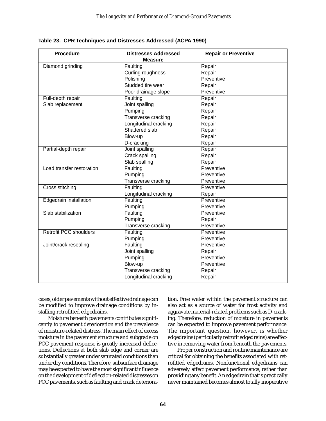|  | Table 23.  CPR Techniques and Distresses Addressed (ACPA 1990) |  |  |  |  |
|--|----------------------------------------------------------------|--|--|--|--|
|--|----------------------------------------------------------------|--|--|--|--|

| <b>Procedure</b>              | <b>Distresses Addressed</b><br><b>Measure</b> | <b>Repair or Preventive</b> |
|-------------------------------|-----------------------------------------------|-----------------------------|
| Diamond grinding              | Faulting                                      | Repair                      |
|                               | Curling roughness                             | Repair                      |
|                               | Polishing                                     | Preventive                  |
|                               | Studded tire wear                             | Repair                      |
|                               | Poor drainage slope                           | Preventive                  |
| Full-depth repair             | Faulting                                      | Repair                      |
| Slab replacement              | Joint spalling                                | Repair                      |
|                               | Pumping                                       | Repair                      |
|                               | Transverse cracking                           | Repair                      |
|                               | Longitudinal cracking                         | Repair                      |
|                               | Shattered slab                                | Repair                      |
|                               | Blow-up                                       | Repair                      |
|                               | D-cracking                                    | Repair                      |
| Partial-depth repair          | Joint spalling                                | Repair                      |
|                               | Crack spalling                                | Repair                      |
|                               | Slab spalling                                 | Repair                      |
| Load transfer restoration     | Faulting                                      | Preventive                  |
|                               | Pumping                                       | Preventive                  |
|                               | Transverse cracking                           | Preventive                  |
| <b>Cross stitching</b>        | Faulting                                      | Preventive                  |
|                               | Longitudinal cracking                         | Repair                      |
| <b>Edgedrain installation</b> | Faulting                                      | Preventive                  |
|                               | Pumping                                       | Preventive                  |
| Slab stabilization            | Faulting                                      | Preventive                  |
|                               | Pumping                                       | Repair                      |
|                               | Transverse cracking                           | Preventive                  |
| <b>Retrofit PCC shoulders</b> | Faulting                                      | Preventive                  |
|                               | Pumping                                       | Preventive                  |
| Joint/crack resealing         | Faulting                                      | Preventive                  |
|                               | Joint spalling                                | Repair                      |
|                               | Pumping                                       | Preventive                  |
|                               | Blow-up                                       | Preventive                  |
|                               | Transverse cracking                           | Repair                      |
|                               | Longitudinal cracking                         | Repair                      |

cases, older pavements without effective drainage can be modified to improve drainage conditions by installing retrofitted edgedrains.

Moisture beneath pavements contributes significantly to pavement deterioration and the prevalence of moisture-related distress. The main effect of excess moisture in the pavement structure and subgrade on PCC pavement response is greatly increased deflections. Deflections at both slab edge and corner are substantially greater under saturated conditions than under dry conditions. Therefore, subsurface drainage may be expected to have the most significant influence on the development of deflection-related distresses on PCC pavements, such as faulting and crack deterioration. Free water within the pavement structure can also act as a source of water for frost activity and aggravate material-related problems such as D-cracking. Therefore, reduction of moisture in pavements can be expected to improve pavement performance. The important question, however, is whether edgedrains (particularly retrofit edgedrains) are effective in removing water from beneath the pavements.

Proper construction and routine maintenance are critical for obtaining the benefits associated with retrofitted edgedrains. Nonfunctional edgedrains can adversely affect pavement performance, rather than providing any benefit. An edgedrain that is practically never maintained becomes almost totally inoperative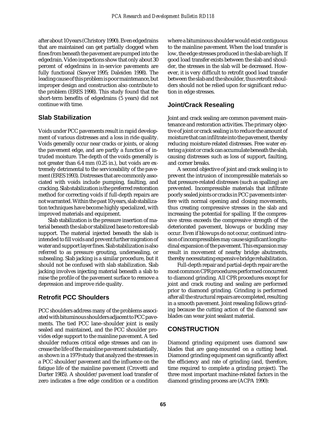after about 10 years (Christory 1990). Even edgedrains that are maintained can get partially clogged when fines from beneath the pavement are pumped into the edgedrain. Video inspections show that only about 30 percent of edgedrains in in-service pavements are fully functional (Sawyer 1995; Daleiden 1998). The leading cause of this problem is poor maintenance, but improper design and construction also contribute to the problem (ERES 1998). This study found that the short-term benefits of edgedrains (5 years) did not continue with time.

#### **Slab Stabilization**

Voids under PCC pavements result in rapid development of various distresses and a loss in ride quality. Voids generally occur near cracks or joints, or along the pavement edge, and are partly a function of intruded moisture. The depth of the voids generally is not greater than 6.4 mm (0.25 in.), but voids are extremely detrimental to the serviceability of the pavement (ERES 1993). Distresses that are commonly associated with voids include pumping, faulting, and cracking. Slab stabilization is the preferred restoration method for correcting voids if full-depth repairs are not warranted. Within the past 10 years, slab stabilization techniques have become highly specialized, with improved materials and equipment.

Slab stabilization is the pressure insertion of material beneath the slab or stabilized base to restore slab support. The material injected beneath the slab is intended to fill voids and prevent further migration of water and support layer fines. Slab stabilization is also referred to as pressure grouting, undersealing, or subsealing. Slab jacking is a similar procedure, but it should not be confused with slab stabilization. Slab jacking involves injecting material beneath a slab to raise the profile of the pavement surface to remove a depression and improve ride quality.

#### **Retrofit PCC Shoulders**

PCC shoulders address many of the problems associated with bituminous shoulders adjacent to PCC pavements. The tied PCC lane–shoulder joint is easily sealed and maintained, and the PCC shoulder provides edge support to the mainline pavement. A tied shoulder reduces critical edge stresses and can increase the life of the mainline pavement substantially, as shown in a 1979 study that analyzed the stresses in a PCC shoulder/pavement and the influence on the fatigue life of the mainline pavement (Crovetti and Darter 1985). A shoulder/pavement load transfer of zero indicates a free edge condition or a condition where a bituminous shoulder would exist contiguous to the mainline pavement. When the load transfer is low, the edge stresses produced in the slab are high. If good load transfer exists between the slab and shoulder, the stresses in the slab will be decreased. However, it is very difficult to retrofit good load transfer between the slab and the shoulder, thus retrofit shoulders should not be relied upon for significant reduction in edge stresses.

#### **Joint/Crack Resealing**

Joint and crack sealing are common pavement maintenance and restoration activities. The primary objective of joint or crack sealing is to reduce the amount of moisture that can infiltrate into the pavement, thereby reducing moisture-related distresses. Free water entering a joint or crack can accumulate beneath the slab, causing distresses such as loss of support, faulting, and corner breaks.

A second objective of joint and crack sealing is to prevent the intrusion of incompressible materials so that pressure-related distresses (such as spalling) are prevented. Incompressible materials that infiltrate poorly sealed joints or cracks in PCC pavements interfere with normal opening and closing movements, thus creating compressive stresses in the slab and increasing the potential for spalling. If the compressive stress exceeds the compressive strength of the deteriorated pavement, blowups or buckling may occur. Even if blowups do not occur, continued intrusion of incompressibles may cause significant longitudinal expansion of the pavement. This expansion may result in movement of nearby bridge abutments, thereby necessitating expensive bridge rehabilitation.

Full-depth repair and partial-depth repair are the most common CPR procedures performed concurrent to diamond grinding. All CPR procedures except for joint and crack routing and sealing are performed prior to diamond grinding. Grinding is performed after all the structural repairs are completed, resulting in a smooth pavement. Joint resealing follows grinding because the cutting action of the diamond saw blades can wear joint sealant material.

## **CONSTRUCTION**

Diamond grinding equipment uses diamond saw blades that are gang-mounted on a cutting head. Diamond grinding equipment can significantly affect the efficiency and rate of grinding (and, therefore, time required to complete a grinding project). The three most important machine-related factors in the diamond grinding process are (ACPA 1990):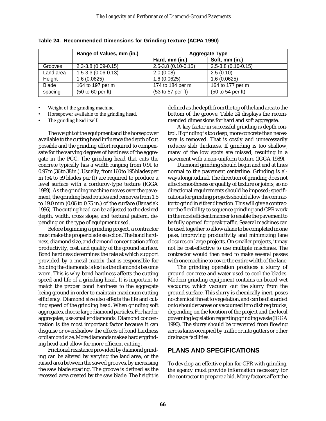|           | Range of Values, mm (in.) |                          | <b>Aggregate Type</b>    |
|-----------|---------------------------|--------------------------|--------------------------|
|           |                           | Hard, mm (in.)           | Soft, mm (in.)           |
| Grooves   | $2.3 - 3.8(0.09 - 0.15)$  | $2.5 - 3.8(0.10 - 0.15)$ | $2.5 - 3.8(0.10 - 0.15)$ |
| Land area | $1.5 - 3.3(0.06 - 0.13)$  | 2.0(0.08)                | 2.5(0.10)                |
| Height    | 1.6(0.0625)               | 1.6(0.0625)              | 1.6(0.0625)              |
| Blade     | 164 to 197 per m          | 174 to 184 per m         | 164 to 177 per m         |
| spacing   | (50 to 60 per ft)         | (53 to 57 per ft)        | (50 to 54 per ft)        |

**Table 24. Recommended Dimensions for Grinding Texture (ACPA 1990)**

Weight of the grinding machine.

• Horsepower available to the grinding head.

The grinding head itself.

The weight of the equipment and the horsepower available to the cutting head influence the depth of cut possible and the grinding effort required to compensate for the varying degrees of hardness of the aggregate in the PCC. The grinding head that cuts the concrete typically has a width ranging from 0.91 to 0.97 m (36 to 38 in.). Usually, from 160 to 195 blades per m (54 to 59 blades per ft) are required to produce a level surface with a corduroy-type texture (IGGA 1989). As the grinding machine moves over the pavement, the grinding head rotates and removes from 1.5 to 19.0 mm (0.06 to 0.75 in.) of the surface (Banasiak 1996). The cutting head can be adjusted to the desired depth, width, cross slope, and textural pattern, depending on the type of equipment used.

Before beginning a grinding project, a contractor must make the proper blade selection. The bond hardness, diamond size, and diamond concentration affect productivity, cost, and quality of the ground surface. Bond hardness determines the rate at which support provided by a metal matrix that is responsible for holding the diamonds is lost as the diamonds become worn. This is why bond hardness affects the cutting speed and life of a grinding head. It is important to match the proper bond hardness to the aggregate being ground in order to maintain maximum cutting efficiency. Diamond size also effects the life and cutting speed of the grinding head. When grinding soft aggregates, choose large diamond particles. For harder aggregates, use smaller diamonds. Diamond concentration is the most important factor because it can disguise or overshadow the effects of bond hardness or diamond size. More diamonds make a harder grinding head and allow for more efficient cutting.

Frictional resistance provided by diamond grinding can be altered by varying the land area, or the raised area between the sawed grooves, by increasing the saw blade spacing. The groove is defined as the recessed area created by the saw blade. The height is defined as the depth from the top of the land area to the bottom of the groove. Table 24 displays the recommended dimensions for hard and soft aggregate.

A key factor in successful grinding is depth control. If grinding is too deep, more concrete than necessary is removed. That is costly and unnecessarily reduces slab thickness. If grinding is too shallow, many of the low spots are missed, resulting in a pavement with a non-uniform texture (IGGA 1989).

Diamond grinding should begin and end at lines normal to the pavement centerline. Grinding is always longitudinal. The direction of grinding does not affect smoothness or quality of texture or joints, so no directional requirements should be imposed; specifications for grinding projects should allow the contractor to grind in either direction. This will give a contractor the flexibility to sequence grinding and CPR work in the most efficient manner to enable the pavement to be fully opened for peak traffic. Several machines can be used together to allow a lane to be completed in one pass, improving productivity and minimizing lane closures on large projects. On smaller projects, it may not be cost-effective to use multiple machines. The contractor would then need to make several passes with one machine to cover the entire width of the lane.

The grinding operation produces a slurry of ground concrete and water used to cool the blades. Modern grinding equipment contains on-board wet vacuums, which vacuum out the slurry from the ground surface. This slurry is chemically inert, poses no chemical threat to vegetation, and can be discarded onto shoulder areas or vacuumed into dishrag trucks, depending on the location of the project and the local governing legislation regarding grinding waste (IGGA 1990). The slurry should be prevented from flowing across lanes occupied by traffic or into gutters or other drainage facilities.

#### **PLANS AND SPECIFICATIONS**

To develop an effective plan for CPR with grinding, the agency must provide information necessary for the contractor to prepare a bid. Many factors affect the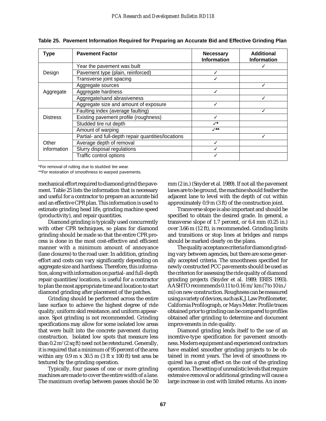| <b>Type</b>     | <b>Pavement Factor</b>                              | <b>Necessary</b><br><b>Information</b> | <b>Additional</b><br><b>Information</b> |
|-----------------|-----------------------------------------------------|----------------------------------------|-----------------------------------------|
|                 | Year the pavement was built                         |                                        |                                         |
| Design          | Pavement type (plain, reinforced)                   |                                        |                                         |
|                 | Transverse joint spacing                            |                                        |                                         |
|                 | Aggregate sources                                   |                                        |                                         |
| Aggregate       | Aggregate hardness                                  |                                        |                                         |
|                 | Aggregate/sand abrasiveness                         |                                        |                                         |
|                 | Aggregate size and amount of exposure               |                                        |                                         |
|                 | Faulting index (average faulting)                   |                                        |                                         |
| <b>Distress</b> | Existing pavement profile (roughness)               |                                        |                                         |
|                 | Studded tire rut depth                              | $\mathcal{N}^{\star}$                  |                                         |
|                 | Amount of warping                                   | $J^{\star\star}$                       |                                         |
|                 | Partial- and full-depth repair quantities/locations |                                        |                                         |
| Other           | Average depth of removal                            |                                        |                                         |
| information     | Slurry disposal regulations                         |                                        |                                         |
|                 | Traffic control options                             |                                        |                                         |

**Table 25. Pavement Information Required for Preparing an Accurate Bid and Effective Grinding Plan**

\*For removal of rutting due to studded tire wear.

\*\*For restoration of smoothness to warped pavements.

mechanical effort required to diamond grind the pavement. Table 25 lists the information that is necessary and useful for a contractor to prepare an accurate bid and an effective CPR plan. This information is used to estimate grinding head life, grinding machine speed (productivity), and repair quantities.

Diamond grinding is typically used concurrently with other CPR techniques, so plans for diamond grinding should be made so that the entire CPR process is done in the most cost-effective and efficient manner with a minimum amount of annoyance (lane closures) to the road user. In addition, grinding effort and costs can vary significantly depending on aggregate size and hardness. Therefore, this information, along with information on partial- and full-depth repair quantities/locations, is useful for a contractor to plan the most appropriate time and location to start diamond grinding after placement of the patches.

Grinding should be performed across the entire lane surface to achieve the highest degree of ride quality, uniform skid resistance, and uniform appearance. Spot grinding is not recommended. Grinding specifications may allow for some isolated low areas that were built into the concrete pavement during construction. Isolated low spots that measure less than 0.2 m $^{2}$  (2 sq ft) need not be retextured. Generally, it is required that a minimum of 95 percent of the area within any 0.9 m x 30.5 m (3 ft x 100 ft) test area be textured by the grinding operation.

Typically, four passes of one or more grinding machines are made to cover the entire width of a lane. The maximum overlap between passes should be 50 mm (2 in.) (Snyder et al. 1989). If not all the pavement lanes are to be ground, the machine should feather the adjacent lane to level with the depth of cut within approximately 0.9 m (3 ft) of the construction joint.

Transverse slope is also important and should be specified to obtain the desired grade. In general, a transverse slope of 1.7 percent, or 6.4 mm (0.25 in.) over 3.66 m (12 ft), is recommended. Grinding limits and transitions or stop lines at bridges and ramps should be marked clearly on the plans.

The quality acceptance criteria for diamond grinding vary between agencies, but there are some generally accepted criteria. The smoothness specified for newly constructed PCC pavements should be used as the criterion for assessing the ride quality of diamond grinding projects (Snyder et al. 1989; ERES 1993). AASHTO recommends 0.11 to 0.16 m/km (7 to 10 in./ mi) on new construction. Roughness can be measured using a variety of devices, such as K.J. Law Profilometer, California Profilograph, or Mays Meter. Profile traces obtained prior to grinding can be compared to profiles obtained after grinding to determine and document improvements in ride quality.

Diamond grinding lends itself to the use of an incentive-type specification for pavement smoothness. Modern equipment and experienced contractors have enabled smoother grinding projects to be obtained in recent years. The level of smoothness required has a great effect on the cost of the grinding operation. The setting of unrealistic levels that require extensive removal or additional grinding will cause a large increase in cost with limited returns. An incen-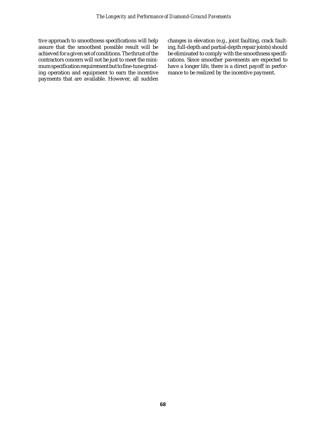tive approach to smoothness specifications will help assure that the smoothest possible result will be achieved for a given set of conditions. The thrust of the contractors concern will not be just to meet the minimum specification requirement but to fine-tune grinding operation and equipment to earn the incentive payments that are available. However, all sudden

changes in elevation (e.g., joint faulting, crack faulting, full-depth and partial-depth repair joints) should be eliminated to comply with the smoothness specifications. Since smoother pavements are expected to have a longer life, there is a direct payoff in performance to be realized by the incentive payment.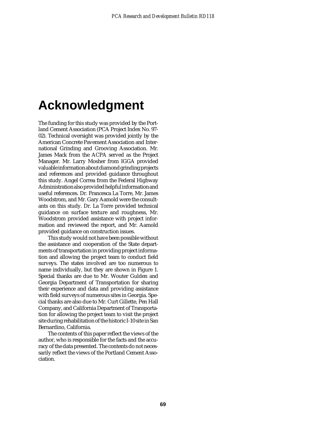# **Acknowledgment**

The funding for this study was provided by the Portland Cement Association (PCA Project Index No. 97- 02). Technical oversight was provided jointly by the American Concrete Pavement Association and International Grinding and Grooving Association. Mr. James Mack from the ACPA served as the Project Manager. Mr. Larry Mosher from IGGA provided valuable information about diamond grinding projects and references and provided guidance throughout this study. Angel Correa from the Federal Highway Administration also provided helpful information and useful references. Dr. Francesca La Torre, Mr. James Woodstrom, and Mr. Gary Aamold were the consultants on this study. Dr. La Torre provided technical guidance on surface texture and roughness, Mr. Woodstrom provided assistance with project information and reviewed the report, and Mr. Aamold provided guidance on construction issues.

This study would not have been possible without the assistance and cooperation of the State departments of transportation in providing project information and allowing the project team to conduct field surveys. The states involved are too numerous to name individually, but they are shown in Figure 1. Special thanks are due to Mr. Wouter Gulden and Georgia Department of Transportation for sharing their experience and data and providing assistance with field surveys of numerous sites in Georgia. Special thanks are also due to Mr. Curt Gillette, Pen Hall Company, and California Department of Transportation for allowing the project team to visit the project site during rehabilitation of the historic I-10 site in San Bernardino, California.

The contents of this paper reflect the views of the author, who is responsible for the facts and the accuracy of the data presented. The contents do not necessarily reflect the views of the Portland Cement Association.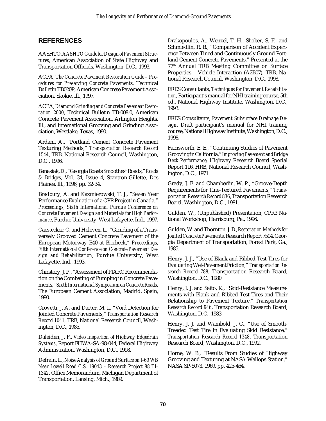#### **REFERENCES**

AASHTO, *AASHTO Guide for Design of Pavement Structures*, American Association of State Highway and Transportation Officials, Washington, D.C., 1993.

ACPA, *The Concrete Pavement Restoration Guide – Procedures for Preserving Concrete Pavements,* Technical Bulletin TB020P, American Concrete Pavement Association, Skokie, Ill., 1997.

ACPA, *Diamond Grinding and Concrete Pavement Restoration 2000*, Technical Bulletin TB-008.0, American Concrete Pavement Association, Arlington Heights, Ill., and International Grooving and Grinding Association, Westlake, Texas, 1990.

Ardani, A., "Portland Cement Concrete Pavement Texturing Methods," *Transportation Research Record 1544*, TRB, National Research Council, Washington, D.C., 1996.

Banasiak, D., "Georgia Boasts Smoothest Roads," *Roads & Bridges,* Vol. 34, Issue 4, Scantron-Gillette, Des Plaines, Ill., 1996, pp. 32-34.

Bradbury, A. and Kazmierowski, T. J., "Seven Year Performance Evaluation of a CPR Project in Canada," *Proceedings, Sixth International Purdue Conference on Concrete Pavement Design and Materials for High Performance*, Purdue University, West Lafayette, Ind., 1997.

Caestecker, C. and Heleven, L., "Grinding of a Transversely Grooved Cement Concrete Pavement of the European Motorway E40 at Bierbeek," *Proceedings, Fifth International Conference on Concrete Pavement Design and Rehabilitation*, Purdue University, West Lafayette, Ind., 1993.

Christory, J. P., "Assessment of PIARC Recommendation on the Combating of Pumping in Concrete Pavements," *Sixth International Symposium on Concrete Roads*, The European Cement Association, Madrid, Spain, 1990.

Crovetti, J. A. and Darter, M. I., "Void Detection for Jointed Concrete Pavements," *Transportation Research Record 1041,* TRB, National Research Council, Washington, D.C., 1985.

Daleiden, J. F., *Video Inspection of Highway Edgedrain Systems*, Report FHWA-SA-98-044, Federal Highway Administration, Washington, D.C., 1998.

Defrain, L., *Noise Analysis of Ground Surface on I-69 WB Near Lowell Road C.S. 19043 – Research Project 88 TI-1342*, Office Memorandum, Michigan Department of Transportation, Lansing, Mich., 1989.

Drakopoulos, A., Wenzel, T. H., Shober, S. F., and Schmiedlin, R. B., "Comparison of Accident Experience Between Tined and Continuously Ground Portland Cement Concrete Pavements," Presented at the 77th Annual TRB Meeting Committee on Surface Properties – Vehicle Interaction (A2B07), TRB, National Research Council, Washington, D.C., 1998.

ERES Consultants, *Techniques for Pavement Rehabilitation*, Participant's manual for NHI training course, 5th ed., National Highway Institute, Washington, D.C., 1993.

ERES Consultants, *Pavement Subsurface Drainage Design*, Draft participant's manual for NHI training course, National Highway Institute, Washington, D.C., 1998.

Farnsworth, E. E., "Continuing Studies of Pavement Grooving in California," *Improving Pavement and Bridge Deck Performance*, Highway Research Board Special Report 116, HRB, National Research Council, Washington, D.C., 1971.

Grady, J. E. and Chamberlin, W. P., "Groove-Depth Requirements for Tine-Textured Pavements," *Transportation Research Record 836*, Transportation Research Board, Washington, D.C., 1981.

Gulden, W., (Unpublished) Presentation, CPR3 National Workshop, Harrisburg, Pa., 1996.

Gulden, W. and Thornton, J. B., *Restoration Methods for Jointed Concrete Pavements*, Research Report 7504, Georgia Department of Transportation, Forest Park, Ga., 1985.

Henry, J. J., "Use of Blank and Ribbed Test Tires for Evaluating Wet-Pavement Friction," *Transportation Research Record 788*, Transportation Research Board, Washington, D.C., 1980.

Henry, J. J. and Saito, K., "Skid-Resistance Measurements with Blank and Ribbed Test Tires and Their Relationship to Pavement Texture," *Transportation Research Record 946*, Transportation Research Board, Washington, D.C., 1983.

Henry, J. J. and Wambold, J. C., "Use of Smooth-Treaded Test Tire in Evaluating Skid Resistance," *Transportation Research Record 1348*, Transportation Research Board, Washington, D.C., 1992.

Horne, W. B., "Results From Studies of Highway Grooving and Texturing at NASA Wallops Station," NASA SP-5073, 1969, pp. 425-464.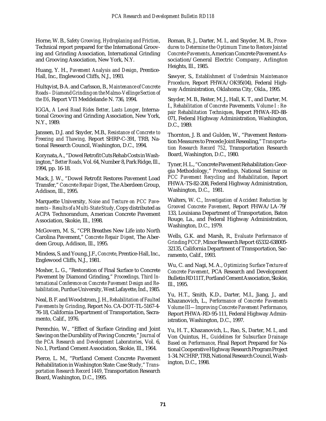Horne, W. B., *Safety Grooving, Hydroplaning and Friction*, Technical report prepared for the International Grooving and Grinding Association, International Grinding and Grooving Association, New York, N.Y.

Huang, Y. H., *Pavement Analysis and Design*, Prentice-Hall, Inc., Englewood Cliffs, N.J., 1993.

Hultqvist, B-A. and Carlsson, B., *Maintenance of Concrete Roads – Diamond Grinding on the Malmo-Vellinge Section of the E6*, Report VTI Meddelande N. 736, 1994.

IGGA, *A Level Road Rides Better, Lasts Longer*, International Grooving and Grinding Association, New York, N.Y., 1989.

Janssen, D.J. and Snyder, M.B., *Resistance of Concrete to Freezing and Thawing,* Report SHRP-C-391, TRB, National Research Council, Washington, D.C., 1994.

Korynata, A., "Dowel Retrofit Cuts Rehab Costs in Washington," *Better Roads,* Vol. 64, Number 8, Park Ridge, Ill., 1994, pp. 16-18.

Mack, J. W., "Dowel Retrofit Restores Pavement Load Transfer," *Concrete Repair Digest*, The Aberdeen Group, Addison, Ill., 1995.

Marquette University, *Noise and Texture on PCC Pavements – Results of a Multi-State Study*, Copy distributed as ACPA Technorandum, American Concrete Pavement Association, Skokie, Ill., 1998.

McGovern, M. S., "CPR Breathes New Life into North Carolina Pavement," *Concrete Repair Digest,* The Aberdeen Group, Addison, Ill., 1995.

Mindess, S. and Young, J.F., *Concrete*, Prentice-Hall, Inc., Englewood Cliffs, N.J., 1981.

Mosher, L. G., "Restoration of Final Surface to Concrete Pavement by Diamond Grinding," *Proceedings, Third International Conference on Concrete Pavement Design and Rehabilitation*, Purdue University, West Lafayette, Ind., 1985.

Neal, B. F. and Woodstrom, J. H., *Rehabilitation of Faulted Pavements by Grinding*, Report No. CA-DOT-TL-5167-4- 76-18, California Department of Transportation, Sacramento, Calif., 1976.

Perenchio, W., "Effect of Surface Grinding and Joint Sawing on the Durability of Paving Concrete," *Journal of the PCA Research and Development Laboratories*, Vol. 6, No.1, Portland Cement Association, Skokie, Ill., 1964.

Pierce, L. M., "Portland Cement Concrete Pavement Rehabilitation in Washington State: Case Study," *Transportation Research Record 1449*, Transportation Research Board, Washington, D.C., 1995.

Roman, R. J., Darter, M. I., and Snyder, M. B., *Procedures to Determine the Optimum Time* to *Restore Jointed Concrete Pavements*, American Concrete Pavement Association/General Electric Company, Arlington Heights, Ill., 1985.

Sawyer, S., *Establishment of Underdrain Maintenance Procedure*, Report FHWA/OK95(04), Federal Highway Administration, Oklahoma City, Okla., 1995.

Snyder, M. B., Reiter, M. J., Hall, K. T., and Darter, M. I., *Rehabilitation of Concrete* Pavements*, Volume I : Repair Rehabilitation Techniques*, Report FHWA-RD-88- 071, Federal Highway Administration, Washington, D.C., 1989.

Thornton, J. B. and Gulden, W., "Pavement Restoration Measures to Precede Joint Resealing," *Transportation Research Record 752*, Transportation Research Board, Washington, D.C., 1980.

Tyner, H. L., "Concrete Pavement Rehabilitation: Georgia Methodology," *Proceedings,* National *Seminar on PCC Pavement Recycling and Rehabilitation,* Report FHWA-TS-82-208, Federal Highway Administration, Washington, D.C., 1981.

Walters, W. C., *Investigation of Accident Reduction by Grooved Concrete Pavement*, Report FHWA/LA-79/ 133, Louisiana Department of Transportation, Baton Rouge, La., and Federal Highway Administration, Washington, D.C., 1979.

Wells, G.K. and Marsh, R., *Evaluate Performance of Grinding PCCP,* Minor Research Report 65332-638005- 32135, California Department of Transportation, Sacramento, Calif., 1993.

Wu, C. and Nagi, M. A., *Optimizing Surface Texture of Concrete Pavement,* PCA Research and Development Bulletin RD111T, Portland Cement Association, Skokie, Ill., 1995.

Yu, H.T., Smith, K.D., Darter, M.I., Jiang, J., and Khazanovich, L., *Performance of Concrete Pavements Volume III—Improving Concrete Pavement Performance*, Report FHWA-RD-95-111, Federal Highway Administration, Washington, D.C., 1997.

Yu, H. T., Khazanovich, L., Rao, S., Darter, M. I., and Von Quintus, H., *Guidelines for Subsurface Drainage Based on Performance*, Final Report Prepared for National Cooperative Highway Research Program Project 1-34. NCHRP, TRB, National Research Council, Washington, D.C., 1998.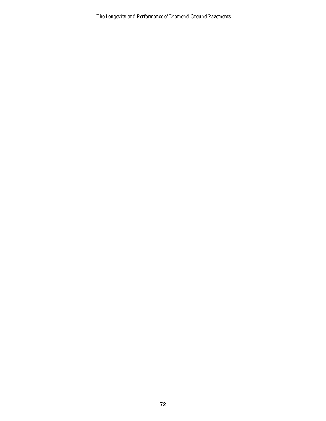*The Longevity and Performance of Diamond-Ground Pavements*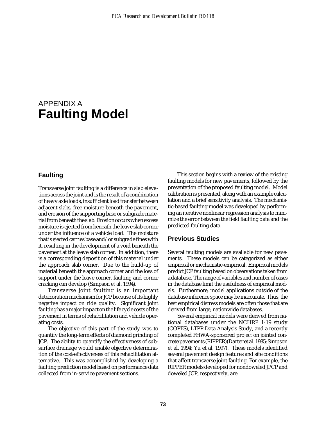## APPENDIX A **Faulting Model**

#### **Faulting**

Transverse joint faulting is a difference in slab elevations across the joint and is the result of a combination of heavy axle loads, insufficient load transfer between adjacent slabs, free moisture beneath the pavement, and erosion of the supporting base or subgrade material from beneath the slab. Erosion occurs when excess moisture is ejected from beneath the leave slab corner under the influence of a vehicle load. The moisture that is ejected carries base and/or subgrade fines with it, resulting in the development of a void beneath the pavement at the leave slab corner. In addition, there is a corresponding deposition of this material under the approach slab corner. Due to the build-up of material beneath the approach corner and the loss of support under the leave corner, faulting and corner cracking can develop (Simpson et al. 1994).

Transverse joint faulting is an important deterioration mechanism for JCP because of its highly negative impact on ride quality. Significant joint faulting has a major impact on the life cycle costs of the pavement in terms of rehabilitation and vehicle operating costs.

The objective of this part of the study was to quantify the long-term effects of diamond grinding of JCP. The ability to quantify the effectiveness of subsurface drainage would enable objective determination of the cost-effectiveness of this rehabilitation alternative. This was accomplished by developing a faulting prediction model based on performance data collected from in-service pavement sections.

This section begins with a review of the existing faulting models for new pavements, followed by the presentation of the proposed faulting model. Model calibration is presented, along with an example calculation and a brief sensitivity analysis. The mechanistic-based faulting model was developed by performing an iterative nonlinear regression analysis to minimize the error between the field faulting data and the predicted faulting data.

#### **Previous Studies**

Several faulting models are available for new pavements. These models can be categorized as either empirical or mechanistic-empirical. Empirical models predict JCP faulting based on observations taken from a database. The range of variables and number of cases in the database limit the usefulness of empirical models. Furthermore, model applications outside of the database inference space may be inaccurate. Thus, the best empirical distress models are often those that are derived from large, nationwide databases.

Several empirical models were derived from national databases under the NCHRP 1-19 study (COPES), LTPP Data Analysis Study, and a recently completed FHWA-sponsored project on jointed concrete pavements (RIPPER)(Darter et al. 1985; Simpson et al. 1994; Yu et al. 1997). These models identified several pavement design features and site conditions that affect transverse joint faulting. For example, the RIPPER models developed for nondoweled JPCP and doweled JCP, respectively, are: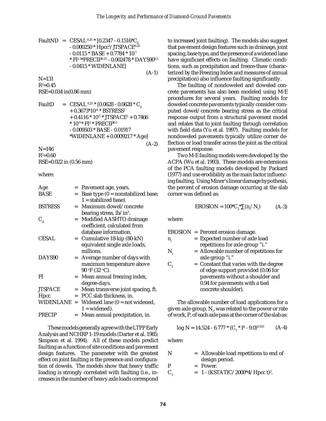FullND = 
$$
\text{CESAL}^{0.25 \times 0.2347 - 0.1516 \times C_d} - 0.000250 \times \text{Hpc}^2/\text{JTSPACE}^{0.25} - 0.0115 \times \text{BASE} + 0.7784 \times 10^7 \times \text{FI}^{1.5 \times} \text{PRECIP}^{0.25} - 0.002478 \times \text{DAYS90}^{0.5} - 0.0415 \times \text{WIDENLANE}
$$
\n(A-1)

N=131  $R^2=0.45$ RSE=0.034 in(0.86 mm)

FullD = CESAL 
$$
^{0.25}
$$
 \*  $[0.0628 - 0.0628 \times C_{d} + 0.3673 \times 10^{8} \times \text{BSTRESS}^{2} + 0.4116 \times 10^{5} \times \text{JTSPACE}^{2} + 0.7466 \times 10^{9} \times \text{F1}^{2} \times \text{PRECIP0.5 - 0.009503 * BASE - 0.01917 \times \text{WIDENLANE} + 0.0009217 * Age]$ \n(A-2)

$$
N=146
$$
  
R<sup>2</sup>=0.60  
DEF, 0.022 in (0.56 mm)

RSE=0.022 in (0.56 mm)

where:

| Age                |     | = Pavement age, years.               |
|--------------------|-----|--------------------------------------|
| <b>BASE</b>        | $=$ | Base type $(0 =$ nonstabilized base; |
|                    |     | $1 =$ stabilized base).              |
| <b>BSTRESS</b>     |     | = Maximum dowel/concrete             |
|                    |     | bearing stress, $lb/in^2$ .          |
| $C_{d}$            |     | = Modified AASHTO drainage           |
|                    |     | coefficient, calculated from         |
|                    |     | database information.                |
| CESAL              |     | $=$ Cumulative 18-kip (80-kN)        |
|                    |     | equivalent single axle loads,        |
|                    |     | millions.                            |
| DAYS <sub>90</sub> |     | = Average number of days with        |
|                    |     | maximum temperature above            |
|                    |     | 90 °F (32 °C).                       |
| FI                 | $=$ | Mean annual freezing index,          |
|                    |     | degree-days.                         |
| <b>JTSPACE</b>     |     | = Mean transverse joint spacing, ft. |
| Hpcc               | $=$ | PCC slab thickness, in.              |
| WIDENLANE          |     | $=$ Widened lane $(0 = not$ widened, |
|                    |     | $1 =$ widened).                      |
| <b>PRECIP</b>      |     | = Mean annual precipitation, in.     |
|                    |     |                                      |

These models generally agree with the LTPP Early Analysis and NCHRP 1-19 models (Darter et al. 1985; Simpson et al. 1994). All of these models predict faulting as a function of site conditions and pavement design features. The parameter with the greatest effect on joint faulting is the presence and configuration of dowels. The models show that heavy traffic loading is strongly correlated with faulting (i.e., increases in the number of heavy axle loads correspond to increased joint faulting). The models also suggest that pavement design features such as drainage, joint spacing, base type, and the presence of a widened lane have significant effects on faulting. Climatic conditions, such as precipitation and freeze-thaw (characterized by the Freezing Index and measures of annual precipitation) also influence faulting significantly.

The faulting of nondoweled and doweled concrete pavements has also been modeled using M-E procedures for several years. Faulting models for doweled concrete pavements typically consider computed dowel/concrete bearing stress as the critical response output from a structural pavement model and relates that to joint faulting through correlation with field data (Yu et al. 1997). Faulting models for nondoweled pavements typically utilize corner deflection or load transfer across the joint as the critical pavement response.

Two M-E faulting models were developed by the ACPA (Wu et al. 1993). These models are extensions of the PCA faulting models developed by Packard (1977) and use erodibility as the main factor influencing faulting. Using Miner's linear damage hypothesis, the percent of erosion damage occurring at the slab corner was defined as:

$$
EROSION = 100*C2*\Sigma(n1/N1)
$$
 (A-3)

where:

|    | $EROSION$ = Percent erosion damage.    |
|----|----------------------------------------|
| n, | = Expected number of axle load         |
|    | repetitions for axle group "i."        |
| N, | = Allowable number of repetitions for  |
|    | axle group "i."                        |
| Ċ, | = Constant that varies with the degree |
|    | of edge support provided (0.06 for     |
|    | pavements without a shoulder and       |
|    | 0.94 for pavements with a tied         |
|    | concrete shoulder).                    |
|    |                                        |

The allowable number of load applications for a given axle group,  $N_{i}$ , was related to the power or rate of work, P, of each axle pass at the corner of the slab as:

$$
\log N = 14.524 - 6.777 * (C_1 * P - 9.0)^{0.103} \tag{A-4}
$$

where:

| N            | = Allowable load repetitions to end of |
|--------------|----------------------------------------|
|              | design period.                         |
| $\mathbf{P}$ | $=$ Power.                             |
| C,           | $= 1 - (KSTATIC/2000*4/Hpec t)^2$ .    |
|              |                                        |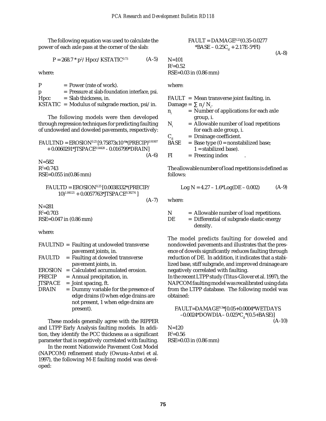The following equation was used to calculate the power of each axle pass at the corner of the slab:

$$
P = 268.7 * p2/Hpcc/KSTATIC0.73
$$
 (A-5)

where:

| P    | $=$ Power (rate of work).                          |
|------|----------------------------------------------------|
| p    | = Pressure at slab-foundation interface, psi.      |
| Hpcc | $=$ Slab thickness, in.                            |
|      | KSTATIC = Modulus of subgrade reaction, $psi/in$ . |

The following models were then developed through regression techniques for predicting faulting of undoweled and doweled pavements, respectively:

 $FAULTND = EROSION^{0.25}$  [9.75873x10<sup>-4\*</sup>(PRECIP)<sup>0.91907</sup> +  $0.0060291*JTSPACE<sup>0.54428</sup> - 0.016799*DRAIN]$ N=582  $R^2 = 0.743$ RSE=0.055 in(0.86 mm) (A-6)

$$
FAULTD = EROSION^{0.25} [0.0038332*(PRECIP/10)^{1.84121} + 0.0057763*JTSPACE^{0.38274}]
$$
\n(A-7)

 $N=281$  $R^2 = 0.703$ RSE=0.047 in (0.86 mm)

where:

|               | FAULTND = Faulting at undoweled transverse  |
|---------------|---------------------------------------------|
|               | pavement joints, in.                        |
|               | FAULTD = Faulting at doweled transverse     |
|               | pavement joints, in.                        |
|               | $EROSION = Calculated accumulated erosion.$ |
| <b>PRECIP</b> | $=$ Annual precipitation, in.               |
|               | $JTSPACE = Joint spacing, ft.$              |
| <b>DRAIN</b>  | = Dummy variable for the presence of        |
|               | edge drains (0 when edge drains are         |
|               | not present, 1 when edge drains are         |

present).

These models generally agree with the RIPPER and LTPP Early Analysis faulting models. In addition, they identify the PCC thickness as a significant parameter that is negatively correlated with faulting.

In the recent Nationwide Pavement Cost Model (NAPCOM) refinement study (Owusu-Antwi et al. 1997), the following M-E faulting model was developed:

$$
FAULT = DAMAGE0.23(0.35-0.0277
$$
  
\*BASE – 0.25C<sub>d</sub> + 2.17E-5\*FI) (A-8)

N=101  $R^2 = 0.52$ RSE=0.03 in (0.86 mm)

where:

|                           | $FAULT$ = Mean transverse joint faulting, in. |
|---------------------------|-----------------------------------------------|
| Damage = $\sum n_i/N_i$ . |                                               |
| n,                        | = Number of applications for each axle        |
|                           | group, i.                                     |
| N,                        | = Allowable number of load repetitions        |
|                           | for each axle group, i.                       |
| $C_{\rm d}$               | $=$ Drainage coefficient.                     |
| <b>BASE</b>               | $=$ Base type $(0 =$ nonstabilized base;      |
|                           | $1 =$ stabilized base).                       |
| FI                        | $=$ Freezing index                            |
|                           |                                               |

The allowable number of load repetitions is defined as follows:

$$
Log N = 4.27 - 1.6*Log(DE - 0.002)
$$
 (A-9)

where:

| N  | = Allowable number of load repetitions.   |
|----|-------------------------------------------|
| DE | = Differential of subgrade elastic energy |
|    | density.                                  |

The model predicts faulting for doweled and nondoweled pavements and illustrates that the presence of dowels significantly reduces faulting through reduction of DE. In addition, it indicates that a stabilized base, stiff subgrade, and improved drainage are negatively correlated with faulting.

In the recent LTPP study (Titus-Glover et al. 1997), the NAPCOM faulting model was recalibrated using data from the LTPP database. The following model was obtained:

$$
FAULT=DAMAGE0.3*[0.05+0.0004*WETDAYS-0.0024*DOWNDA-0.025*Cd*(0.5+BASE)]
$$
\n(A-10)

N=120  $R^2=0.56$ RSE=0.03 in (0.86 mm)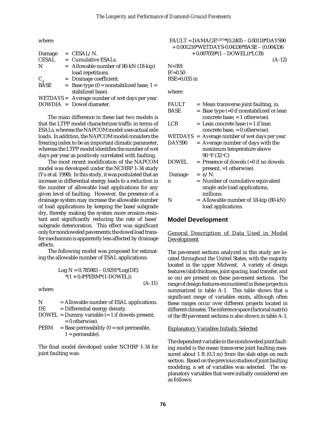where:

| Damage        | $=$ CESAL/N.                                   |
|---------------|------------------------------------------------|
| <b>CESAL</b>  | $=$ Cumulative ESALs.                          |
| N             | $=$ Allowable number of 80-kN (18-kip)         |
|               | load repetitions.                              |
|               | = Drainage coefficient.                        |
| $C_d$<br>BASE | $=$ Base type (0 = nonstabilized base; 1 =     |
|               | stabilized base).                              |
|               | WETDAYS = Average number of wet days per year. |
|               | DOWDIA = Dowel diameter.                       |

The main difference in these last two models is that the LTPP model characterizes traffic in terms of ESALs, whereas the NAPCOM model uses actual axle loads. In addition, the NAPCOM model considers the freezing index to be an important climatic parameter, whereas the LTPP model identifies the number of wet days per year as positively correlated with faulting.

The most recent modification of the NAPCOM model was developed under the NCHRP 1-34 study (Yu et al. 1998). In this study, it was postulated that an increase in differential energy leads to a reduction in the number of allowable load applications for any given level of faulting. However, the presence of a drainage system may increase the allowable number of load applications by keeping the base/subgrade dry, thereby making the system more erosion-resistant and significantly reducing the rate of base/ subgrade deterioration. This effect was significant only for nondoweled pavements; the dowel load transfer mechanism is apparently less affected by drainage effects.

The following model was proposed for estimating the allowable number of ESAL applications:

Log N = 0.785983 – 0.9291\*Log(DE) \*(1 + 0.4\*PERM\*(1-DOWEL)) (A-11)

where:

| N           | = Allowable number of ESAL applications.          |
|-------------|---------------------------------------------------|
| DE          | = Differential energy density.                    |
|             | $DOWEL = Dummy variable (= 1 if doubles present;$ |
|             | $= 0$ otherwise).                                 |
| <b>PERM</b> | $=$ Base permeability (0 = not permeable,         |
|             | $1 =$ permeable).                                 |

The final model developed under NCHRP 1-34 for joint faulting was:

#### $FAULT = DAMAGE<sup>0.2475*</sup>[0.2405 - 0.00118*DAYS90]$ + 0.001216\*WETDAYS-0.04336\*BASE – (0.004336 + 0.007059\*(1 – DOWEL))\*LCB)

(A-12)

N=391  $R^2=0.50$ RSE=0.035 in

where:

| <b>FAULT</b>       | = Mean transverse joint faulting, in.        |
|--------------------|----------------------------------------------|
| <b>BASE</b>        | $=$ Base type $(=0$ if nonstabilized or lean |
|                    | concrete base; $= 1$ otherwise).             |
| LCB                | $=$ Lean concrete base $(= 1$ if lean        |
|                    | concrete base, $= 0$ otherwise).             |
| WETDAYS            | = Average number of wet days per year.       |
| DAYS <sub>90</sub> | $=$ Average number of days with the          |
|                    | maximum temperature above                    |
|                    | 90 °F (32 °C)                                |
| <b>DOWEL</b>       | $=$ Presence of dowels $(=0$ if no dowels    |
|                    | $present, =1 otherwise$ .                    |
| Damage             | $= n/N$ .                                    |
| n                  | $=$ Number of cumulative equivalent          |
|                    | single axle load applications,               |
|                    | millions.                                    |
| N                  | = Allowable number of 18-kip (80-kN)         |
|                    | load applications.                           |
|                    |                                              |

#### **Model Development**

#### General Description of Data Used in Model **Development**

The pavement sections analyzed in this study are located throughout the United States, with the majority located in the upper Midwest. A variety of design features (slab thickness, joint spacing, load transfer, and so on) are present on these pavement sections. The range of design features encountered in these projects is summarized in table A-1. This table shows that a significant range of variables exists, although often these ranges occur over different projects located in different climates. The inference space (factorial matrix) of the 89 pavement sections is also shown in table A-1.

#### Explanatory Variables Initially Selected

The dependent variable in the nondoweled joint faulting model is the mean transverse joint faulting measured about 1 ft (0.3 m) from the slab edge on each section. Based on the previous studies of joint faulting modeling, a set of variables was selected. The explanatory variables that were initially considered are as follows: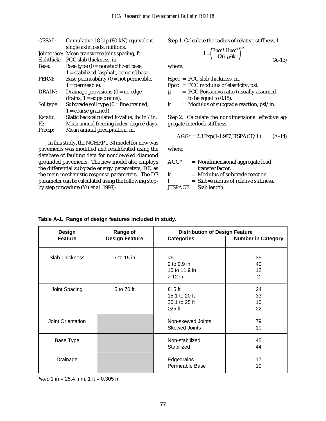| <b>CESAL:</b> | Cumulative 18-kip (80-kN) equivalent                   |
|---------------|--------------------------------------------------------|
|               | single axle loads, millions.                           |
| Jointspace:   | Mean transverse joint spacing, ft.                     |
| Slabthick:    | PCC slab thickness, in.                                |
| Base:         | Base type $(0 =$ nonstabilized base;                   |
|               | 1 = stabilized [asphalt, cement] base                  |
| PERM:         | Base permeability $(0 = not$ permeable,                |
|               | $1 =$ permeable).                                      |
| DRAIN:        | Drainage provisions $(0 = no$ edge                     |
|               | drains; $1 =$ edge drains).                            |
| Soiltype:     | Subgrade soil type $(0 =$ fine grained;                |
|               | $1 = \text{coarse grained}.$                           |
| Kstatic:      | Static backcalculated k-value, lb/in <sup>2</sup> /in. |
| FI:           | Mean annual freezing index, degree-days.               |
| Precip:       | Mean annual precipitation, in.                         |
|               |                                                        |

In this study, the NCHRP 1-34 model for new was pavements was modified and recalibrated using the database of faulting data for nondoweled diamond grounded pavements. The new model also employs the differential subgrade energy parameters, DE, as the main mechanistic response parameters. The DE parameter can be calculated using the following stepby step procedure (Yu et al. 1998):

Step 1. Calculate the radius of relative stiffness, l.

$$
1 = \left(\frac{Epc c^* \ Hpc c^3}{12 (i - \mu^2) k}\right)^{0.25}
$$
\n(A-13)

where:

Hpcc = PCC slab thickness, in.

Epcc = PCC modulus of elasticity, psi.

$$
\mu = PCC Poisson = s ratio (usually assumedto be equal to 0.15).
$$

 $k = Modulus of subgrade reaction, psi/in.$ 

Step 2. Calculate the nondimensional effective aggregate interlock stiffness.

$$
AGG^* = 2.3 \text{ Exp}(1-1.987 \text{ JTSPACE}/1) \qquad (A-14)
$$

where:

| $\mathrm{AGG}^*$ | = Nondimensional aggregate load |
|------------------|---------------------------------|
|                  | transfer factor.                |
| k                | - Modulus of subgrade reaction  |

$$
1 = Slab = radius of relative stiffness.
$$

JTSPACE = Slab length.

| Design                | Range of              | <b>Distribution of Design Feature</b>                      |                                  |  |  |  |
|-----------------------|-----------------------|------------------------------------------------------------|----------------------------------|--|--|--|
| <b>Feature</b>        | <b>Design Feature</b> | <b>Categories</b>                                          | <b>Number in Category</b>        |  |  |  |
| <b>Slab Thickness</b> | 7 to 15 in            | < 9<br>9 to 9.9 in<br>10 to 11.9 in<br>$\geq$ 12 in        | 35<br>40<br>12<br>$\overline{2}$ |  |  |  |
| Joint Spacing         | 5 to 70 ft            | £15 $ft$<br>15.1 to 20 ft<br>20.1 to 25 ft<br>$\geq$ 25 ft | 24<br>33<br>10<br>22             |  |  |  |
| Joint Orientation     |                       | Non-skewed Joints<br><b>Skewed Joints</b>                  | 79<br>10                         |  |  |  |
| Base Type             |                       | Non-stabilized<br>Stabilized                               | 45<br>44                         |  |  |  |
| Drainage              |                       | Edgedrains<br>Permeable Base                               | 17<br>19                         |  |  |  |

**Table A-1. Range of design features included in study.**

Note:1 in = 25.4 mm; 1 ft = 0.305 m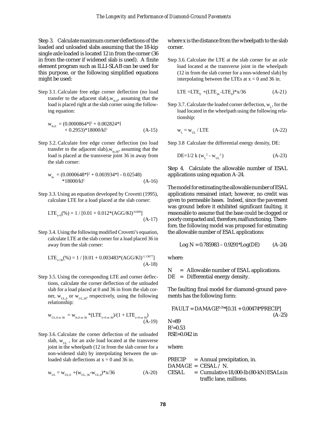Step 3. Calculate maximum corner deflections of the loaded and unloaded slabs assuming that the 18-kip single axle loaded is located 12 in from the corner (36 in from the corner if widened slab is used). A finite element program such as ILLI-SLAB can be used for this purpose, or the following simplified equations might be used:

Step 3.1. Calculate free edge corner deflection (no load transfer to the adjacent slab), $w_{fe,0}$ , assuming that the load is placed right at the slab corner using the following equation:

$$
w_{fe,0} = (0.0000864*12 + 0.002824*1 + 0.2953)*18000/k12
$$
 (A-15)

Step 3.2. Calculate free edge corner deflection (no load transfer to the adjacent slab), $w_{f_{\text{e}},36}$ , assuming that the load is placed at the transverse joint 36 in away from the slab corner:

$$
w_{fe} = (0.0000648*12 + 0.003934*1 - 0.02548)
$$
  
\*18000/k1<sup>2</sup> (A-16)

Step 3.3. Using an equation developed by Crovetti (1995), calculate LTE for a load placed at the slab corner:

$$
LTE_{x=0}(\%) = 1 / [0.01 + 0.012*(AGG/KI)^{-0.849}]
$$
\n(A-17)

Step 3.4. Using the following modified Crovetti's equation, calculate LTE at the slab corner for a load placed 36 in away from the slab corner:

$$
LTE_{x=36}(\%) = 1 / [0.01 + 0.003483*(AGG/KI)^{-1.13677}]
$$
  
(A-18)

Step 3.5. Using the corresponding LTE and corner deflections, calculate the corner deflection of the unloaded slab for a load placed at 0 and 36 in from the slab corner,  $W_{UL,0}$  or  $W_{UL,36}$ , respectively, using the following relationship:

$$
w_{UL,0 or 36} = w_{fe,0 or 36} * (LTE_{x=0 or 36})/(1 + LTE_{x=0 or 36})
$$
  
(A-19)

Step 3.6. Calculate the corner deflection of the unloaded slab,  $W_{\text{UL}}$ , for an axle load located at the transverse joint in the wheelpath (12 in from the slab corner for a non-widened slab) by interpolating between the unloaded slab deflections at  $x = 0$  and 36 in.

$$
w_{UL} = w_{UL,0} + (w_{UL,36} - w_{UL,0}) \cdot x / 36
$$
 (A-20)

where x is the distance from the wheelpath to the slab corner.

Step 3.6. Calculate the LTE at the slab corner for an axle load located at the transverse joint in the wheelpath (12 in from the slab corner for a non-widened slab) by interpolating between the LTEs at  $x = 0$  and 36 in.

$$
LTE = LTE_{0} + (LTE_{36} - LTE_{0})*x/36
$$
 (A-21)

Step 3.7. Calculate the loaded corner deflection,  $w_{\mu}$ , for the load located in the wheelpath using the following relationship:

$$
w_{\rm L} = w_{\rm UL} / \text{LTE} \tag{A-22}
$$

Step 3.8 Calculate the differential energy density, DE:

$$
DE=1/2 k (wL2 - wUL2)
$$
 (A-23)

Step 4. Calculate the allowable number of ESAL applications using equation A-24.

The model for estimating the allowable number of ESAL applications remained intact; however, no credit was given to permeable bases. Indeed, since the pavement was ground before it exhibited significant faulting, it reasonable to assume that the base could be clogged or poorly compacted and, therefore, malfunctioning. Therefore, the following model was proposed for estimating the allowable number of ESAL applications:

$$
Log N = 0.785983 - 0.9291^*Log(DE)
$$
 (A-24)

where:

N = Allowable number of ESAL applications.

DE = Differential energy density.

The faulting final model for diamond-ground pavements has the following form:

$$
FAULT = DAMAGE0.35*}[0.31 + 0.00474*PRECIP]
$$
  
(A-25)  
N=89

 $R^2=0.53$ RSE=0.042 in

where:

**PRECIP** = Annual precipitation, in.

\n
$$
DAMAGE = CESAL / N.
$$
\n**CESAL** = Cumulative 18,000-lb (80-kN) ESALS in traffic lane, millions.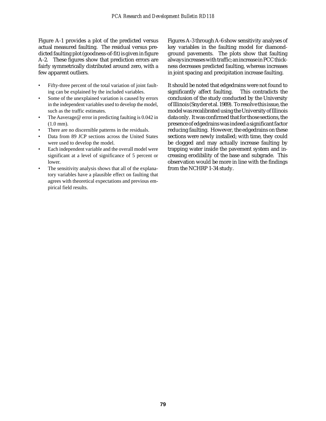Figure A-1 provides a plot of the predicted versus actual measured faulting. The residual versus predicted faulting plot (goodness-of-fit) is given in figure A-2. These figures show that prediction errors are fairly symmetrically distributed around zero, with a few apparent outliers.

- Fifty-three percent of the total variation of joint faulting can be explained by the included variables.
- Some of the unexplained variation is caused by errors in the independent variables used to develop the model, such as the traffic estimates.
- The Aaverage  $\omega$  error in predicting faulting is 0.042 in (1.0 mm).
- There are no discernible patterns in the residuals.
- Data from 89 JCP sections across the United States were used to develop the model.
- Each independent variable and the overall model were significant at a level of significance of 5 percent or lower.
- The sensitivity analysis shows that all of the explanatory variables have a plausible effect on faulting that agrees with theoretical expectations and previous empirical field results.

Figures A-3 through A-6 show sensitivity analyses of key variables in the faulting model for diamondground pavements. The plots show that faulting always increases with traffic; an increase in PCC thickness decreases predicted faulting, whereas increases in joint spacing and precipitation increase faulting.

It should be noted that edgedrains were not found to significantly affect faulting. This contradicts the conclusion of the study conducted by the University of Illinois (Snyder et al. 1989). To resolve this issue, the model was recalibrated using the University of Illinois data only. It was confirmed that for those sections, the presence of edgedrains was indeed a significant factor reducing faulting. However, the edgedrains on these sections were newly installed; with time, they could be clogged and may actually increase faulting by trapping water inside the pavement system and increasing erodibility of the base and subgrade. This observation would be more in line with the findings from the NCHRP 1-34 study.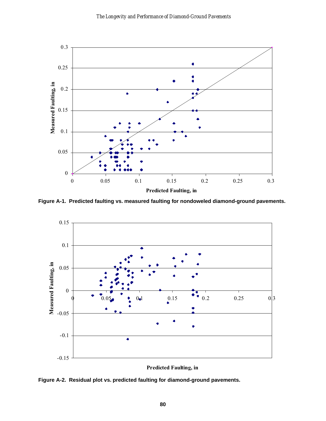*The Longevity and Performance of Diamond-Ground Pavements*



**Figure A-1. Predicted faulting vs. measured faulting for nondoweled diamond-ground pavements.**



#### **Predicted Faulting, in**

**Figure A-2. Residual plot vs. predicted faulting for diamond-ground pavements.**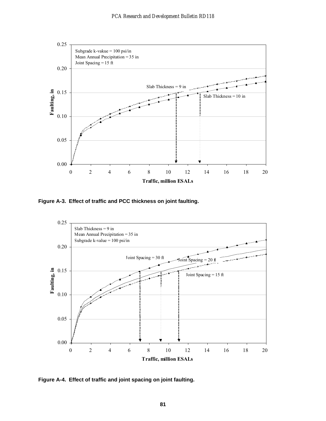

**Figure A-3. Effect of traffic and PCC thickness on joint faulting.**



**Figure A-4. Effect of traffic and joint spacing on joint faulting.**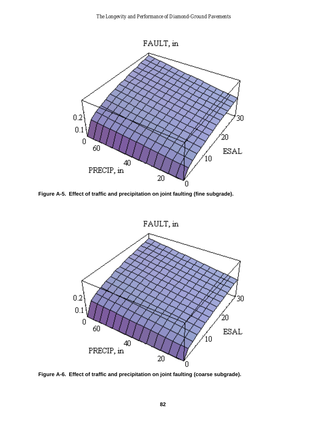

**Figure A-5. Effect of traffic and precipitation on joint faulting (fine subgrade).**



**Figure A-6. Effect of traffic and precipitation on joint faulting (coarse subgrade).**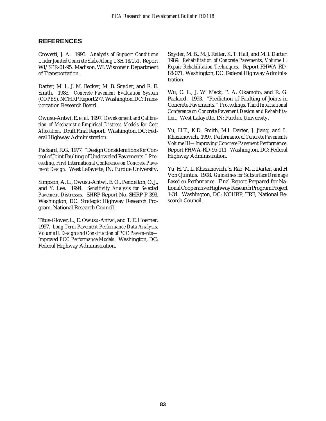#### **REFERENCES**

Crovetti, J. A. 1995. *Analysis of Support Conditions Under Jointed Concrete Slabs Along USH 18/151*. Report WI/SPR-01-95. Madison, WI: Wisconsin Department of Transportation.

Darter, M. I., J. M. Becker, M. B. Snyder, and R. E. Smith. 1985. *Concrete Pavement Evaluation System (COPES).* NCHRP Report 277. Washington, DC: Transportation Research Board.

Owusu-Antwi, E. et al. 1997. *Development and Calibration of Mechanistic-Empirical Distress Models for Cost Allocation*. Draft Final Report. Washington, DC: Federal Highway Administration.

Packard, R.G. 1977. "Design Considerations for Control of Joint Faulting of Undoweled Pavements." *Proceeding, First International Conference on Concrete Pavement Design.* West Lafayette, IN: Purdue University.

Simpson, A. L., Owusu-Antwi, E. O., Pendelton, O. J., and Y. Lee. 1994. *Sensitivity Analysis for Selected Pavement Distresses*. SHRP Report No. SHRP-P-393. Washington, DC: Strategic Highway Research Program, National Research Council.

Titus-Glover, L., E. Owusu-Antwi, and T. E. Hoerner. 1997. *Long Term Pavement Performance Data Analysis. Volume II: Design and Construction of PCC Pavements— Improved PCC Performance Models*. Washington, DC: Federal Highway Administration.

Snyder, M. B., M. J. Reiter, K. T. Hall, and M. I. Darter. 1989. *Rehabilitation of Concrete Pavements, Volume I : Repair Rehabilitation Techniques*. Report FHWA-RD-88-071. Washington, DC: Federal Highway Administration.

Wu, C. L., J. W. Mack, P. A. Okamoto, and R. G. Packard. 1993. "Prediction of Faulting of Joints in Concrete Pavements." *Proceedings, Third International Conference on Concrete Pavement Design and Rehabilitation*. West Lafayette, IN: Purdue University.

Yu, H.T., K.D. Smith, M.I. Darter, J. Jiang, and L. Khazanovich. 1997. *Performance of Concrete Pavements Volume III—Improving Concrete Pavement Performance*. Report FHWA-RD-95-111. Washington, DC: Federal Highway Administration.

Yu, H. T., L. Khazanovich, S. Rao, M. I. Darter, and H Von Quintus. 1998. *Guidelines for Subsurface Drainage Based on Performance*. Final Report Prepared for National Cooperative Highway Research Program Project 1-34. Washington, DC: NCHRP, TRB, National Research Council.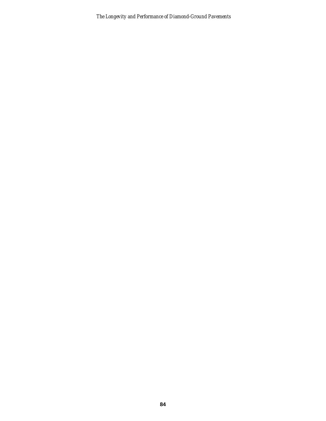*The Longevity and Performance of Diamond-Ground Pavements*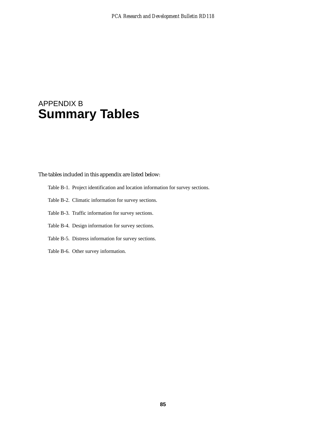## APPENDIX B **Summary Tables**

The tables included in this appendix are listed below:

- Table B-1. Project identification and location information for survey sections.
- Table B-2. Climatic information for survey sections.
- Table B-3. Traffic information for survey sections.
- Table B-4. Design information for survey sections.
- Table B-5. Distress information for survey sections.
- Table B-6. Other survey information.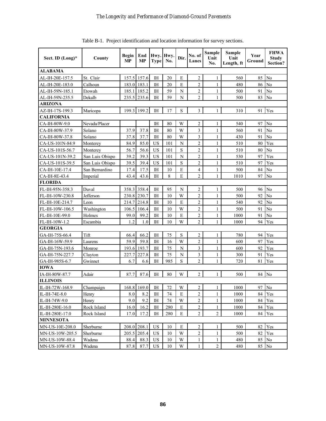| Sect. ID (Long)*  | County          | Begin<br>MP | End<br>MP   | Hwy.<br><b>Type</b> | Hwy.<br>No. | Dir.        | No. of<br>Lanes         | Sample<br>Unit<br>No. | Sample<br>Unit<br>Length, ft | Year<br>Ground | <b>FHWA</b><br><b>Study</b><br>Section? |
|-------------------|-----------------|-------------|-------------|---------------------|-------------|-------------|-------------------------|-----------------------|------------------------------|----------------|-----------------------------------------|
| ALABAMA           |                 |             |             |                     |             |             |                         |                       |                              |                |                                         |
| AL-IH-20E-157.5   | St. Clair       | 157.5       | 157.6       | $I\!H$              | 20          | $\mathbf E$ | $\overline{c}$          | $\mathbf{1}$          | 560                          | 85             | No                                      |
| AL-IH-20E-183.0   | Calhoun         | 183.0       | 183.1       | I <sub>H</sub>      | 20          | $\mathbf E$ | $\overline{c}$          | $\mathbf{1}$          | 480                          | 86             | No                                      |
| AL-IH-59N-185.1   | Etowah          | 185.1       | 185.2       | $\mathbb{H}$        | 59          | N           | $\overline{c}$          | $\mathbf{1}$          | 500                          | 91             | No                                      |
| AL-IH-59N-235.5   | Dekalb          | 235.5       | 235.6       | $H$                 | 59          | N           | $\overline{2}$          | 1                     | 500                          | 83             | No                                      |
| ARIZONA           |                 |             |             |                     |             |             |                         |                       |                              |                |                                         |
| AZ-IH-17S-199.3   | Maricopa        |             | 199.3 199.2 | Ш                   | 17          | S           | 3                       | 1                     | 310                          | 91             | Yes                                     |
| <b>CALIFORNIA</b> |                 |             |             |                     |             |             |                         |                       |                              |                |                                         |
| CA-IH-80W-9.0     | Nevada/Placer   |             |             | ΙН                  | 80          | W           | $\overline{2}$          | 1                     | 540                          | 97             | N <sub>o</sub>                          |
| CA-IH-80W-37.9    | Solano          | 37.9        | 37.8        | $\mathbb{H}$        | 80          | W           | 3                       | 1                     | 560                          | 91             | No                                      |
| CA-IH-80W-37.8    | Solano          | 37.8        | 37.7        | $I\!H$              | 80          | W           | $\overline{\mathbf{3}}$ | $\mathbf{1}$          | 430                          | 91             | No                                      |
| CA-US-101N-84.9   | Monterey        | 84.9        | 85.0        | <b>US</b>           | 101         | N           | $\overline{2}$          | $\mathbf{1}$          | 510                          | 80             | Yes                                     |
| CA-US-101S-56.7   | Monterey        | 56.7        | 56.6        | <b>US</b>           | 101         | S           | $\overline{2}$          | $\mathbf{1}$          | 510                          | 80             | No                                      |
| CA-US-101N-39.2   | San Luis Obispo | 39.2        | 39.3        | <b>US</b>           | 101         | N           | $\overline{2}$          | 1                     | 530                          | 97             | Yes                                     |
| CA-US-101S-39.5   | San Luis Obispo | 39.5        | 39.4        | <b>US</b>           | 101         | S           | $\overline{c}$          | $\mathbf{1}$          | 510                          | 97             | Yes                                     |
| CA-IH-10E-17.4    | San Bernardino  | 17.4        | 17.5        | $I\!H$              | 10          | E           | 4                       | $\mathbf{1}$          | 500                          | 84             | No                                      |
| CA-IH-8E-43.4     | Imperial        | 43.4        | 43.6        | $I\!H$              | 8           | E           | $\overline{c}$          | $\mathbf{1}$          | 1010                         | 97             | No                                      |
| <b>FLORIDA</b>    |                 |             |             |                     |             |             |                         |                       |                              |                |                                         |
| FL-IH-95N-358.3   | Duval           | 358.3       | 358.4       | $I\!H$              | 95          | N           | 2                       | 1                     | 500                          | 96             | No                                      |
| FL-IH-10W-230.8   | Jefferson       | 230.8       | 230.7       | $H$                 | 10          | W           | $\overline{c}$          | $\mathbf{1}$          | 500                          | 92             | No                                      |
| FL-IH-10E-214.7   | Leon            | 214.7       | 214.8       | I <sub>H</sub>      | 10          | $\mathbf E$ | 2                       | $\mathbf{1}$          | 540                          | 92             | No                                      |
| FL-IH-10W-106.5   | Washington      | 106.5       | 106.4       | I <sub>H</sub>      | 10          | W           | $\overline{c}$          | $\mathbf{1}$          | 500                          | 91             | No                                      |
| FL-IH-10E-99.0    | Holmes          | 99.0        | 99.2        | $\mathbb{H}$        | 10          | E           | 2                       | 1                     | 1000                         | 91             | N <sub>o</sub>                          |
| FL-IH-10W-1.2     | Escambia        | 1.2         | 1.0         | $\mathbb{H}$        | 10          | W           | $\overline{2}$          | 1                     | 1000                         | 94             | Yes                                     |
| <b>GEORGIA</b>    |                 |             |             |                     |             |             |                         |                       |                              |                |                                         |
| GA-IH-75S-66.4    | Tift            | 66.4        | 66.2        | $I\!H$              | 75          | S           | $\overline{c}$          | 1                     | 780                          | 94             | Yes                                     |
| GA-IH-16W-59.9    | Laurens         | 59.9        | 59.8        | $I\!H$              | 16          | W           | $\overline{c}$          | $\mathbf{1}$          | 600                          | 97             | Yes                                     |
| GA-IH-75N-193.6   | Monroe          | 193.6       | 193.7       | $\mathbb{H}$        | 75          | N           | 3                       | $\mathbf{1}$          | 600                          | 92             | Yes                                     |
| GA-IH-75N-227.7   | Clayton         | 227.7       | 227.8       | $I\!H$              | 75          | N           | 3                       | $\mathbf{1}$          | 300                          | 91             | Yes                                     |
| GA-IH-985S-6.7    | Gwinnet         | 6.7         | 6.6         | $\mathbb{H}$        | 985         | S           | $\overline{2}$          | $\mathbf{1}$          | 720                          | 81             | Yes                                     |
| <b>IOWA</b>       |                 |             |             |                     |             |             |                         |                       |                              |                |                                         |
| IA-IH-80W-87.7    | Adair           | 87.7        | 87.6        | $\mathbb{H}$        | 80          | W           | $\overline{2}$          | $\mathbf{1}$          | 500                          | 84             | N <sub>0</sub>                          |
| <b>ILLINOIS</b>   |                 |             |             |                     |             |             |                         |                       |                              |                |                                         |
| IL-IH-72W-168.9   | Champaign       |             | 168.8 169.0 | IH                  | 72          | W           | $\overline{c}$          | $\mathbf{1}$          | 1000                         | 97             | $\sqrt{N}$                              |
| IL-IH-74E-8.0     | Henry           | 8.0         | 8.2         | Ш                   | 74          | E           | $\overline{c}$          | $\mathbf{1}$          | 1000                         | 84             | Yes                                     |
| IL-IH-74W-9.0     | Henry           | 9.0         | 9.2         | $I\!H$              | 74          | W           | $\overline{c}$          | 1                     | 1000                         | 84             | Yes                                     |
| IL-IH-280E-16.0   | Rock Island     | 16.0        | 16.2        | $I\!H$              | 280         | E           | $\overline{c}$          | $\mathbf{1}$          | 1000                         | 84             | Yes                                     |
| IL-IH-280E-17.0   | Rock Island     | 17.0        | 17.2        | $I\!H$              | 280         | E           | $\overline{c}$          | $\overline{c}$        | 1000                         | 84             | Yes                                     |
| <b>MINNESOTA</b>  |                 |             |             |                     |             |             |                         |                       |                              |                |                                         |
| MN-US-10E-208.0   | Sherburne       | 208.0 208.1 |             | <b>US</b>           | 10          | E           | $\overline{c}$          | $\mathbf{1}$          | 500                          | 82             | Yes                                     |
| MN-US-10W-205.5   | Sherburne       |             | 205.5 205.4 | US                  | 10          | W           | $\overline{c}$          | $\mathbf{1}$          | 500                          | 82             | Yes                                     |
| MN-US-10W-88.4    | Wadena          | 88.4        | 88.3        | US                  | 10          | W           | $\mathbf{1}$            | $\mathbf{1}$          | 480                          |                | 85 No                                   |
| MN-US-10W-87.8    | Wadena          | 87.8        | 87.7        | US                  | 10          | W           | $\mathbf{1}$            | $\overline{c}$        | 480                          |                | 85 No                                   |

Table B-1. Project identification and location information for survey sections.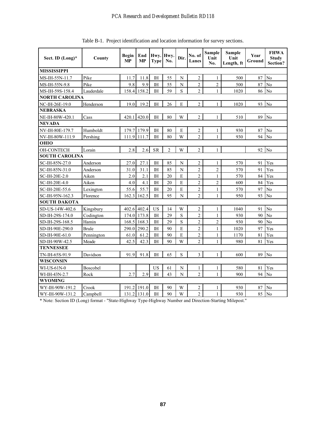| Sect. ID (Long)*      | County     | <b>Begin</b><br><b>MP</b> | End<br><b>MP</b> | Hwy.<br><b>Type</b> | Hwy.<br>No.    | Dir.      | No. of<br>Lanes         | <b>Sample</b><br>Unit<br>No. | Sample<br>Unit<br>Length, ft | Year<br>Ground | <b>FHWA</b><br>Study<br>Section? |
|-----------------------|------------|---------------------------|------------------|---------------------|----------------|-----------|-------------------------|------------------------------|------------------------------|----------------|----------------------------------|
| <b>MISSISSIPPI</b>    |            |                           |                  |                     |                |           |                         |                              |                              |                |                                  |
| MS-IH-55N-11.7        | Pike       | 11.7                      | 11.8             | IΗ                  | 55             | N         | $\sqrt{2}$              | $\mathbf{1}$                 | 500                          | 87             | No                               |
| MS-IH-55N-9.8         | Pike       | 9.8                       | 9.9              | $\mathbb{H}$        | 55             | N         | $\sqrt{2}$              | $\overline{c}$               | 500                          | 87             | No                               |
| MS-IH-59S-158.4       | Lauderdale | 158.4                     | 158.2            | $\mathbb{H}$        | 59             | S         | $\overline{2}$          | $\mathbf{1}$                 | 1020                         | 86             | No                               |
| <b>NORTH CAROLINA</b> |            |                           |                  |                     |                |           |                         |                              |                              |                |                                  |
| NC-IH-26E-19.0        | Henderson  | 19.0                      | 19.2             | Ш                   | 26             | E         | $\overline{2}$          | 1                            | 1020                         | 93             | No                               |
| <b>NEBRASKA</b>       |            |                           |                  |                     |                |           |                         |                              |                              |                |                                  |
| NE-IH-80W-420.1       | Cass       | 420.1                     | 420.0            | <b>IH</b>           | 80             | W         | $\overline{2}$          | 1                            | 510                          | 89             | N <sub>0</sub>                   |
| <b>NEVADA</b>         |            |                           |                  |                     |                |           |                         |                              |                              |                |                                  |
| NV-IH-80E-179.7       | Humboldt   | 179.7                     | 179.9            | <b>IH</b>           | 80             | E         | $\overline{2}$          | 1                            | 930                          | 87             | $\rm No$                         |
| NV-IH-80W-111.9       | Pershing   | 111.9                     | 111.7            | $\rm I\!H$          | 80             | W         | $\overline{2}$          | 1                            | 930                          | 94             | N <sub>o</sub>                   |
| <b>OHIO</b>           |            |                           |                  |                     |                |           |                         |                              |                              |                |                                  |
| OH-CONTECH            | Lorain     | 2.8                       | 2.6              | <b>SR</b>           | $\overline{2}$ | W         | $\overline{2}$          | 1                            |                              | 92             | N <sub>o</sub>                   |
| <b>SOUTH CAROLINA</b> |            |                           |                  |                     |                |           |                         |                              |                              |                |                                  |
| SC-IH-85N-27.0        | Anderson   | 27.0                      | 27.1             | $I\!H$              | 85             | N         | $\overline{2}$          | $\mathbf{1}$                 | 570                          | 91             | Yes                              |
| SC-IH-85N-31.0        | Anderson   | 31.0                      | 31.1             | $I\!H$              | 85             | N         | $\overline{2}$          | $\overline{2}$               | 570                          | 91             | Yes                              |
| SC-IH-20E-2.0         | Aiken      | 2.0                       | 2.1              | $I\!H$              | 20             | ${\bf E}$ | $\overline{2}$          | $\mathbf{1}$                 | 570                          | 84             | Yes                              |
| SC-IH-20E-4.0         | Aiken      | 4.0                       | 4.1              | $\mathbbm{H}$       | 20             | ${\bf E}$ | $\sqrt{2}$              | $\overline{c}$               | 600                          | 84             | Yes                              |
| SC-IH-20E-55.6        | Lexington  | 55.6                      | 55.7             | $I\!H$              | 20             | E         | $\sqrt{2}$              | $\mathbf{1}$                 | 570                          | 97             | No                               |
| SC-IH-95N-162.3       | Florence   | 162.3                     | 162.5            | $\mathbb H$         | 95             | N         | $\overline{2}$          | $\mathbf{1}$                 | 950                          | 93             | No                               |
| <b>SOUTH DAKOTA</b>   |            |                           |                  |                     |                |           |                         |                              |                              |                |                                  |
| SD-US-14W-402.6       | Kingsbury  | 402.6                     | 402.4            | <b>US</b>           | 14             | W         | $\mathbf{2}$            | 1                            | 1040                         | 91             | N <sub>0</sub>                   |
| SD-IH-29S-174.0       | Codington  | 174.0                     | 173.8            | $\mathbb{H}$        | 29             | S         | $\overline{2}$          | 1                            | 930                          | 90             | No                               |
| SD-IH-29S-168.5       | Hamin      | 168.5                     | 168.3            | $I\!H$              | 29             | S         | $\overline{c}$          | $\overline{c}$               | 930                          | 90             | No                               |
| SD-IH-90E-290.0       | Brule      | 290.0                     | 290.2            | I <sub>H</sub>      | 90             | E         | $\overline{c}$          | $\mathbf{1}$                 | 1020                         | 97             | Yes                              |
| SD-IH-90E-61.0        | Pennington | 61.0                      | 61.2             | $I\!H$              | 90             | E         | $\sqrt{2}$              | $\mathbf{1}$                 | 1170                         | 81             | Yes                              |
| SD-IH-90W-42.5        | Meade      | 42.5                      | 42.3             | <b>IH</b>           | 90             | W         | $\overline{c}$          | $\mathbf{1}$                 | 980                          | 81             | Yes                              |
| <b>TENNESSEE</b>      |            |                           |                  |                     |                |           |                         |                              |                              |                |                                  |
| TN-IH-65S-91.9        | Davidson   | 91.9                      | 91.8             | IΗ                  | 65             | S         | $\overline{\mathbf{3}}$ | $\mathbf{1}$                 | 600                          | 89             | No                               |
| <b>WISCONSIN</b>      |            |                           |                  |                     |                |           |                         |                              |                              |                |                                  |
| WI-US-61N-0           | Boscobel   |                           |                  | US                  | 61             | ${\bf N}$ | $\mathbf{1}$            | $\mathbf{1}$                 | 580                          | 81             | Yes                              |
| WI-IH-43N-2.7         | Rock       | 2.7                       | 2.9              | $\mathbb{H}$        | 43             | ${\bf N}$ | $\overline{c}$          | $\mathbf{1}$                 | 900                          | 94             | No                               |
| <b>WYOMING</b>        |            |                           |                  |                     |                |           |                         |                              |                              |                |                                  |
| WY-IH-90W-191.2       | Crook      | 191.2                     | 191.0            | IΗ                  | 90             | W         | $\overline{c}$          | 1                            | 930                          | 87             | No                               |
| WY-IH-90W-131.2       | Campbell   | 131.2                     | 131.0            | $\mathbb H$         | 90             | W         | $\overline{2}$          | 1                            | 930                          | 85             | $\overline{N}$                   |

Table B-1. Project identification and location information for survey sections.

\* Note: Section ID (Long) format - "State-Highway Type-Highway Number and Direction-Starting Milepost."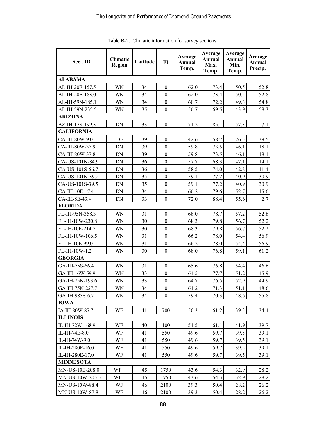| Sect. ID          | Climatic<br>Region | Latitude | FI               | Average<br>Annual<br>Temp. | Average<br>Annual<br>Max.<br>Temp. | Average<br>Annual<br>Min.<br>Temp. | Average<br>Annual<br>Precip. |
|-------------------|--------------------|----------|------------------|----------------------------|------------------------------------|------------------------------------|------------------------------|
| <b>ALABAMA</b>    |                    |          |                  |                            |                                    |                                    |                              |
| AL-IH-20E-157.5   | WN                 | 34       | 0                | 62.0                       | 73.4                               | 50.5                               | 52.8                         |
| AL-IH-20E-183.0   | WN                 | 34       | $\boldsymbol{0}$ | 62.0                       | 73.4                               | 50.5                               | 52.8                         |
| AL-IH-59N-185.1   | WN                 | 34       | $\boldsymbol{0}$ | 60.7                       | 72.2                               | 49.3                               | 54.8                         |
| AL-IH-59N-235.5   | WN                 | 35       | $\mathbf{0}$     | 56.7                       | 69.5                               | 43.9                               | 58.3                         |
| <b>ARIZONA</b>    |                    |          |                  |                            |                                    |                                    |                              |
| AZ-IH-17S-199.3   | DN                 | 33       | $\boldsymbol{0}$ | 71.2                       | 85.1                               | 57.3                               | 7.1                          |
| <b>CALIFORNIA</b> |                    |          |                  |                            |                                    |                                    |                              |
| CA-IH-80W-9.0     | DF                 | 39       | $\boldsymbol{0}$ | 42.6                       | 58.7                               | 26.5                               | 39.5                         |
| CA-IH-80W-37.9    | DN                 | 39       | $\boldsymbol{0}$ | 59.8                       | 73.5                               | 46.1                               | 18.1                         |
| CA-IH-80W-37.8    | DN                 | 39       | $\mathbf{0}$     | 59.8                       | 73.5                               | 46.1                               | 18.1                         |
| CA-US-101N-84.9   | DN                 | 36       | $\boldsymbol{0}$ | 57.7                       | 68.3                               | 47.1                               | 14.1                         |
| CA-US-101S-56.7   | DN                 | 36       | $\boldsymbol{0}$ | 58.5                       | 74.0                               | 42.8                               | 11.4                         |
| CA-US-101N-39.2   | DN                 | 35       | $\boldsymbol{0}$ | 59.1                       | 77.2                               | 40.9                               | 30.9                         |
| CA-US-101S-39.5   | DN                 | 35       | $\boldsymbol{0}$ | 59.1                       | 77.2                               | 40.9                               | 30.9                         |
| CA-IH-10E-17.4    | DN                 | 34       | $\boldsymbol{0}$ | 66.2                       | 79.6                               | 52.7                               | 15.6                         |
| CA-IH-8E-43.4     | DN                 | 33       | $\boldsymbol{0}$ | 72.0                       | 88.4                               | 55.6                               | 2.7                          |
| <b>FLORIDA</b>    |                    |          |                  |                            |                                    |                                    |                              |
| FL-IH-95N-358.3   | WN                 | 31       | $\boldsymbol{0}$ | 68.0                       | 78.7                               | 57.2                               | 52.8                         |
| FL-IH-10W-230.8   | WN                 | 30       | $\mathbf{0}$     | 68.3                       | 79.8                               | 56.7                               | 52.2                         |
| FL-IH-10E-214.7   | WN                 | 30       | $\boldsymbol{0}$ | 68.3                       | 79.8                               | 56.7                               | 52.2                         |
| FL-IH-10W-106.5   | WN                 | 31       | $\boldsymbol{0}$ | 66.2                       | 78.0                               | 54.4                               | 56.9                         |
| FL-IH-10E-99.0    | WN                 | 31       | $\boldsymbol{0}$ | 66.2                       | 78.0                               | 54.4                               | 56.9                         |
| FL-IH-10W-1.2     | WN                 | 30       | $\boldsymbol{0}$ | 68.0                       | 76.8                               | 59.1                               | 61.2                         |
| <b>GEORGIA</b>    |                    |          |                  |                            |                                    |                                    |                              |
| GA-IH-75S-66.4    | WN                 | 31       | $\boldsymbol{0}$ | 65.6                       | 76.8                               | 54.4                               | 46.6                         |
| GA-IH-16W-59.9    | WN                 | 33       | $\boldsymbol{0}$ | 64.5                       | 77.7                               | 51.2                               | 45.9                         |
| GA-IH-75N-193.6   | WN                 | 33       | $\boldsymbol{0}$ | 64.7                       | 76.5                               | 52.9                               | 44.9                         |
| GA-IH-75N-227.7   | WN                 | 34       | $\bf{0}$         | 61.2                       | 71.3                               | 51.1                               | 48.6                         |
| GA-IH-985S-6.7    | WN                 | 34       | $\boldsymbol{0}$ | 59.4                       | 70.3                               | 48.6                               | 55.8                         |
| <b>IOWA</b>       |                    |          |                  |                            |                                    |                                    |                              |
| IA-IH-80W-87.7    | WF                 | 41       | 700              | 50.3                       | 61.2                               | 39.3                               | 34.4                         |
| <b>ILLINOIS</b>   |                    |          |                  |                            |                                    |                                    |                              |
| IL-IH-72W-168.9   | WF                 | 40       | 100              | 51.5                       | 61.1                               | 41.9                               | 39.7                         |
| IL-IH-74E-8.0     | WF                 | 41       | 550              | 49.6                       | 59.7                               | 39.5                               | 39.1                         |
| IL-IH-74W-9.0     | WF                 | 41       | 550              | 49.6                       | 59.7                               | 39.5                               | 39.1                         |
| IL-IH-280E-16.0   | WF                 | 41       | 550              | 49.6                       | 59.7                               | 39.5                               | 39.1                         |
| IL-IH-280E-17.0   | WF                 | 41       | 550              | 49.6                       | 59.7                               | 39.5                               | 39.1                         |
| <b>MINNESOTA</b>  |                    |          |                  |                            |                                    |                                    |                              |
| MN-US-10E-208.0   | WF                 | 45       | 1750             | 43.6                       | 54.3                               | 32.9                               | 28.2                         |
| MN-US-10W-205.5   | WF                 | 45       | 1750             | 43.6                       | 54.3                               | 32.9                               | 28.2                         |
| MN-US-10W-88.4    | WF                 | 46       | 2100             | 39.3                       | 50.4                               | 28.2                               | 26.2                         |
| MN-US-10W-87.8    | WF                 | 46       | 2100             | 39.3                       | 50.4                               | 28.2                               | 26.2                         |

|  |  | Table B-2. Climatic information for survey sections. |  |  |
|--|--|------------------------------------------------------|--|--|
|--|--|------------------------------------------------------|--|--|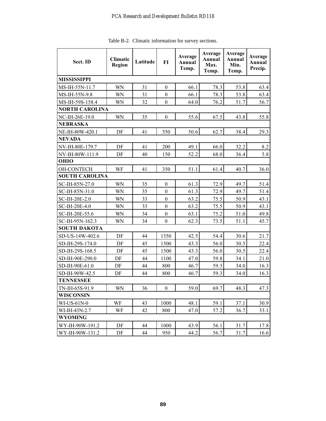| Sect. ID              | <b>Climatic</b><br>Region | Latitude | FI               | Average<br>Annual<br>Temp. | Average<br>Annual<br>Max.<br>Temp. | Average<br>Annual<br>Min.<br>Temp. | Average<br>Annual<br>Precip. |
|-----------------------|---------------------------|----------|------------------|----------------------------|------------------------------------|------------------------------------|------------------------------|
| <b>MISSISSIPPI</b>    |                           |          |                  |                            |                                    |                                    |                              |
| MS-IH-55N-11.7        | WN                        | 31       | $\boldsymbol{0}$ | 66.1                       | 78.3                               | 53.8                               | 63.4                         |
| MS-IH-55N-9.8         | WN                        | 31       | $\boldsymbol{0}$ | 66.1                       | 78.3                               | 53.8                               | 63.4                         |
| MS-IH-59S-158.4       | WN                        | 32       | $\boldsymbol{0}$ | 64.0                       | 76.2                               | 51.7                               | 56.7                         |
| <b>NORTH CAROLINA</b> |                           |          |                  |                            |                                    |                                    |                              |
| NC-IH-26E-19.0        | WN                        | 35       | $\boldsymbol{0}$ | 55.6                       | 67.5                               | 43.8                               | 55.8                         |
| <b>NEBRASKA</b>       |                           |          |                  |                            |                                    |                                    |                              |
| NE-IH-80W-420.1       | DF                        | 41       | 550              | 50.6                       | 62.7                               | 38.4                               | 29.3                         |
| <b>NEVADA</b>         |                           |          |                  |                            |                                    |                                    |                              |
| NV-IH-80E-179.7       | DF                        | 41       | 200              | 49.1                       | 66.0                               | 32.2                               | 8.2                          |
| NV-IH-80W-111.9       | DF                        | 40       | 150              | 52.2                       | 68.0                               | 36.4                               | 5.8                          |
| <b>OHIO</b>           |                           |          |                  |                            |                                    |                                    |                              |
| <b>OH-CONTECH</b>     | WF                        | 41       | 350              | 51.1                       | 61.4                               | 40.7                               | 36.0                         |
| <b>SOUTH CAROLINA</b> |                           |          |                  |                            |                                    |                                    |                              |
| SC-IH-85N-27.0        | WN                        | 35       | $\boldsymbol{0}$ | 61.3                       | 72.9                               | 49.7                               | 51.4                         |
| SC-IH-85N-31.0        | WN                        | 35       | $\boldsymbol{0}$ | 61.3                       | 72.9                               | 49.7                               | 51.4                         |
| SC-IH-20E-2.0         | WN                        | 33       | $\mathbf{0}$     | 63.2                       | 75.5                               | 50.9                               | 43.1                         |
| SC-IH-20E-4.0         | WN                        | 33       | $\boldsymbol{0}$ | 63.2                       | 75.5                               | 50.9                               | 43.1                         |
| SC-IH-20E-55.6        | WN                        | 34       | $\boldsymbol{0}$ | 63.1                       | 75.2                               | 51.0                               | 49.8                         |
| SC-IH-95N-162.3       | WN                        | 34       | $\boldsymbol{0}$ | 62.3                       | 73.5                               | 51.1                               | 45.7                         |
| <b>SOUTH DAKOTA</b>   |                           |          |                  |                            |                                    |                                    |                              |
| SD-US-14W-402.6       | DF                        | 44       | 1350             | 42.5                       | 54.4                               | 30.6                               | 21.7                         |
| SD-IH-29S-174.0       | DF                        | 45       | 1500             | 43.3                       | 56.0                               | 30.5                               | 22.4                         |
| SD-IH-29S-168.5       | DF                        | 45       | 1500             | 43.3                       | 56.0                               | 30.5                               | 22.4                         |
| SD-IH-90E-290.0       | DF                        | 44       | 1100             | 47.0                       | 59.8                               | 34.1                               | 21.0                         |
| SD-IH-90E-61.0        | DF                        | 44       | 800              | 46.7                       | 59.3                               | 34.0                               | 16.3                         |
| SD-IH-90W-42.5        | DF                        | 44       | 800              | 46.7                       | 59.3                               | 34.0                               | 16.3                         |
| <b>TENNESSEE</b>      |                           |          |                  |                            |                                    |                                    |                              |
| TN-IH-65S-91.9        | WN                        | 36       | $\boldsymbol{0}$ | 59.0                       | 69.7                               | 48.3                               | 47.3                         |
| <b>WISCONSIN</b>      |                           |          |                  |                            |                                    |                                    |                              |
| WI-US-61N-0           | WF                        | 43       | 1000             | 48.1                       | 59.1                               | 37.1                               | 30.9                         |
| WI-IH-43N-2.7         | WF                        | 42       | 800              | 47.0                       | 57.2                               | 36.7                               | 33.1                         |
| <b>WYOMING</b>        |                           |          |                  |                            |                                    |                                    |                              |
| WY-IH-90W-191.2       | DF                        | 44       | 1000             | 43.9                       | 56.1                               | 31.7                               | 17.8                         |
| WY-IH-90W-131.2       | DF                        | 44       | 950              | 44.2                       | 56.7                               | 31.7                               | 16.6                         |

Table B-2. Climatic information for survey sections.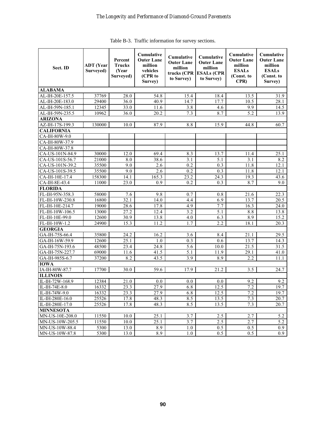| Sect. ID          | <b>ADT</b> (Year<br>Surveyed) | Percent<br><b>Trucks</b><br>(Year<br>Surveyed) | Cumulative<br><b>Outer Lane</b><br>million<br>vehicles<br>(CPR to<br>Survey) | <b>Cumulative</b><br><b>Outer Lane</b><br>million<br>to Survey) | Cumulative<br><b>Outer Lane</b><br>million<br>trucks (CPR ESALs (CPR<br>to Survey) | Cumulative<br><b>Outer Lane</b><br>million<br><b>ESALs</b><br>(Const. to<br>CPR) | Cumulative<br><b>Outer Lane</b><br>million<br><b>ESALs</b><br>(Const. to<br>Survey) |
|-------------------|-------------------------------|------------------------------------------------|------------------------------------------------------------------------------|-----------------------------------------------------------------|------------------------------------------------------------------------------------|----------------------------------------------------------------------------------|-------------------------------------------------------------------------------------|
| <b>ALABAMA</b>    |                               |                                                |                                                                              |                                                                 |                                                                                    |                                                                                  |                                                                                     |
| AL-IH-20E-157.5   | 37769                         | 28.0                                           | 54.8                                                                         | 15.4                                                            | 18.4                                                                               | 13.5                                                                             | 31.9                                                                                |
| AL-IH-20E-183.0   | 29400                         | 36.0                                           | 40.9                                                                         | 14.7                                                            | 17.7                                                                               | 10.5                                                                             | 28.1                                                                                |
| AL-IH-59N-185.1   | 12345                         | 33.0                                           | 11.6                                                                         | 3.8                                                             | 4.6                                                                                | 9.9                                                                              | 14.5                                                                                |
| AL-IH-59N-235.5   | 10962                         | 36.0                                           | 20.2                                                                         | 7.3                                                             | 8.7                                                                                | 5.2                                                                              | 13.9                                                                                |
| <b>ARIZONA</b>    |                               |                                                |                                                                              |                                                                 |                                                                                    |                                                                                  |                                                                                     |
| AZ-IH-17S-199.3   | 130000                        | 10.0                                           | 87.9                                                                         | 8.8                                                             | 15.9                                                                               | 44.8                                                                             | 60.7                                                                                |
| <b>CALIFORNIA</b> |                               |                                                |                                                                              |                                                                 |                                                                                    |                                                                                  |                                                                                     |
| CA-IH-80W-9.0     |                               |                                                |                                                                              |                                                                 |                                                                                    |                                                                                  |                                                                                     |
| CA-IH-80W-37.9    |                               |                                                |                                                                              |                                                                 |                                                                                    |                                                                                  |                                                                                     |
| CA-IH-80W-37.8    |                               |                                                |                                                                              |                                                                 |                                                                                    |                                                                                  |                                                                                     |
| CA-US-101N-84.9   | 30000                         | 12.0                                           | 69.4                                                                         | 8.3                                                             | 13.7                                                                               | 11.4                                                                             | 25.1                                                                                |
| CA-US-101S-56.7   | 21000                         | 8.0                                            | 38.6                                                                         | 3.1                                                             | 5.1                                                                                | 3.1                                                                              | 8.2                                                                                 |
| CA-US-101N-39.2   | 35500                         | 9.0                                            | 2.6                                                                          | 0.2                                                             | 0.3                                                                                | 11.8                                                                             | 12.1                                                                                |
| CA-US-101S-39.5   | 35500                         | 9.0                                            | 2.6                                                                          | 0.2                                                             | 0.3                                                                                | 11.8                                                                             | 12.1                                                                                |
| CA-IH-10E-17.4    | 158300                        | 14.1                                           | 165.3                                                                        | 23.2                                                            | 24.3                                                                               | 19.3                                                                             | 43.6                                                                                |
| CA-IH-8E-43.4     | 11000                         | 23.0                                           | 0.9                                                                          | 0.2                                                             | 0.3                                                                                | 8.7                                                                              | 9.0                                                                                 |
| <b>FLORIDA</b>    |                               |                                                |                                                                              |                                                                 |                                                                                    |                                                                                  |                                                                                     |
| FL-IH-95N-358.3   | 58000                         | 7.6                                            | 9.8                                                                          | 0.7                                                             | 0.8                                                                                | 21.6                                                                             | 22.3                                                                                |
| FL-IH-10W-230.8   | 16800                         | 32.1                                           | 14.0                                                                         | 4.4                                                             | 6.9                                                                                | 13.7                                                                             | 20.5                                                                                |
| FL-IH-10E-214.7   | 19000                         | 28.6                                           | 17.8                                                                         | 4.9                                                             | 7.7                                                                                | 16.3                                                                             | 24.0                                                                                |
| FL-IH-10W-106.5   | 13000                         | 27.2                                           | 12.4                                                                         | 3.2                                                             | 5.1                                                                                | 8.8                                                                              | 13.8                                                                                |
| FL-IH-10E-99.0    | 12600                         | 30.9                                           | 13.8                                                                         | 4.0                                                             | 6.3                                                                                | 8.9                                                                              | 15.2                                                                                |
| FL-IH-10W-1.2     | 24900                         | 15.3                                           | 11.2                                                                         | 1.7                                                             | 2.2                                                                                | 18.1                                                                             | 20.3                                                                                |
| <b>GEORGIA</b>    |                               |                                                |                                                                              |                                                                 |                                                                                    |                                                                                  |                                                                                     |
| GA-IH-75S-66.4    | 35800                         | 24.2                                           | 16.2                                                                         | 3.6                                                             | 8.4                                                                                | 21.1                                                                             | 29.5                                                                                |
| GA-IH-16W-59.9    | 12600                         | 25.1                                           | 1.0                                                                          | 0.3                                                             | 0.6                                                                                | 13.7                                                                             | 14.3                                                                                |
| GA-IH-75N-193.6   | 48500                         | 23.4                                           | 24.8                                                                         | 5.6                                                             | 10.0                                                                               | 21.5                                                                             | 31.5                                                                                |
| GA-IH-75N-227.7   | 69000                         | 11.6                                           | 41.5                                                                         | 5.1                                                             | 11.9                                                                               | 29.1                                                                             | 41.0                                                                                |
| GA-IH-985S-6.7    | 37200                         | 8.2                                            | 43.5                                                                         | 3.9                                                             | 8.9                                                                                | 2.2                                                                              | 11.1                                                                                |
| <b>IOWA</b>       |                               |                                                |                                                                              |                                                                 |                                                                                    |                                                                                  |                                                                                     |
| IA-IH-80W-87.7    | 17700                         | 30.0                                           | 59.6                                                                         | 17.9                                                            | 21.2                                                                               | 3.5                                                                              | 24.7                                                                                |
| <b>ILLINOIS</b>   |                               |                                                |                                                                              |                                                                 |                                                                                    |                                                                                  |                                                                                     |
| IL-IH-72W-168.9   | 12384                         | 21.0                                           | 0.0                                                                          | 0.0                                                             | 0.0                                                                                | 9.2                                                                              | 9.2                                                                                 |
| IL-IH-74E-8.0     | 16332                         | 23.3                                           | 27.9                                                                         | 6.8                                                             | 12.5                                                                               | 7.2                                                                              | 19.7                                                                                |
| IL-IH-74W-9.0     | 16332                         | 23.3                                           | 27.9                                                                         | 6.8                                                             | 12.5                                                                               | 7.2                                                                              | 19.7                                                                                |
| IL-IH-280E-16.0   | 25526                         | 17.8                                           | 48.3                                                                         | 8.5                                                             | 13.5                                                                               | 7.3                                                                              | 20.7                                                                                |
| IL-IH-280E-17.0   | 25526                         | 17.8                                           | 48.3                                                                         | 8.5                                                             | 13.5                                                                               | 7.3                                                                              | 20.7                                                                                |
| <b>MINNESOTA</b>  |                               |                                                |                                                                              |                                                                 |                                                                                    |                                                                                  |                                                                                     |
| MN-US-10E-208.0   | 11550                         | 10.0                                           | 25.1                                                                         | 3.7                                                             | 2.5                                                                                | 2.7                                                                              | 5.2                                                                                 |
| MN-US-10W-205.5   | 11550                         | 10.0                                           | 25.1                                                                         | 3.7                                                             | 2.5                                                                                | 2.7                                                                              | 5.2                                                                                 |
| MN-US-10W-88.4    | 5300                          | 13.0                                           | 8.9                                                                          | 1.0                                                             | 0.5                                                                                | 0.5                                                                              | 0.9 <sub>0</sub>                                                                    |
| MN-US-10W-87.8    | 5300                          | 13.0                                           | 8.9                                                                          | $1.0\,$                                                         | 0.5                                                                                | 0.5                                                                              | 0.9                                                                                 |

|  |  | Table B-3. Traffic information for survey sections. |  |  |
|--|--|-----------------------------------------------------|--|--|
|--|--|-----------------------------------------------------|--|--|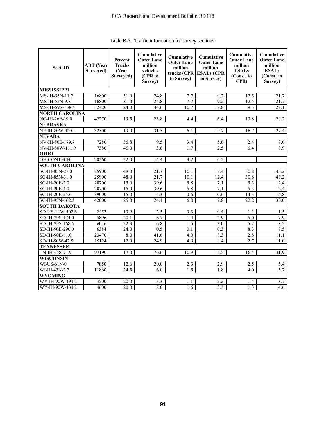| Sect. ID              | <b>ADT</b> (Year<br>Surveyed) | <b>Percent</b><br>Trucks<br>(Year<br>Surveyed) | Cumulative<br><b>Outer Lane</b><br>million<br>vehicles<br>(CPR to<br>Survey) | <b>Cumulative</b><br><b>Outer Lane</b><br>million<br>trucks (CPR<br>to Survey) | Cumulative<br><b>Outer Lane</b><br>million<br><b>ESALs (CPR</b><br>to Survey) | Cumulative<br><b>Outer Lane</b><br>million<br><b>ESALs</b><br>(Const. to<br>CPR) | Cumulative<br><b>Outer Lane</b><br>million<br><b>ESALs</b><br>(Const. to<br>Survey) |
|-----------------------|-------------------------------|------------------------------------------------|------------------------------------------------------------------------------|--------------------------------------------------------------------------------|-------------------------------------------------------------------------------|----------------------------------------------------------------------------------|-------------------------------------------------------------------------------------|
| <b>MISSISSIPPI</b>    |                               |                                                |                                                                              |                                                                                |                                                                               |                                                                                  |                                                                                     |
| MS-IH-55N-11.7        | 16800                         | 31.0                                           | 24.8                                                                         | 7.7                                                                            | 9.2                                                                           | 12.5                                                                             | 21.7                                                                                |
| MS-IH-55N-9.8         | 16800                         | 31.0                                           | 24.8                                                                         | 7.7                                                                            | 9.2                                                                           | 12.5                                                                             | 21.7                                                                                |
| MS-IH-59S-158.4       | 32420                         | 24.0                                           | 44.6                                                                         | 10.7                                                                           | 12.8                                                                          | 9.3                                                                              | 22.1                                                                                |
| <b>NORTH CAROLINA</b> |                               |                                                |                                                                              |                                                                                |                                                                               |                                                                                  |                                                                                     |
| NC-IH-26E-19.0        | 42270                         | 19.5                                           | $\overline{23.8}$                                                            | 4.4                                                                            | 6.4                                                                           | 13.8                                                                             | 20.2                                                                                |
| <b>NEBRASKA</b>       |                               |                                                |                                                                              |                                                                                |                                                                               |                                                                                  |                                                                                     |
| NE-IH-80W-420.1       | 32500                         | 19.0                                           | 31.5                                                                         | 6.1                                                                            | 10.7                                                                          | 16.7                                                                             | 27.4                                                                                |
| <b>NEVADA</b>         |                               |                                                |                                                                              |                                                                                |                                                                               |                                                                                  |                                                                                     |
| NV-IH-80E-179.7       | 7280                          | 36.8                                           | 9.5                                                                          | 3.4                                                                            | 5.6                                                                           | 2.4                                                                              | $\!\!\!\!\!8.0$                                                                     |
| NV-IH-80W-111.9       | 7380                          | 46.0                                           | 3.8                                                                          | 1.7                                                                            | 2.5                                                                           | 6.4                                                                              | 8.9                                                                                 |
| OHIO                  |                               |                                                |                                                                              |                                                                                |                                                                               |                                                                                  |                                                                                     |
| <b>OH-CONTECH</b>     | 20260                         | 22.0                                           | 14.4                                                                         | 3.2                                                                            | 6.2                                                                           |                                                                                  |                                                                                     |
| <b>SOUTH CAROLINA</b> |                               |                                                |                                                                              |                                                                                |                                                                               |                                                                                  |                                                                                     |
| SC-IH-85N-27.0        | 25900                         | 48.0                                           | 21.7                                                                         | 10.1                                                                           | 12.4                                                                          | 30.8                                                                             | 43.2                                                                                |
| SC-IH-85N-31.0        | 25900                         | 48.0                                           | $\overline{21.7}$                                                            | 10.1                                                                           | 12.4                                                                          | 30.8                                                                             | 43.2                                                                                |
| SC-IH-20E-2.0         | 20700                         | 15.0                                           | 39.6                                                                         | 5.8                                                                            | 7.1                                                                           | 5.3                                                                              | 12.4                                                                                |
| SC-IH-20E-4.0         | 20700                         | 15.0                                           | 39.6                                                                         | 5.8                                                                            | 7.1                                                                           | 5.3                                                                              | 12.4                                                                                |
| SC-IH-20E-55.6        | 39000                         | 15.0                                           | 4.3                                                                          | 0.6                                                                            | 0.6                                                                           | 14.3                                                                             | 14.8                                                                                |
| SC-IH-95N-162.3       | 42000                         | 25.0                                           | 24.1                                                                         | 6.0                                                                            | 7.8                                                                           | $22.\overline{2}$                                                                | 30.0                                                                                |
| <b>SOUTH DAKOTA</b>   |                               |                                                |                                                                              |                                                                                |                                                                               |                                                                                  |                                                                                     |
| SD-US-14W-402.6       | 2452                          | 13.9                                           | 2.5                                                                          | 0.3                                                                            | 0.4                                                                           | 1.1                                                                              | 1.5                                                                                 |
| SD-IH-29S-174.0       | 5896                          | 20.1                                           | 6.7                                                                          | 1.4                                                                            | 2.9                                                                           | $\overline{5.0}$                                                                 | 7.9                                                                                 |
| SD-IH-29S-168.5       | 6046                          | $\overline{22.3}$                              | 6.8                                                                          | 1.5                                                                            | 3.0                                                                           | $\overline{5.2}$                                                                 | 8.2                                                                                 |
| SD-IH-90E-290.0       | 6384                          | $\overline{24.0}$                              | 0.5                                                                          | 0.1                                                                            | 0.3                                                                           | 8.3                                                                              | 8.5                                                                                 |
| SD-IH-90E-61.0        | 23470                         | 8.0                                            | 41.6                                                                         | $4.\overline{0}$                                                               | 8.3                                                                           | 2.8                                                                              | 11.1                                                                                |
| SD-IH-90W-42.5        | 15124                         | 12.0                                           | 24.9                                                                         | 4.9                                                                            | 8.4                                                                           | 2.7                                                                              | 11.0                                                                                |
| <b>TENNESSEE</b>      |                               |                                                |                                                                              |                                                                                |                                                                               |                                                                                  |                                                                                     |
| TN-IH-65S-91.9        | 97190                         | 17.0                                           | 76.6                                                                         | 10.9                                                                           | 15.5                                                                          | 16.4                                                                             | 31.9                                                                                |
| <b>WISCONSIN</b>      |                               |                                                |                                                                              |                                                                                |                                                                               |                                                                                  |                                                                                     |
| WI-US-61N-0           | 7850                          | 12.6                                           | 20.0                                                                         | 2.3                                                                            | 2.9                                                                           | 2.5                                                                              | 5.4                                                                                 |
| WI-IH-43N-2.7         | 11860                         | 24.5                                           | 6.0                                                                          | 1.5                                                                            | 1.8                                                                           | 4.0                                                                              | $\overline{5.7}$                                                                    |
| <b>WYOMING</b>        |                               |                                                |                                                                              |                                                                                |                                                                               |                                                                                  |                                                                                     |
| WY-IH-90W-191.2       | 3500                          | 20.0                                           | 5.3                                                                          | 1.1                                                                            | 2.2                                                                           | 1.4                                                                              | 3.7                                                                                 |
| WY-IH-90W-131.2       | 4600                          | $\overline{20.0}$                              | $\overline{8.0}$                                                             | 1.6                                                                            | $\overline{3.3}$                                                              | $\overline{1.3}$                                                                 | $\overline{4.6}$                                                                    |

Table B-3. Traffic information for survey sections.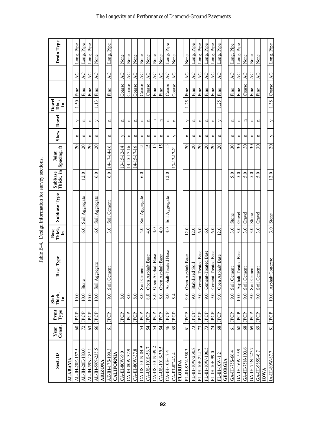| Sect. ID          | Const.<br>Year          | Pymt<br>Type | Slab<br>Thick,<br>Ξ. | <b>Base Type</b>        | Thick,<br>Base<br>$\Xi$ | Subbase Type   | Thick, in<br>Subbase | Spacing, ft<br>Joint |                | <b>Skew</b> Dowel | Dowel<br>Dia.,<br>Ξ. |             |               | Drain Type    |
|-------------------|-------------------------|--------------|----------------------|-------------------------|-------------------------|----------------|----------------------|----------------------|----------------|-------------------|----------------------|-------------|---------------|---------------|
| <b>ALABAMA</b>    |                         |              |                      |                         |                         |                |                      |                      |                |                   |                      |             |               |               |
| AL-IH-20E-157.5   |                         | 60 JPCP      | 10.0                 |                         |                         |                |                      | $\overline{c}$       | $\blacksquare$ | $\geq$            | 1.50                 | Fine        | $\mathsf{AC}$ | Long. Pipe    |
| AL-IH-20E-183.0   | $\mathcal{L}$           | <b>JPCP</b>  | 10.0                 | Stone                   | 6.0                     | Soil Aggregate | 12.0                 | $\overline{c}$       | Ξ              | Ξ                 |                      | Fine        | $\mathsf{AC}$ | Long. Pipe    |
| AL-IH-59N-185.    | 63                      | JPCP         | 10.0                 |                         |                         |                |                      | $\Omega$             | n              | Ħ                 |                      | Fine        | AC            | Pipe<br>Long. |
| AL-IH-59N-235.5   | $\%$                    | <b>JPCP</b>  | 10.0                 | Soil Aggregate          | 6.0                     | Soil Aggregate | 6.0                  | $20\,$               | Ħ              | >                 | $\frac{13}{2}$       | Fine        | AC            | None          |
| ARIZONA           |                         |              |                      |                         |                         |                |                      |                      |                |                   |                      |             |               |               |
| AZ-IH-17S-199.3   | $\Omega$                | <b>JPCP</b>  | 9.0                  | Soil Cement             | 3.0                     | Soil Cement    | 6.0                  | 14-17-14-16          | Ħ              | Ħ                 |                      | Fine        | AC            | Long. Pipe    |
| <b>CALIFORNIA</b> |                         |              |                      |                         |                         |                |                      |                      |                |                   |                      |             |               |               |
| CA-IH-80W-9.0     |                         | <b>JPCP</b>  | 8.0                  |                         |                         |                |                      | $13 - 15 - 12 - 14$  | $\rightarrow$  | Ħ                 |                      | Coarse      | AC            | None          |
| CA-IH-80W-37.9    |                         | <b>JPCP</b>  | 8.0                  |                         |                         |                |                      | 14-15-17-16          | ά              | п                 |                      | Coarse      | AC            | None          |
| CA-IH-80W-37.8    |                         | JPCP         | 8.0                  |                         |                         |                |                      | 14-15-17-16          | n              | Ħ                 |                      | Coarse      | <b>AC</b>     | None          |
| CA-US-101N-84.9   | 54                      | <b>JPCP</b>  | 8.0                  | Soil Cement             | 4.0                     | Soil Aggregate | 6.0                  | $\tilde{\bm{c}}$     | n              | п                 |                      | Coarse      | AC            | None          |
| CA-US-101S-56.7   | 54                      | JPCP         | 8.0                  | Open Asphalt Base       | 4.0                     |                |                      | 5                    | $\blacksquare$ | Ξ                 |                      | Coarse      | $\mathsf{AC}$ | None          |
| CA-US-101N-39.2   | 54                      | JPCP         | 8.0                  | sphalt Base<br>Open A   | 4.0                     |                |                      | $\overline{15}$      | Ħ              | Ħ                 |                      | Fine        | AC            | None          |
| CA-US-101S-39.5   | 54                      | <b>JPCP</b>  | 8.0                  | sphalt Base<br>Open $A$ | 4.0                     |                |                      | $\overline{\Omega}$  | 티              | n                 |                      | Fine        | $\Delta C$    | None          |
| CA-IH-10E-17.4    | $\frac{4}{6}$           | <b>JPCP</b>  | $\,8.0$              | Asphalt-Treated Base    | $\ddot{ }$              | Soil Aggregate | 12.0                 | $\overline{2}$       | n              | п                 |                      | Coarse      | AC            | Long. Pipe    |
| CA-IH-8E-43.4     | 69                      | <b>JPCP</b>  | 8.4                  |                         |                         |                |                      | $13 - 12 - 17 - 21$  | ≻              | Ħ                 |                      | Coarse      | AC            | None          |
| FLORIDA           |                         |              |                      |                         |                         |                |                      |                      |                |                   |                      |             |               |               |
| FL-IH-95N-358.3   | $\overline{6}$          | <b>IDCP</b>  | 9.0                  | sphalt Base<br>Open A   | 12.0                    |                |                      | $\overline{c}$       | ц              | ≻                 | 1.25                 | Fine        | AC            | None          |
| FL-IH-10W-230.8   | 73                      | <b>JPCP</b>  | 0.6                  | Stabilized Soil         | 12.0                    |                |                      | $\Omega$             | $\blacksquare$ | Ξ                 |                      | Fine        | AC            | Long. Pipe    |
| FL-IH-10E-214.7   | $\overline{73}$         | <b>JPCP</b>  | 0.6                  | Cement-Treated Base     | 6.0                     |                |                      | $20 \,$              | Ξ              | Ħ                 |                      | Fine        | $\mathsf{AC}$ | Long. Pipe    |
| FL-IH-10W-106.5   | 73                      | <b>JPCP</b>  | 9.0                  | Cement-Treated Base     | 6.0                     |                |                      | $20 \,$              | Ħ              | Ξ                 |                      | Fine        | $\Delta C$    | Long. Pipe    |
| FL-IH-10E-99.0    | $\overline{7}$          | <b>JPCP</b>  | 9.0                  | Cement-Treated Base     | 6.0                     |                |                      | $20 \,$              | п              | Ħ                 |                      | Fine        | AC            | Pipe<br>Long. |
| L,<br>FL-IH-10W-1 | $\$$                    | JPCP         | 9.0                  | sphalt Base<br>Open A   | 12.0                    |                |                      | $\overline{c}$       | Ξ              | ➢                 | 25                   | Fine        | AC            | Pipe<br>Long. |
| <b>GEORGIA</b>    |                         |              |                      |                         |                         |                |                      |                      |                |                   |                      |             |               |               |
| GA-IH-75S-66.4    | $\overline{6}$          | <b>JPCP</b>  | 9.0                  | Soil Cement             | 3.0                     | Stone          | 5.0                  | $\overline{30}$      | п              | Ħ                 |                      | Fine        | AC            | Long. Pipe    |
| GA-IH-16W-59.9    | $\overline{\frac{8}{}}$ | <b>JPCP</b>  | 10.0                 | Asphalt-Treated Base    | 3.0                     | Gravel         | 5.0                  | $30\,$               | $\blacksquare$ | Ξ                 |                      | Fine        | <b>AC</b>     | Long. Pipe    |
| GA-IH-75N-193.6   | $\frac{68}{ }$          | <b>JPCP</b>  | 9.0                  | Soil Cement             | 3.0                     | Gravel         | 5.0                  | 30 <sub>1</sub>      | Ħ              | Ξ                 |                      | Coarse      | AC            | None          |
| GA-IH-75N-227.7   | $\overline{69}$         | <b>IPCP</b>  | 0.6                  | Soil Cement             | $\overline{3.0}$        | <b>Stone</b>   | 5.0                  | 30 <sub>1</sub>      | $\blacksquare$ | Ξ                 |                      | Fine        | $\mathsf{AC}$ | None          |
| GA-IH-985S-6.7    | 69                      | <b>JPCP</b>  | 9.0                  | Soil Cement             | 3.0                     | Gravel         | 5.0                  | 30 <sub>1</sub>      | Ξ              | Ξ                 |                      | Fine        | AC            | None          |
| <b>IOWA</b>       |                         |              |                      |                         |                         |                |                      |                      |                |                   |                      |             |               |               |
| IA-IH-80W-87.7    |                         | 81 JPCP      | 10.0                 | Concrete<br>Asphalt     |                         | 3.0 Stone      | 12.0                 | $\overline{20}$      | $\geq$         | $\geq$            |                      | 1.38 Coarse | AC            | Long. Pipe    |

Table B-4. Design information for survey sections. Table B-4. Design information for survey sections.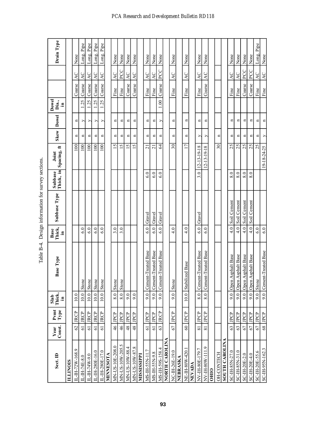| Sect. ID              | Const.<br>Year      | Pymt<br>${\bf Type}$ | Thick,<br>Slab<br>$\Xi$ | <b>Base Type</b>        | Base<br>Thick,<br>$\Xi$ | Subbase Type | Subbase<br>Thick, in | Spacing, ft<br>Joint | <b>Skew</b>    | Dowel          | Dowel<br>Dia.,<br>E. |        |               | Drain Type |
|-----------------------|---------------------|----------------------|-------------------------|-------------------------|-------------------------|--------------|----------------------|----------------------|----------------|----------------|----------------------|--------|---------------|------------|
| <b>ILLINOIS</b>       |                     |                      |                         |                         |                         |              |                      |                      |                |                |                      |        |               |            |
| IL-IH-72W-168.9       | $\mathcal{O}$       | <b>JRCP</b>          | 10.0                    |                         |                         |              |                      | 100                  | Ξ              | Ξ              |                      | Coarse | AC            | None       |
| IL-IH-74E-8.0         | $\Omega$            | <b>JRCP</b>          | 10.0                    | Stone                   | 6.0                     |              |                      | 100                  | Ħ              | $\geq$         | 25                   | Coarse | $\mathcal{L}$ | Long. Pipe |
| IL-IH-74W-9.0         | $\overline{6}$      | <b>JRCP</b>          | 10.0                    | Stone                   | 6.0                     |              |                      | 100                  | Ч              | ≻              | 1.25                 | Coarse | AC            | Long. Pipe |
| IL-IH-280E-16.0       | $\overline{6}$      | <b>JRCP</b>          |                         | $10.0$ Stone            | 6.0                     |              |                      | 100                  | Ξ              | ≻              | 1.25                 | Coarse | AC            | Long. Pipe |
| IL-IH-280E-17.0       | $\overline{6}$      | <b>JRCP</b>          | 10.0                    | Stone                   | 6.0                     |              |                      | 100                  | Ħ              | ≻              | 1.25                 | Coarse | <b>AC</b>     | Long. Pipe |
| MINNESOTA             |                     |                      |                         |                         |                         |              |                      |                      |                |                |                      |        |               |            |
| MN-US-10E-208.0       | $\frac{46}{5}$      | JPCP                 | 8.0                     | Stone                   | 3.0                     |              |                      | $\overline{15}$      | Ħ              | Ħ              |                      | Fine   | <b>AC</b>     | None       |
| MN-US-10W-205.5       | $\frac{46}{5}$      | JPCP                 | 8.0                     | Stone                   | 3.0                     |              |                      | $\overline{5}$       | n              | n              |                      | Fine   | PCC           | None       |
| MN-US-10W-88.4        | 48                  | JPCP                 | 9.0                     |                         |                         |              |                      | $\tilde{\bm{\zeta}}$ | $\blacksquare$ | n              |                      | Coarse | AC            | None       |
| MN-US-10W-87.8        | $rac{1}{48}$        | <b>JPCP</b>          | 9.0                     |                         |                         |              |                      | $\overline{15}$      | n              | n              |                      | Coarse | AC            | None       |
| NISSISSIPPI           |                     |                      |                         |                         |                         |              |                      |                      |                |                |                      |        |               |            |
| MS-IH-55N-11.7        | $\overline{6}$      | <b>JPCP</b>          | 9.0                     | Cement-Treated Base     | $\overline{6.0}$        | Gravel       | 6.0                  | $\overline{21}$      | n              | n              |                      | Fine   | $\sf AC$      | None       |
| MS-IH-55N-9.8         | $\overline{6}$      | <b>JPCP</b>          | 9.0                     | Cement-Treated Base     | 6.0                     | Gravel       | 6.0                  | $\overline{c}$       | Ξ              | n              |                      | Fine   | AC            | None       |
| MS-IH-59S-158.4       | 63                  | <b>JRCP</b>          | 9.0                     | Cement-Treated Base     | 6.0                     | Gravel       | $\frac{6}{6}$        | $\overline{6}$       | n              | ⋋              | 1.00                 | Coarse | PCC           | None       |
| NORTH CAROLINA        |                     |                      |                         |                         |                         |              |                      |                      |                |                |                      |        |               |            |
| NC-IH-26E-19.0        | 67                  | <b>JPCP</b>          |                         | 9.0 Stone               | 4.0                     |              |                      | 30 <sub>l</sub>      | H              | n              |                      | Fine   | <b>AC</b>     | None       |
| NEBRASKA              |                     |                      |                         |                         |                         |              |                      |                      |                |                |                      |        |               |            |
| NE-IH-80W-420.        | $\frac{1}{8}$       | <b>JPCP</b>          | 10.0                    | ed Base<br>Stabiliz     | 4.0                     |              |                      | $\overline{1}$       | $\blacksquare$ | п              |                      | Fine   | AC            | None       |
| <b>NEVADA</b>         |                     |                      |                         |                         |                         |              |                      |                      |                |                |                      |        |               |            |
| NV-IH-80E-179.7       | $\overline{\infty}$ | JPCP                 | $\overline{8.0}$        | Cement-Treated Base     | 6.0                     | Gravel       | 3.0                  | 12-13-19-18          | >              | Ħ              |                      | Fine   | AC            | None       |
| NV-IH-80W-111.9       | $\overline{8}$      | <b>JPCP</b>          | 8.0                     | -Treated Base<br>Cement | $\frac{6}{6}$           |              |                      | 12-13-19-18          | ≻              | Ħ              |                      | Coarse | AC            | None       |
| OHIO                  |                     |                      |                         |                         |                         |              |                      |                      |                |                |                      |        |               |            |
| <b>OH-CONTECH</b>     |                     |                      |                         |                         |                         |              |                      | $30\vert$            | n              |                |                      |        |               |            |
| <b>SOUTH CAROLINA</b> |                     |                      |                         |                         |                         |              |                      |                      |                |                |                      |        |               |            |
| SC-IH-85N-27.0        | $\mathcal{C}$       | <b>JPCP</b>          | 9.0                     | Open Asphalt Base       | 4.0                     | Soil Cement  | 8.0                  | 25                   | n              | n              |                      | Fine   | <b>AC</b>     | None       |
| SC-IH-85N-31.0        | 63                  | <b>JPCP</b>          | 9.0                     | Open Asphalt Base       | $\frac{4}{1}$           | Soil Cement  | 8.0                  | 25                   | Ħ              | ц              |                      | Fine   | AC            | None       |
| <b>SC-H-20E-2.0</b>   | 67                  | <b>JPCP</b>          |                         | 9.0 Open Asphalt Base   | 4.0                     | Soil Cement  | 8.0                  | 25                   | $\blacksquare$ | Ħ              |                      | Coarse | PCC           | None       |
| <b>SC-IH-20E-4.0</b>  |                     | 67 JPCP              |                         | 9.0 Open Asphalt Base   | 4.0                     | Soil Cement  | $\circ$<br>$\infty$  | 25                   | $\blacksquare$ | $\blacksquare$ |                      | Coarse | PCC           | None       |
| SC-IH-20E-55.6        | $\overline{5}$      | <b>JPCP</b>          |                         | $9.0$ Stone             | $\ddot{6}$ .0           |              |                      | 25                   | $\blacksquare$ | $\blacksquare$ |                      | Fine   | <b>AC</b>     | Long. Pipe |
| SC-IH-95N-162.3       |                     | 68 JPCP              | 9.0                     | Cement-Treated Base     | 6.0                     |              |                      | 19-18-24-25          | $\geq$         | $\blacksquare$ |                      | Fine   | <b>AC</b>     | None       |

Table B-4. Design information for survey sections. Table B-4. Design information for survey sections.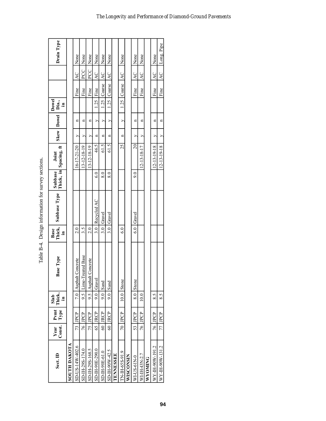| Sect. ID         | Const.<br>Year | Pymt<br>Type | Thick,<br>Slab<br>Ξ. | Base Type               | Base<br>Thick,<br>Ξ. | Subbase Type | Subbase       | Thick, in Spacing, ft<br>Joint |                  | <b>Skew Dowel</b> | Dowel<br>Dia.,<br>Ξ. |             |                 | Drain Type |
|------------------|----------------|--------------|----------------------|-------------------------|----------------------|--------------|---------------|--------------------------------|------------------|-------------------|----------------------|-------------|-----------------|------------|
| SOUTH DAKOTA     |                |              |                      |                         |                      |              |               |                                |                  |                   |                      |             |                 |            |
| SD-US-14W-402.6  | 73             | JPCP         | 7.0                  | Concrete<br>Asphalt     | $\frac{0}{2}$        |              |               | 16-17-21-20                    | ⋗                | ⊨                 |                      | Fine        | $\overline{A}$  | None       |
| SD-IH-29S-174.0  | $\frac{1}{6}$  | JPCP         | 9.5                  | reated Base<br>$Lime-I$ | 3.5                  |              |               | $13 - 12 - 18 - 19$            | ⋗                | Ξ                 |                      | Fine        | PCC             | None       |
| SD-IH-29S-168.5  | 75             | JPCP         | 9.5                  | Concrete<br>Asphal      | $\frac{0}{2}$        |              |               | $13 - 12 - 18 - 19$            | ⋗                | Ħ                 |                      | Fine        | PCC             | None       |
| SD-IH-90E-290.0  | 65             | <b>URCP</b>  |                      | 9.0   Gravel            | $\frac{3.0}{ }$      | Recycled AC  | 6.0           | 46.5                           | Ч                | ⋗                 | 1.25                 | Fine        | $\overline{A}$  | None       |
| SD-IH-90E-61.0   | $\frac{1}{8}$  | <b>JRCP</b>  |                      | $9.0$ Sand              | $\overline{3.0}$     | Gravel       | $\frac{8}{8}$ | 61.5                           | Ξ                | ⋗                 |                      | 1.25 Coarse | AC              | None       |
| SD-IH-90W-42.5   | $\frac{1}{8}$  | <b>JRCP</b>  |                      | $9.0$ Sand              | $\frac{1}{3.0}$      | Gravel       | $\frac{8}{8}$ | 61.5                           | д                | ⋗                 |                      | 1.25 Coarse | $\overline{AC}$ | None       |
| <b>TENNESSEE</b> |                |              |                      |                         |                      |              |               |                                |                  |                   |                      |             |                 |            |
| N-IH-65S-91.9    | $\frac{1}{2}$  | JPCP         |                      | $10.0$ Stone            | $\frac{6}{6}$        |              |               | 25                             | Ξ                | ⋗                 | 1.25                 | Coarse      | $\overline{AC}$ | None       |
| <b>WISCONSIN</b> |                |              |                      |                         |                      |              |               |                                |                  |                   |                      |             |                 |            |
| WI-US-61N-0      | 53             | <b>CPCP</b>  |                      | 8.0 Stone               | $\frac{6}{6}$        | Gravel       | $\frac{6}{6}$ | $\overline{20}$                | ⋗                | Ħ                 |                      | Fine        | AC              | None       |
| WI-IH-43N-2.7    |                | 76 IJPCP     | 10.0                 |                         |                      |              |               | $12 - 13 - 18 - 17$            | ⋗                | Ξ                 |                      | Fine        | AC              | None       |
| <b>WYONING</b>   |                |              |                      |                         |                      |              |               |                                |                  |                   |                      |             |                 |            |
| WY-IH-90W-191.2  | 76             | JPCP         | 8.5                  |                         |                      |              |               | 12-13-19-18                    | >                | Ч                 |                      | Fine        | $\overline{AC}$ | None       |
| WY-IH-90W-131.2  |                | 77 IPCP      | 8.5                  |                         |                      |              |               | $12-13-19-18$                  | $\triangleright$ | ⊟                 |                      | Fine        | $\overline{AC}$ | Long. Pipe |
|                  |                |              |                      |                         |                      |              |               |                                |                  |                   |                      |             |                 |            |

| J                              |
|--------------------------------|
| information that distincts and |
| $\sim$ $\sim$ $\sim$<br>ı<br>١ |
| ı<br>l<br>l<br>I               |

 $\ddot{\phantom{a}}$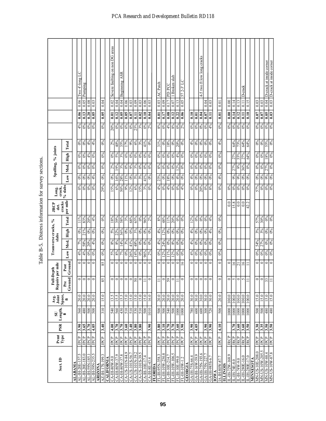|                                       |                           |                | $0.06$ Two $4$ -long LC | Pumping         |                                    |                |                 |                   | Severe faulting on non DG areas |                                                                                            | Beginning ASR       |                 |                   |                          |                 |                   |                   |         | AC Patch        |                       | PD <sub>PCC</sub> | Broken slab       |                  | $2-3$ LC<br>57   |                |                |                   | 4-5 two ft low long cracks |                          |                   |            |                          |                  |                                    |               |                   | D-crack          |                   |                  |                 |                   | 0.04 D-crack at inside corner<br>0.03 D-crack at inside corner |                         |
|---------------------------------------|---------------------------|----------------|-------------------------|-----------------|------------------------------------|----------------|-----------------|-------------------|---------------------------------|--------------------------------------------------------------------------------------------|---------------------|-----------------|-------------------|--------------------------|-----------------|-------------------|-------------------|---------|-----------------|-----------------------|-------------------|-------------------|------------------|------------------|----------------|----------------|-------------------|----------------------------|--------------------------|-------------------|------------|--------------------------|------------------|------------------------------------|---------------|-------------------|------------------|-------------------|------------------|-----------------|-------------------|----------------------------------------------------------------|-------------------------|
|                                       |                           |                |                         | $\vert$ 50.0    | $\overline{0.08}$<br>0.03          |                | 0.04            |                   | 0.02                            | 0.04                                                                                       | 0.04                | 0.06            | $\frac{0.03}{2}$  | 0.09                     | 0.03            | $\overline{0.06}$ | 0.03              |         | 0.03            | $\frac{60.0}{ }$      | 0.17              | 0.07              | 0.13             | 0.05             |                |                |                   |                            | 0.04                     | 0.03              |            | 0.01                     |                  | 0.00                               | 0.14          | $\overline{0.13}$ | $\overline{0}$   | 0.15              |                  | 0.03            | 0.03              |                                                                |                         |
|                                       |                           |                | 0.06                    | 0.13            | $\overline{0.20}$<br>0.05          |                | 0.05            |                   | $\overline{0.01}$               | $\overline{0.12}$                                                                          | $\frac{6.05}{0.05}$ |                 | 0.07              | 0.11                     | 0.02            | $\overline{0.10}$ | $\overline{0.04}$ |         | 0.01            | $\overline{0.17}$     | 0.08              | $\overline{0.12}$ | 0.22             | 0.06             |                | 0.10           | $\overline{0.01}$ | 0.04                       | $\overline{0.07}$        | 0.11              |            | 0.01                     |                  | 0.00                               | 0.14          | 0.12              | 0.11             | 0.10              |                  | 0.07            | 0.07              | $\frac{0.05}{0.03}$                                            |                         |
|                                       |                           |                | 4%                      | $\sqrt{60}$     | $\sqrt{8}$<br>$0\%$                |                | $\sqrt{6}$      |                   |                                 | $\frac{\sqrt{20}}{\sqrt{20}}$                                                              |                     |                 |                   |                          |                 | $0\%$             | 2%                |         | 8%              | $\sqrt{6}$            | 4%                | $8\%$             | $ 0\% $          | 2%               |                | $0\%$          | $\sqrt{6}$        | $0\%$                      | $\sqrt{6}$               | 4%                |            | $\sqrt{6}$               |                  | ೫೫                                 |               |                   | $0\%$            | $\sqrt{6}$        |                  | 0%              | 0%                | $\frac{100}{100}$                                              |                         |
|                                       | Total                     |                | $\frac{0\%}{0\%}$       |                 | $\sqrt{4\%}$<br>$4\%$              |                | 0%              |                   |                                 | $\frac{2\%}{40\%}$                                                                         |                     |                 |                   | <mark>ွှိ</mark> ုင္စုိ့ |                 | 41%               | $6\%$             |         | $31\%$          | $\sqrt{6}$            | 18%               | $\sqrt{6}$        | 20%              | $0\%$            |                | $4\%$          | $0\%$             | $\sqrt{60}$                | $\frac{10\%}{\sqrt{10}}$ |                   |            | $4\%$                    |                  |                                    | 64%           | 73%               | 64%              | 64%               |                  | $0\%$           | $ \mathcal{E} $   | 500 <sub>6</sub>                                               | $\sqrt{6}$              |
| Spalling, % joints                    | Low  Med. High            |                | $0\%$                   | $\sqrt{60}$     | 4%<br>0%                           |                | 0%              |                   |                                 | $ \mathcal{E} $ $ \mathcal{E} $ $ \mathcal{E} $                                            |                     |                 | $0\%$             | $0\%$                    | $0\%$           | $0\%$             | $0\%$             |         | 0%              | $\sqrt{6}$            | 0%                | $0\%$             | 4%               | $0\%$            |                | $0\%$          | $\sqrt{60}$       | $0\%$                      | $\sqrt{6}$               | 8 <sup>o</sup>    |            | 0%                       |                  |                                    | 27%           | 55%               | 27%              | 64%               |                  | $0\%$           | $\approx$         | $\frac{18%}{0%}$                                               |                         |
|                                       |                           |                | 0%                      | $9/60$          | $\sqrt{6}$<br>$\frac{9}{60}$       |                | $0\%$           |                   |                                 | $\frac{28}{19}$ $\frac{8}{19}$ $\frac{8}{19}$ $\frac{8}{19}$ $\frac{8}{19}$ $\frac{8}{19}$ |                     |                 |                   |                          | $0\%$           | $0\%$             | 0%                |         | $8\%$           | $ \mathcal{E} $       | $\sqrt{60}$       | 0%                | 12%              | 0%               |                | $0\%$          | $\frac{6}{6}$     | $0\%$                      | ∣‱                       | $0\%$             |            | $\frac{1}{200}$          |                  |                                    | 27%           | 9%                | 9695             | $0\%$             |                  | $0\%$           | $ \mathcal{E} $   | $\frac{27%}{0%}$                                               |                         |
|                                       |                           |                | $\frac{1}{200}$         | $\sqrt{60}$     | $\frac{9}{60}$<br>$\sqrt{6}$       |                | 0%              |                   | $\frac{6}{6}$                   | $\frac{\frac{1}{8}}{\frac{1}{8}}$                                                          |                     |                 |                   | ိ∥ိွ                     | 3%              | 41%               | $\frac{6}{3}$     |         | 23%             | $\frac{6}{6}$         | 18%               | $0\%$             | 4%               | 0%               |                | $4\%$          | $\sqrt{6}$        | $0\%$                      | $ \varepsilon$           | $\frac{9}{60}$    |            | $rac{1}{4}$              |                  |                                    | 9%            | $9\%$             | $0\%$            | $\overline{0\%}$  |                  | $0\%$           | $\sqrt{6}$        | $\frac{9\%}{0\%}$                                              |                         |
| Long.                                 | % slabs<br>crack,         |                | $rac{1}{\sqrt{25}}$     |                 | $\sqrt{60}$<br>0%                  |                | 29%             |                   | 15%                             | 8888888                                                                                    |                     |                 |                   |                          |                 | 3%                | 0%                |         | 4%              | $\sqrt{6}$            | 4%                | $\sqrt{6}$        | 0%               | 4%               |                | $0\%$          | 0%                | 20%                        | $\sqrt{60}$              | 8%                |            | $ ^{0\%}$                |                  | $\frac{0\%}{\frac{0\%}{\sqrt{2}}}$ |               |                   | $\sqrt{60}$      | $ 8\rangle$       |                  | 57%             | $0\%$             | $\frac{10}{10}$                                                |                         |
| <b>JRCP</b><br>det.                   | per mile<br>cracks        |                |                         |                 |                                    |                |                 |                   |                                 |                                                                                            |                     |                 |                   |                          |                 |                   |                   |         |                 |                       |                   |                   |                  |                  |                |                |                   |                            |                          |                   |            |                          |                  | $rac{0}{\sqrt{2}}$                 | 8.51          | $\overline{0.0}$  | $\overline{0.0}$ | 42.2              |                  |                 |                   |                                                                |                         |
|                                       | Total                     |                | $\frac{11%}{83%}$       |                 | 200/6<br>$4\%$                     |                | 0%              |                   |                                 | 18%                                                                                        | <b>58%</b>          |                 |                   | 68%                      | $0\%$           | 96%               | 2%                |         | $8\%$           | $\sqrt{\frac{38}{2}}$ | 11%               | 20%               | $\sqrt{6}$       | 0%               |                | $12\%$         | $0\%$             | $\sqrt{60}$                | $\approx$                | 9/6               |            | $0\%$                    |                  |                                    |               |                   |                  |                   |                  | 57%             | 30%               | $0\%$                                                          | $\sqrt{6}$              |
|                                       |                           |                | $\frac{0\%}{21\%}$      |                 | $\overline{0\%}$<br>$\sqrt{60}$    |                | 0%              |                   |                                 | 5%<br>22%                                                                                  | 36%                 |                 |                   | $\frac{6\%}{3\%}$        | $0\%$           | $0\%$             | 0%                |         |                 | $\frac{4\%}{12\%}$    | $0\%$             | $\frac{6}{6}$     | $0\%$            | 0%               |                | 4%             | $0\%$             | $\overline{000}$           | $\approx$                | 4%                |            | $0\%$                    |                  |                                    |               |                   |                  |                   |                  | 3%              | $\approx$         | $\frac{0\%}{0\%}$                                              |                         |
| Transverse cracks, %<br>slabs         | Med. High                 |                | $7\%$                   | 58%             | 20%<br>$4\%$                       |                | 0%              |                   |                                 | $rac{8}{8}$ $rac{8}{1}$ $rac{8}{1}$ $rac{8}{1}$ $rac{8}{1}$                                |                     |                 | $41\%$            | 48%                      | $0\%$           | $\frac{6}{6}$     | $ 0\% $           |         | $4\%$           | $\frac{24\%}{2\%}$    | $0\%$             | $\sqrt{8\%}$      | $ 0\% $          | $0\%$            |                | $4\%$          | $\sqrt{6}$        | $^{9/60}$                  | $ ^{9/6}$                | $\frac{9}{60}$    |            | $\sqrt{6}$               |                  |                                    |               |                   |                  |                   |                  | 54%             | 27%               | $0\%$                                                          | $\boxed{0\%}$           |
|                                       | Low                       |                | 4%                      | 4%              | $\overline{0\%}$<br>$^{9/6}$       |                | $\sqrt{6}$      |                   |                                 | $\frac{5\%}{7\%}\frac{9\%}{0\%}$                                                           |                     |                 | 26%               | 14%                      | $0\%$           | 96%               | 2%                |         | $0\%$           | $\sqrt{12\%}$         | 11%               | $\sqrt{2\%}$      | $0\%$            | $\frac{9}{60}$   |                | 4%             | $\sqrt{60}$       | $0\%$                      | $\frac{9}{60}$           | $\frac{9}{60}$    |            | $\sqrt{6}$               |                  |                                    |               |                   |                  |                   |                  | $\sqrt{6}$      | $\overline{0\%}$  | $0\%$                                                          | $\overline{\mathbb{S}}$ |
|                                       |                           |                | $\circ$                 | $\circ$         | $\circ$<br>$\circ$                 |                | 85              |                   | $\circ$                         | $\circ$                                                                                    | $\circ$             | $\circ$         | $\circ$           | $\circ$                  | $\circ$         | $\circ$           | $\circ$           |         | $\circ$         | $\circ$               | $\circ$           | $\circ$           | $\circ$          | $\overline{16}$  |                | $\circ$        | $\circ$           | $\circ$                    | $\circ$                  | $\circ$           |            | $\circ$                  |                  | $\circ$                            | $\tilde{=}$   | $\overline{21}$   | $\frac{6}{16}$   | $\equiv$          |                  | $\circ$         | $\circ$           | $\circ$                                                        | $\overline{\bullet}$    |
| Repairs per mile<br><b>Full-Depth</b> | Pre Post<br>Ground Ground |                |                         |                 | olololo                            |                | 85              |                   |                                 | lolol                                                                                      |                     |                 | $\circ$   $\circ$ | $50\,$                   | $\circ$         |                   |                   |         |                 |                       | $\frac{6}{5}$     | $\circ$           |                  | $\circ$          |                | $\bullet$      |                   | lələləl                    |                          |                   |            | $\overline{\phantom{0}}$ |                  | াতাত                               |               |                   |                  |                   |                  |                 | ြ $  \circ  $ ဇ္က |                                                                |                         |
| Avg.<br>Joint                         | Space,<br>$\ddot{}$       |                | 20.0                    | 20.0            | $\overline{20.0}$<br>20.0          |                | 15.0            |                   | 13.5                            | 15.5                                                                                       | 15.5                | 15.0            | 15.0              | 15.0                     | 15.0            | 15.0              | 16.0              |         | 20.0            | $\overline{20.0}$     | 20.0              | $\overline{20.0}$ | $\frac{20.0}{5}$ | $\frac{1}{20.0}$ |                | 30.0           | $\overline{30.0}$ | 30.0                       | $\overline{30.0}$        | $\overline{30.0}$ |            | 20.0                     |                  | 100.0                              | 100.0         | 100.0             | 100.0            | 100.0             |                  | 15.0            | 15.0              | 15.0                                                           | $\overline{15.0}$       |
| $\overline{\mathbf{S}}$               | Length,                   |                | 560                     | 480             | $\overline{500}$<br>500            |                | $\frac{310}{2}$ |                   | 540                             | 560                                                                                        | 430                 | 510             | 510               | 530                      | 510             | 500               | $\frac{0}{2}$     |         | 500             | $\overline{500}$      | 540               | $\overline{500}$  | $\overline{000}$ | 1000             |                | 780            | 600               | $600\,$                    | $\overline{300}$         | 720               |            | 500                      |                  | 1000                               | 1000          | 1000              | 1000             | 1000              |                  | 500             | 500               | 480                                                            | 480                     |
|                                       | PSR <sub>1</sub>          |                | 3.90                    | 3.65            | 4.05<br>$\overline{3.70}$          |                | 3.40            |                   | 4.00                            | 3.70                                                                                       | 3.70                | 3.60            | 3.40              | 3.80                     | 3.80            |                   | 3.90              |         | 3.80            | 3.10                  | 3.70              | 3.70              | 3.60             | 3.90             |                | 3.90           | 4.05              |                            | 3.90                     | 3.90              |            | 4.10                     |                  |                                    | 3.70          | 3.60              | 3.60             | $\overline{3.50}$ |                  | 3.30            | 3.35              | 3.50                                                           | $\sqrt{3.50}$           |
|                                       | Pype<br>Type              |                | <b>JPCP</b>             | <b>JPCP</b>     | <b>JPCP</b><br><b>JPCP</b>         |                | <b>JPCP</b>     |                   | JPCP                            | <b>ECR</b>                                                                                 | JPCP                | JPCP            | JPCP              | JPCP                     | <b>POL</b>      | <b>JPCP</b>       | JPCP              |         | <b>JPCP</b>     | <b>JPCP</b>           | <b>JPCP</b>       | <b>JPCP</b>       | JPCP             | <b>JPCP</b>      |                | <b>JPCP</b>    | <b>JPCP</b>       | <b>JPCP</b>                | <b>PCP</b>               | ECP               |            | <b>JPCP</b>              |                  | <b>JRCP</b>                        | <b>JRCP</b>   | <b>JRCP</b>       | <b>JRCP</b>      | <b>JRCP</b>       |                  | JPCP            | <b>JPCP</b>       | <b>JPCP</b>                                                    | <b>JPCP</b>             |
|                                       | Sect. ID                  | <b>ALABAMA</b> | AL-IH-20E-157.5         | AL-IH-20E-183.0 | AL-IH-59N-235.5<br>AL-IH-59N-185.1 | <b>ARIZONA</b> | AZ-IH-17S-199.3 | <b>CALIFORNIA</b> | CA-IH-80W-9.0                   | CA-IH-80W-37.9                                                                             | CA-IH-80W-37.8      | CA-US-101N-84.9 | CA-US-101S-56.7   | CA-US-101N-39.2          | CA-US-101S-39.5 | CA-IH-10E-17.4    | CA-IH-8E-43.4     | FLORIDA | FL-IH-95N-358.3 | FL-IH-10W-230.8       | FL-IH-10E-214.7   | FL-IH-10W-106.5   | FL-IH-10E-99.0   | FL-IH-10W-1.2    | <b>GEORGIA</b> | GA-IH-75S-66.4 | GA-IH-16W-59.9    | GA-IH-75N-193.6            | GA-IH-75N-227.7          | GA-IH-985S-6.7    | <b>NWO</b> | IA-IH-80W-87.7           | <b>IITTIMOIS</b> | IL-IH-72W-168.9                    | IL-IH-74E-8.0 | $0.6-M+L-H$       | IL-IH-280E-16.0  | IL-IH-280E-17.0   | <b>MINNESOTA</b> | MN-US-10E-208.0 | MN-US-10W-205.5   | MN-US-10W-88.4                                                 | MN-US-10W-87.8          |

Table B-5. Distress information for survey sections. Table B-5. Distress information for survey sections.  $\Gamma$ 

П

T ┱ т т ┱ ٦ т т т Т ┱ ┱ т T ⊤

Т т т \_\_\_\_\_\_\_\_\_\_\_\_\_\_\_\_\_\_\_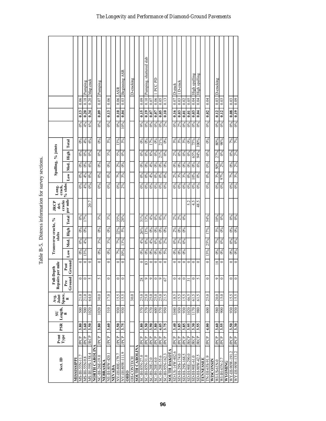|                                |                                                              |             |                 | Pumping              | 0.20 Map crack          |                       | $0.07$ Pumping       |          |                 |                           | <b>ASR</b> | Beginning ASR     |      | D-cracking        |                       |         | Pumping, shattered slab          |                      | PCC PD               |                       |                 |                     | D-crack              | 1D-crack          |                  |                 | High spalling  | High spalling  |                  |                          |                  | 0.03  D-cracking |                 |                |                          |                     |
|--------------------------------|--------------------------------------------------------------|-------------|-----------------|----------------------|-------------------------|-----------------------|----------------------|----------|-----------------|---------------------------|------------|-------------------|------|-------------------|-----------------------|---------|----------------------------------|----------------------|----------------------|-----------------------|-----------------|---------------------|----------------------|-------------------|------------------|-----------------|----------------|----------------|------------------|--------------------------|------------------|------------------|-----------------|----------------|--------------------------|---------------------|
|                                |                                                              |             | 0.06            | 0.18                 |                         |                       |                      |          | 0.06            |                           | 0.06       | 0.03              |      |                   |                       | 0.09    | 0.10                             | 0.07                 | 0.06                 | 0.05                  | 0.13            |                     | 0.07                 | $\overline{0.03}$ | 0.02             | 0.05            | 0.04           | 0.04           |                  | 0.04                     |                  |                  | 0.03            |                | 0.03                     | 0.09                |
|                                |                                                              |             | 0.13            | 0.20                 | 0.34                    |                       | 0.09                 |          | 0.13            |                           | 0.10       | 0.04              |      |                   |                       | 0.15    | 0.19                             | 0.07                 | 0.07                 | 0.05                  | 0.10            |                     | 0.16                 | $\overline{0.03}$ | 0.01             | 0.01            | 0.03           | 0.04           |                  | 0.02                     |                  | 0.12             | 0.12            |                | 0.08                     | $\overline{0.19}$   |
|                                |                                                              |             | $\frac{1}{200}$ | $\frac{4}{6}$        | 6%                      |                       | $0\%$                |          | $\sqrt{6}$      |                           | $0\%$      | 10%               |      |                   |                       | 9%      | $0\%$                            | $ 0\% $              | $\sqrt{6}$           | $ {}_{\infty}$        | $2\%$           |                     | $\frac{1}{\sqrt{2}}$ | $2\%$             | $\sqrt{6}$       | $\sqrt{6}$      | $ ^{66}$       | $\sqrt{20}$    |                  | $\frac{8}{3}$            |                  | $\sqrt{6}$       | $\sqrt{6}$      |                | $\frac{1}{20}$           | 0%                  |
|                                | Total                                                        |             | $0\%$           | 4%                   | 6%                      |                       | 0%                   |          | 3%              |                           | 13%        | 3%                |      |                   |                       | $0\%$   | $0\%$                            | 9641                 | 0%                   | 21%                   | 0%              |                     | 3%                   | 3%                | 3%               | 0%              | 75%            | 100%           |                  | $\frac{1}{200}$          |                  | 80%              | 98%             |                | $\frac{7\%}{7\%}$        |                     |
|                                |                                                              |             | 0%              | $0\%$                | 0%                      |                       | 0%                   |          | 3%              |                           | $5\%$      | $\overline{0\%}$  |      |                   |                       | $0\%$   | 0%                               | $8\%$                | 0%                   | 21%                   | 0%              |                     | 2%                   | 0%                | 0%               | 0%              | 65%            | 94%            |                  | $0\%$                    |                  | 27%              | $0\%$           |                | $0\%$                    | $2\%$               |
| Spalling, % joints             | Low  Med.   High                                             |             | $0\%$           | $0\%$                | 6%                      |                       | 0%                   |          | $0\%$           |                           | 2%         | $\overline{0\%}$  |      |                   |                       | $0\%$   | $0\%$                            | 4%                   | $0\%$                | 0%                    | $0\%$           |                     | $0\%$                | $0\%$             | $0\%$            | $0\%$           | $0\%$          | 6%             |                  | $0\%$                    |                  | 50%              | 2%              |                | $0\%$                    | $2\%$               |
|                                |                                                              |             | $\frac{6}{3}$   | 4%                   | $\frac{8}{6}$           |                       | 0%                   |          | 0%              |                           | 7%         | 3%                |      |                   |                       | $0\%$   | 0%                               | 4%                   | $0\%$                | 0%                    | 0%              |                     | 2%                   | 3%                | 3%               | $0\%$           | 10%            | $\frac{8}{6}$  |                  | 0%                       |                  | 3%               | 97%             |                | $\sqrt{\frac{2}{3}}$     |                     |
| crack,<br>Long.                | $%$ slabs                                                    |             | $0\%$           | $4\%$                | $0\%$                   |                       | $0\%$                |          | 0%              |                           | $0\%$      | 2%                |      |                   |                       | 0%      | 8%                               | 60%                  | $0\%$                | $ 0\% $               | 0%              |                     | $\delta$             | $ 0\% $           | $\frac{1}{200}$  | $ 0\% $         | $\frac{6}{3}$  | $0\%$          |                  | $\frac{1}{\sqrt{2}}$     |                  | $0\%$            | $\frac{1}{200}$ |                | 0%                       | 0%                  |
| <b>JRCP</b><br>det.            | per mile<br>cracks                                           |             |                 |                      | 20.7                    |                       |                      |          |                 |                           |            |                   |      |                   |                       |         |                                  |                      |                      |                       |                 |                     |                      |                   |                  | 5.2             | 4.5            | 48.5           |                  |                          |                  |                  |                 |                |                          |                     |
|                                | Total                                                        |             | $\frac{1}{200}$ | 17%                  |                         |                       | 3%                   |          | 3%              |                           | 35%        | 28%               |      |                   |                       | 31%     | 13%                              | $\sqrt{6}$           | $0\%$                | $0\%$                 | $7\%$           |                     | 2%                   | 2%                | 0%               |                 |                |                |                  | 54%                      |                  | 10%              | $ 0\% $         |                | $0\%$                    | 0%                  |
| slabs                          |                                                              |             | 0%              | $0\%$                |                         |                       | $\frac{1}{26}$       |          | $\sqrt{6}$      |                           | 22%        | $5\%$             |      |                   |                       | 26%     | 13%                              | $0\%$                | 0%                   | 0%                    | $ 0\% $         |                     | $2\%$                | $ 0\% $           | $0\%$            |                 |                |                |                  | 17%                      |                  | 3%               | $0\%$           |                | $0\%$                    | $ ^{9\%} $          |
| Transverse cracks, %           | Med. High                                                    |             | $0\%$           | 4%                   |                         |                       | 3%                   |          | 3%              |                           | 7%         | 13%               |      |                   |                       | $4\%$   | $ 0\% $                          | $\sqrt{6}$           | $0\%$                | $\sqrt{6}$            | 2%              |                     | $ 0\% $              | $2\%$             | 0%               |                 |                |                |                  | 13% 25%                  |                  | 7%               | $0\%$           |                | $0\%$                    | 0%                  |
|                                | Low                                                          |             | $0\%$           | 13%                  |                         |                       | $\frac{1}{200}$      |          | $\frac{1}{200}$ |                           | 7%         | 10%               |      |                   |                       | $ 0\% $ | 0%                               | 9/6                  | $0\%$                | 0%                    | $5\%$           |                     | $ 0\% $              | $ 0\% $           | $0\%$            |                 |                |                |                  |                          |                  | $0\%$            | $0\%$           |                | $0\%$                    | $ ^{9/6} $          |
|                                | Ground<br>Post                                               |             | $\circ$         | $\circ$              | $\circ$                 |                       | $\overline{\bullet}$ |          | $\circ$         |                           | $\circ$    | $\circ$           |      |                   |                       | $\circ$ | 83                               | $\circ$              | $\circ$              | $\circ$               | $\circ$         |                     | $\circ$              | $\circ$           | $\circ$          | $\bullet$       | $\circ$        | $\circ$        |                  | $\overline{\phantom{0}}$ |                  | $\frac{8}{18}$   | $\circ$         |                | $\bullet$                | $\circ$             |
| Repairs per mile<br>Full-Depth | Ground<br>Pre                                                |             | $\circ$         | $\circ$              | $\mathbf{\hat{z}}$      |                       | 5                    |          | $\circ$         |                           | $\circ$    | $\circ$           |      |                   |                       | 28      | $\bullet$                        | $\circ$              | $\circ$              | $\circ$               | 67              |                     | $\circ$              | $\circ$           | $\circ$          | $\overline{31}$ | $\circ$        | $\mathbf{r}$   |                  | $\circ$                  |                  | o,               | $\circ$         |                | $\overline{\phantom{0}}$ | $\circ$             |
| Avg.<br>Joint                  | $\begin{array}{c} \mathbf{Space}, \\ \mathbf{f} \end{array}$ |             | 21.0            | 21.0                 | 64.0                    |                       | 30.0                 |          | 17.0            |                           | 15.5       | $\overline{15.5}$ |      | 30.0              |                       |         | $\frac{25.0}{25.0}$              | 25.0                 | 25.0                 | 25.0                  | 21.5            |                     | 18.5                 | $\overline{15.5}$ | 15.5             | 46.5            | 61.5           | 61.5           |                  | 25.0                     |                  | 20.0             | 15.0            |                | 15.5                     | 15.5                |
| $\overline{\mathbf{S}}$        | Length, $\frac{\text{ft}}{\text{ft}}$                        |             | 500             | 500                  | 1020                    |                       | 1020                 |          | 510             |                           | 930        | $\sqrt{930}$      |      |                   |                       | 570     | 570                              | 570                  | $\overline{600}$     | $\overline{570}$      | 950             |                     | 1040                 | 930               | 930              | 1020            | 1170           | 980            |                  | 600                      |                  | 580              | 006             |                | $\frac{25}{25}$          |                     |
| PSR <sup>1</sup>               |                                                              |             | 3.80            | 3.60                 | $\frac{3.50}{ }$        |                       | 3.80                 |          | 3.60            |                           | 3.50       | $\frac{3.75}{ }$  |      |                   |                       | 3.80    | $\sqrt{3.50}$                    | 3.90                 | 3.80                 | 4.05                  | 3.75            |                     | 3.40                 | 3.85              | $\frac{3.85}{ }$ | 3.95            | 3.30           | 3.55           |                  | 1.00                     |                  | 3.60             | 3.55            |                | 3.50                     | $\overline{0}$ 3.30 |
| Pype<br>Type                   |                                                              |             | JPCP            |                      | <b>DOD</b><br><b>RO</b> |                       | JPCP                 |          | <b>Dep</b>      |                           | JPCP       | JPCP              |      |                   |                       |         | ele<br>Ele                       | <b>TPCP</b>          | e<br>B               |                       | <b>JPCP</b>     |                     | JPCP                 | JPCP              | JPCP             | <b>ED</b>       | <b>IRCP</b>    | <b>JRCP</b>    |                  | JPCP                     |                  | JPCP             | JPCP            |                | JPCP                     | <b>DOL</b>          |
| Sect. ID                       |                                                              | NISSISSIPPI | MS-IH-55N-I     | <b>MS-IH-55N-9.8</b> | MS-IH-59S-158.4         | <b>NORTH CAROLINA</b> | NC-IH-26E-19.0       | NEBRASKA | NE-IH-80W-420.  | NEVADA<br>NV-IH-80E-179.7 |            | NV-IH-80W-111.9   | OHIO | <b>OH-CONTECH</b> | <b>SOUTH CAROLINA</b> |         | SC-IH-85N-27.0<br>SC-IH-85N-31.0 | <b>SC-IH-20E-2.0</b> | <b>SC-IH-20E-4.0</b> | <b>SC-IH-20E-55.6</b> | SC-IH-95N-162.3 | <b>SOUTH DAKOT.</b> | SD-US-14W-402.6      | SD-IH-29S-174.0   | SD-IH-29S-168.5  | SD-IH-90E-290.0 | SD-IH-90E-61.0 | SD-IH-90W-42.5 | <b>TENNESSEE</b> | <b>IN-IH-65S-91.9</b>    | <b>WISCONSIN</b> | WI-US-61N-0      | WI-IH-43N-2.7   | <b>ANOMING</b> | WY-IH-90W-191.2          | WY-IH-90W-131.2     |

Table B-5. Distress information for survey sections. Table B-5. Distress information for survey sections.

г

┯

т

т т T T \_\_\_\_\_\_\_\_\_\_\_\_\_

┯ ┯ ┯ ┯ ┯ ┯ ┯ ┯ ┯ ┯ ┯ ┯ ┯ ┯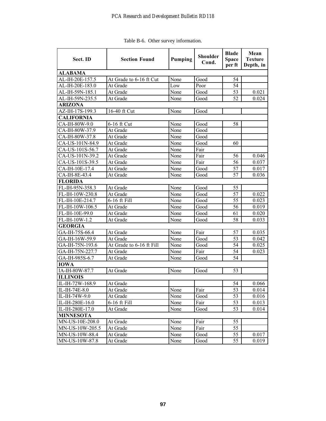| Sect. ID          | <b>Section Found</b>     | <b>Pumping</b> | <b>Shoulder</b><br>Cond. | <b>Blade</b><br><b>Space</b><br>per ft | Mean<br><b>Texture</b><br>Depth, in |
|-------------------|--------------------------|----------------|--------------------------|----------------------------------------|-------------------------------------|
| <b>ALABAMA</b>    |                          |                |                          |                                        |                                     |
| AL-IH-20E-157.5   | At Grade to 6-16 ft Cut  | None           | Good                     | 54                                     |                                     |
| AL-IH-20E-183.0   | At Grade                 | Low            | Poor                     | 54                                     |                                     |
| AL-IH-59N-185.1   | At Grade                 | None           | Good                     | 53                                     | 0.021                               |
| AL-IH-59N-235.5   | At Grade                 | None           | Good                     | 52                                     | 0.024                               |
| <b>ARIZONA</b>    |                          |                |                          |                                        |                                     |
| AZ-IH-17S-199.3   | 16-40 ft Cut             | None           | Good                     |                                        |                                     |
| <b>CALIFORNIA</b> |                          |                |                          |                                        |                                     |
| CA-IH-80W-9.0     | 6-16 ft Cut              | None           | Good                     | 58                                     |                                     |
| CA-IH-80W-37.9    | At Grade                 | None           | Good                     |                                        |                                     |
| CA-IH-80W-37.8    | At Grade                 | None           | Good                     |                                        |                                     |
| CA-US-101N-84.9   | At Grade                 | None           | Good                     | 60                                     |                                     |
| CA-US-101S-56.7   | At Grade                 | None           | Fair                     |                                        |                                     |
| CA-US-101N-39.2   | At Grade                 | None           | Fair                     | 56                                     | 0.046                               |
| CA-US-101S-39.5   | At Grade                 | None           | Fair                     | 56                                     | 0.037                               |
| CA-IH-10E-17.4    | At Grade                 | None           | Good                     | 57                                     | 0.017                               |
| CA-IH-8E-43.4     | At Grade                 | None           | Good                     | 57                                     | 0.036                               |
| <b>FLORIDA</b>    |                          |                |                          |                                        |                                     |
| FL-IH-95N-358.3   | At Grade                 | None           | Good                     | 55                                     |                                     |
| FL-IH-10W-230.8   | At Grade                 | None           | Good                     | 57                                     | 0.022                               |
| FL-IH-10E-214.7   | 6-16 ft Fill             | None           | Good                     | 55                                     | 0.023                               |
| FL-IH-10W-106.5   | At Grade                 | None           | Good                     | 56                                     | 0.019                               |
| FL-IH-10E-99.0    | At Grade                 | None           | Good                     | 61                                     | 0.020                               |
| FL-IH-10W-1.2     | At Grade                 | None           | Good                     | 58                                     | 0.033                               |
| <b>GEORGIA</b>    |                          |                |                          |                                        |                                     |
| GA-IH-75S-66.4    | At Grade                 | None           | Fair                     | 57                                     | 0.035                               |
| GA-IH-16W-59.9    | At Grade                 | None           | Good                     | 53                                     | 0.042                               |
| GA-IH-75N-193.6   | At Grade to 6-16 ft Fill | None           | Good                     | 54                                     | 0.025                               |
| GA-IH-75N-227.7   | At Grade                 | None           | Fair                     | 54                                     | 0.023                               |
| GA-IH-985S-6.7    | At Grade                 | None           | Good                     | 54                                     |                                     |
| <b>IOWA</b>       |                          |                |                          |                                        |                                     |
| IA-IH-80W-87.7    | At Grade                 | None           | Good                     | 53                                     |                                     |
| <b>ILLINOIS</b>   |                          |                |                          |                                        |                                     |
| IL-IH-72W-168.9   | At Grade                 |                |                          | 54                                     | 0.066                               |
| IL-IH-74E-8.0     | At Grade                 | None           | Fair                     | 53                                     | 0.014                               |
| IL-IH-74W-9.0     | At Grade                 | None           | Good                     | 53                                     | 0.016                               |
| IL-IH-280E-16.0   | 6-16 ft Fill             | None           | Fair                     | 53                                     | 0.013                               |
| IL-IH-280E-17.0   | At Grade                 | None           | Good                     | 53                                     | 0.014                               |
| <b>MINNESOTA</b>  |                          |                |                          |                                        |                                     |
| MN-US-10E-208.0   | At Grade                 | None           | Fair                     | 55                                     |                                     |
| MN-US-10W-205.5   | At Grade                 | None           | Fair                     | 55                                     |                                     |
| MN-US-10W-88.4    | At Grade                 | None           | Good                     | 55                                     | 0.017                               |
| MN-US-10W-87.8    | At Grade                 | None           | Good                     | 55                                     | 0.019                               |

## Table B-6. Other survey information.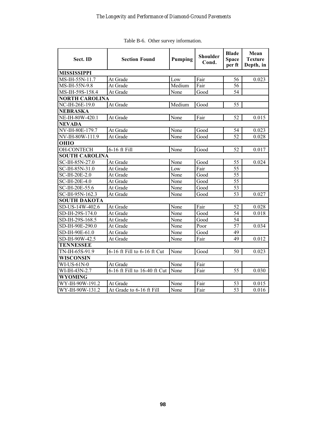| Sect. ID              | <b>Section Found</b>         | <b>Pumping</b> | <b>Shoulder</b><br>Cond. | <b>Blade</b><br><b>Space</b><br>per ft | Mean<br><b>Texture</b><br>Depth, in |
|-----------------------|------------------------------|----------------|--------------------------|----------------------------------------|-------------------------------------|
| <b>MISSISSIPPI</b>    |                              |                |                          |                                        |                                     |
| MS-IH-55N-11.7        | At Grade                     | Low            | Fair                     | 56                                     | 0.023                               |
| MS-IH-55N-9.8         | At Grade                     | Medium         | Fair                     | 56                                     |                                     |
| MS-IH-59S-158.4       | At Grade                     | None           | Good                     | 54                                     |                                     |
| <b>NORTH CAROLINA</b> |                              |                |                          |                                        |                                     |
| NC-IH-26E-19.0        | At Grade                     | Medium         | Good                     | 55                                     |                                     |
| NEBRASKA              |                              |                |                          |                                        |                                     |
| NE-IH-80W-420.1       | At Grade                     | None           | Fair                     | 52                                     | 0.015                               |
| <b>NEVADA</b>         |                              |                |                          |                                        |                                     |
| NV-IH-80E-179.7       | At Grade                     | None           | Good                     | 54                                     | 0.023                               |
| NV-IH-80W-111.9       | At Grade                     | None           | Good                     | 52                                     | 0.028                               |
| OHIO                  |                              |                |                          |                                        |                                     |
| <b>OH-CONTECH</b>     | 6-16 ft Fill                 | None           | Good                     | 52                                     | 0.017                               |
| <b>SOUTH CAROLINA</b> |                              |                |                          |                                        |                                     |
| SC-IH-85N-27.0        | At Grade                     | None           | Good                     | 55                                     | 0.024                               |
| SC-IH-85N-31.0        | At Grade                     | Low            | Fair                     | 55                                     |                                     |
| SC-IH-20E-2.0         | At Grade                     | None           | Good                     | 55                                     |                                     |
| SC-IH-20E-4.0         | At Grade                     | None           | Good                     | $\overline{55}$                        |                                     |
| SC-IH-20E-55.6        | At Grade                     | None           | Good                     | 53                                     |                                     |
| SC-IH-95N-162.3       | At Grade                     | None           | Good                     | 53                                     | 0.027                               |
| <b>SOUTH DAKOTA</b>   |                              |                |                          |                                        |                                     |
| SD-US-14W-402.6       | At Grade                     | None           | Fair                     | 52                                     | 0.028                               |
| SD-IH-29S-174.0       | At Grade                     | None           | Good                     | 54                                     | 0.018                               |
| SD-IH-29S-168.5       | At Grade                     | None           | Good                     | 54                                     |                                     |
| SD-IH-90E-290.0       | At Grade                     | None           | Poor                     | 57                                     | 0.034                               |
| SD-IH-90E-61.0        | At Grade                     | None           | Good                     | 49                                     |                                     |
| SD-IH-90W-42.5        | At Grade                     | None           | Fair                     | 49                                     | 0.012                               |
| <b>TENNESSEE</b>      |                              |                |                          |                                        |                                     |
| TN-IH-65S-91.9        | 6-16 ft Fill to 6-16 ft Cut  | None           | Good                     | 50                                     | 0.023                               |
| WISCONSIN             |                              |                |                          |                                        |                                     |
| WI-US-61N-0           | At Grade                     | None           | Fair                     |                                        |                                     |
| WI-IH-43N-2.7         | 6-16 ft Fill to 16-40 ft Cut | None           | Fair                     | 55                                     | 0.030                               |
| <b>WYOMING</b>        |                              |                |                          |                                        |                                     |
| WY-IH-90W-191.2       | At Grade                     | None           | Fair                     | 53                                     | 0.015                               |
| WY-IH-90W-131.2       | At Grade to 6-16 ft Fill     | None           | Fair                     | $\overline{53}$                        | 0.016                               |

Table B-6. Other survey information.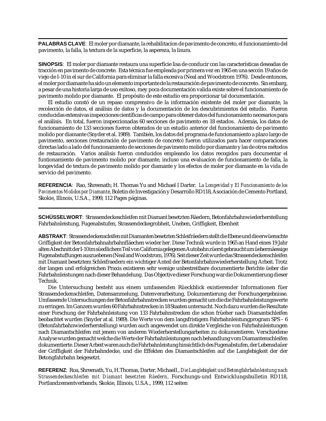**PALABRAS CLAVE**: El moler por diamante, la rehabilitacíon de pavimento de concreto, el funcionamiento del pavimento, la falla, la textura de la superficie, la aspereza, la lisura.

**SINOPSIS**: El moler por diamante restaura una superficie lisa de conducir con las características deseadas de tracción en pavimento de concrete. Esta técnica fue empleada por primera vez en 1965 en una seccón 19 años de viejo de I-10 in el sur de California para eliminar la falla excesiva (Neal and Woodstrom 1976). Desde entonces, el moler por diamante ha sido un elemento importante de la restauración de pavimento de concreto. Sin embarg, a pesar de una historia larga de uso exitoso, mey poca documentación valida existe sobre el funcionamiento de pavimento molido por diamante. El propósito de este estudio era proporcionar tal documentación.

El estudio constó de un repaso comprensivo de la información existente del moler por diamante, la recolección de datos, el análisis de datos y la documentación de los descubrimientos del estudio. Fueron conducidas extensivas inspecciones científicas de campo para obtener datos del funcionamiento necesarios para el análisis. En total, fueron inspeccionadas 60 secciones de pavimento en 18 estados. Además, los datos de funcionamiento de 133 secciones fueron obtenidos de un estudio anterior del funcionamiento de pavimento molido por diamante (Snyder et al. 1989). También, los datos del programa de funcionamiento a plazo largo de pavimento, secciones (restauración de pavimento de concreto) fueron utilizados para hacer comparaciones directas lado a lado del funcionamiento de secciones de pavimento molido por diamante y las de otros métodos de restauración. Varios análisis fueron conducidos empleando los datos recogidos para documentar el funtionamiento de pavimento molido por diamante, incluso una evaluacíon de funcionamiento de falla, la longevidad de textura de pavimento molido por diamante y los efectos de moler por diamante en la vida de servicio del pavimento.

**REFERENCIA**: Rao, Shreenath; H. Thomas Yu and Michael I Darter. *La Longevidad y El Funcionamiento de los Pavimentos Molidos por Diamante*, Boletin de Investigación y Desarrollo RD118, Asociación de Cemento Portland, Skokie, Illinois, U.S.A., 1999, 112 Pages páginas.

**SCHÜSSELWORT**: Strassendeckeschleifen mit Diamant besetzten Räedern, Betonfahrbahnwiederherstellung Fahrbahnleistung, Fugenabstufen, Strassendeckegrobheit, Uneben, Griffigkeit, Ebenheit

**ABSTRAKT**:Strassendeckenscleifen mit Diamanten besetzten Schleifräedern stellt die Ebene und die erwüenschte Griffigkeit der Betonfahrbahnahrbahnfläechen wieder her. Diese Technik wurde in 1965 an Hand eines 19 Jahr alten Abschnitt der I-10 im süedlichem Teil von California gelegenen Autobahn züerst gebraucht um üebermäessige Fugenabstuffungen auszuebenen (Neal and Woodstrom, 1976). Seit dieser Zeit wurde das Strassendeckenschleifen mit Diamant besetztem Schleifraedern ein wichtiger Anteil der Betonfahrbahnwiederherstellung Arbeit. Trotz der langen und erfolgreichen Praxis existieren sehr wenige unbestreitbare documentierte Berichte üeber die Fahrbahnleistungen nach dieser Behandelung. Das Objective dieser Forschung war die Dokumentierung dieser Technik.

Die Untersuchung besteht aus einem umfassenden Rüeckblick existierender Informationen füer Strassendeckenschleifen, Datensammelung, Datenverarbeitung, Dokumentierung der Forschungergebnisse. Umfassende Untersuchungen der Betonfahrbahnstrecken wurden gemacht um die die Fahrbahnleistungswerte zu erringen. Im Ganzem wurden 60 Fahrbahnstrecken in 18 Staaten untersucht. Noch dazu wurden die Resultate einer Forschung der Fahrbahnleistung von 133 Fahrbahnstrecken die schon früeher nach Diamantschleifen beobachtet wurden (Snyder at al. 1989). Die Werte von dem langsfristigem Fahrbahnleistungprogram SPS – 6 (Betonfahrbahnwiederherstellung) wurden auch angewendet um direkte Vergleiche von Fahrbahnleistungen nach Diamantschleifen mit jenem von anderen Wiederherstellungarbeiten zu dokumentieren. Verschiedene Analyse wurden gemacht welche die Werte der Fahrbahnleistungen nach behandlung vom Diamantenschleifen dokumentierte. Dieser Arbeit waren auch die Fahrbahnleistung hinsichtlich des Fugenabstufen, der Lebensdaüer der Griffigkeit der Fahrbahndecke, und die Effekten des Diamantschleifen auf die Langlebigkeit der der Betongfahrbahn beigesetzt.

**REFERENZ**: Roa, Shreenath, Yu, H.Thomas, Darter, MichaelI., *Die Langlebigkeit und Betongfahrbahnleistung nach Strassendeckeschleifen mit Diamant besetzten Räedern*, Forschungs-und Entwicklungsbulletin RD118, Portlandzementverbands, Skokie, Illinois, U.S.A., 1999, 112 seiten